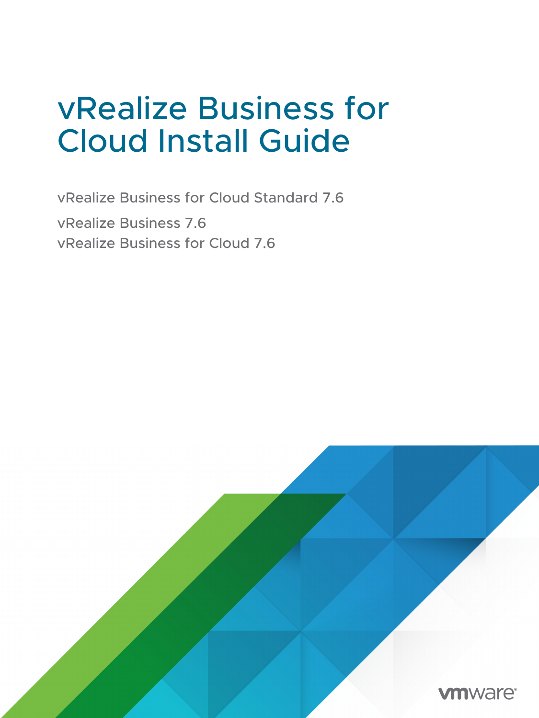## vRealize Business for Cloud Install Guide

vRealize Business for Cloud Standard 7.6 vRealize Business 7.6 vRealize Business for Cloud 7.6

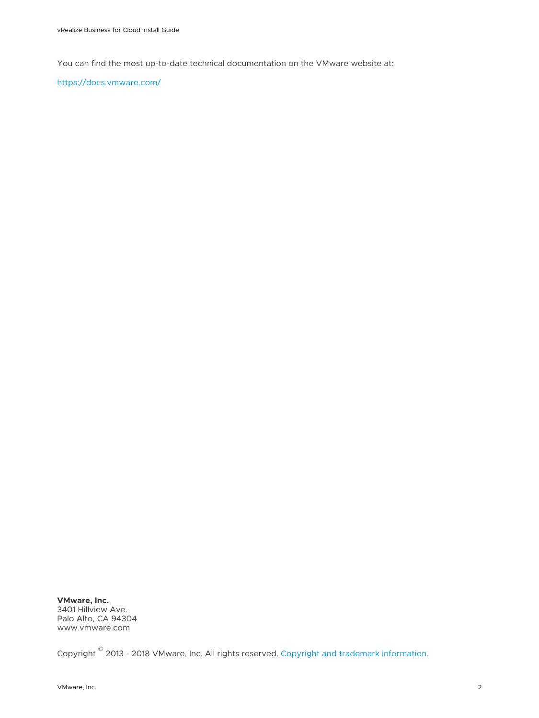You can find the most up-to-date technical documentation on the VMware website at:

<https://docs.vmware.com/>

**VMware, Inc.** 3401 Hillview Ave. Palo Alto, CA 94304 www.vmware.com

Copyright  $^\copyright$  2013 - 2018 VMware, Inc. All rights reserved. [Copyright and trademark information.](https://docs.vmware.com/copyright-trademark.html)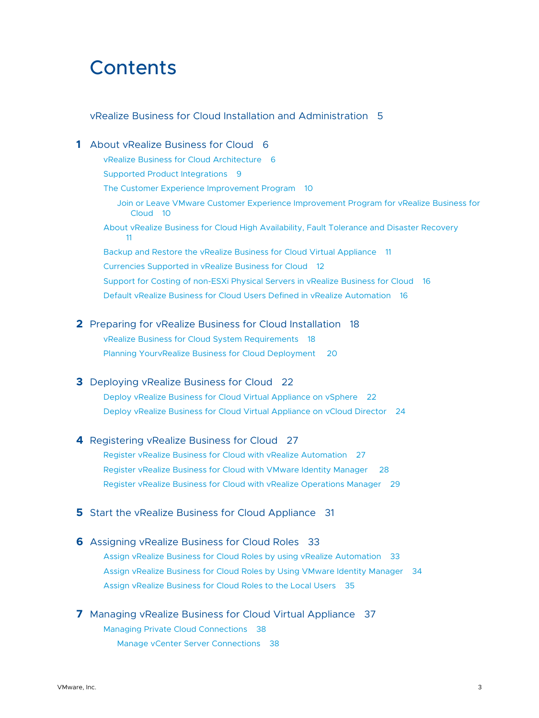## **Contents**

#### [vRealize Business for Cloud Installation and Administration](#page-4-0) 5

- **1** [About vRealize Business for Cloud](#page-5-0) 6 [vRealize Business for Cloud Architecture](#page-5-0) 6 [Supported Product Integrations](#page-8-0) 9 [The Customer Experience Improvement Program](#page-9-0) 10 [Join or Leave VMware Customer Experience Improvement Program for vRealize Business for](#page-9-0) [Cloud](#page-9-0) 10 [About vRealize Business for Cloud High Availability, Fault Tolerance and Disaster Recovery](#page-10-0) [11](#page-10-0) [Backup and Restore the vRealize Business for Cloud Virtual Appliance](#page-10-0) 11 [Currencies Supported in vRealize Business for Cloud](#page-11-0) 12 [Support for Costing of non-ESXi Physical Servers in vRealize Business for Cloud](#page-15-0) 16 [Default vRealize Business for Cloud Users Defined in vRealize Automation](#page-15-0) 16
- **2** [Preparing for vRealize Business for Cloud Installation](#page-17-0) 18 [vRealize Business for Cloud System Requirements](#page-17-0) 18 [Planning YourvRealize Business for Cloud Deployment 20](#page-19-0)
- **3** [Deploying vRealize Business for Cloud](#page-21-0) 22 [Deploy vRealize Business for Cloud Virtual Appliance on vSphere](#page-21-0) 22 [Deploy vRealize Business for Cloud Virtual Appliance on vCloud Director](#page-23-0) 24
- **4** [Registering vRealize Business for Cloud](#page-26-0) 27 [Register vRealize Business for Cloud with vRealize Automation](#page-26-0) 27 [Register vRealize Business for Cloud with VMware Identity Manager](#page-27-0) 28 [Register vRealize Business for Cloud with vRealize Operations Manager](#page-28-0) 29
- **5** [Start the vRealize Business for Cloud Appliance](#page-30-0) 31
- **6** [Assigning vRealize Business for Cloud Roles](#page-32-0) 33 [Assign vRealize Business for Cloud Roles by using vRealize Automation](#page-32-0) 33 [Assign vRealize Business for Cloud Roles by Using VMware Identity Manager](#page-33-0) 34 [Assign vRealize Business for Cloud Roles to the Local Users](#page-34-0) 35
- **7** [Managing vRealize Business for Cloud Virtual Appliance](#page-36-0) 37 [Managing Private Cloud Connections](#page-37-0) 38 [Manage vCenter Server Connections](#page-37-0) 38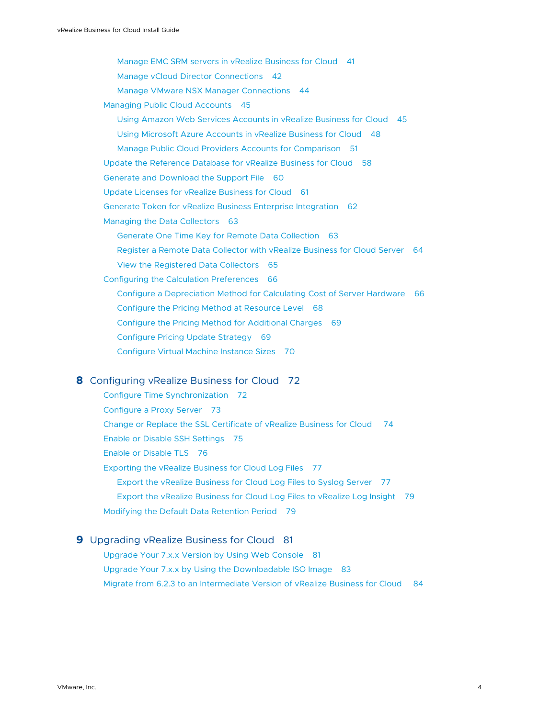[Manage EMC SRM servers in vRealize Business for Cloud](#page-40-0) 41 [Manage vCloud Director Connections](#page-41-0) 42 [Manage VMware NSX Manager Connections](#page-43-0) 44 [Managing Public Cloud Accounts](#page-44-0) 45 [Using Amazon Web Services Accounts in vRealize Business for Cloud](#page-44-0) 45 [Using Microsoft Azure Accounts in vRealize Business for Cloud](#page-47-0) 48 [Manage Public Cloud Providers Accounts for Comparison](#page-50-0) 51 [Update the Reference Database for vRealize Business for Cloud](#page-57-0) 58 [Generate and Download the Support File](#page-59-0) 60 [Update Licenses for vRealize Business for Cloud](#page-60-0) 61 [Generate Token for vRealize Business Enterprise Integration](#page-61-0) 62 [Managing the Data Collectors](#page-62-0) 63 [Generate One Time Key for Remote Data Collection](#page-62-0) 63 [Register a Remote Data Collector with vRealize Business for Cloud Server](#page-63-0) 64 [View the Registered Data Collectors](#page-64-0) 65 [Configuring the Calculation Preferences](#page-65-0) 66 [Configure a Depreciation Method for Calculating Cost of Server Hardware](#page-65-0) 66 [Configure the Pricing Method at Resource Level](#page-67-0) 68 [Configure the Pricing Method for Additional Charges](#page-68-0) 69 [Configure Pricing Update Strategy](#page-68-0) 69 [Configure Virtual Machine Instance Sizes](#page-69-0) 70

#### **8** [Configuring vRealize Business for Cloud](#page-71-0) 72

[Configure Time Synchronization](#page-71-0) 72 [Configure a Proxy Server](#page-72-0) 73 [Change or Replace the SSL Certificate of vRealize Business for Cloud](#page-73-0) 74 [Enable or Disable SSH Settings](#page-74-0) 75 [Enable or Disable TLS](#page-75-0) 76 [Exporting the vRealize Business for Cloud Log Files](#page-76-0) 77 [Export the vRealize Business for Cloud Log Files to Syslog Server](#page-76-0) 77 [Export the vRealize Business for Cloud Log Files to vRealize Log Insight](#page-78-0) 79 [Modifying the Default Data Retention Period](#page-78-0) 79

#### **9** [Upgrading vRealize Business for Cloud](#page-80-0) 81 [Upgrade Your 7.x.x Version by Using Web Console](#page-80-0) 81 [Upgrade Your 7.x.x by Using the Downloadable ISO Image](#page-82-0) 83

[Migrate from 6.2.3 to an Intermediate Version of vRealize Business for Cloud](#page-83-0) 84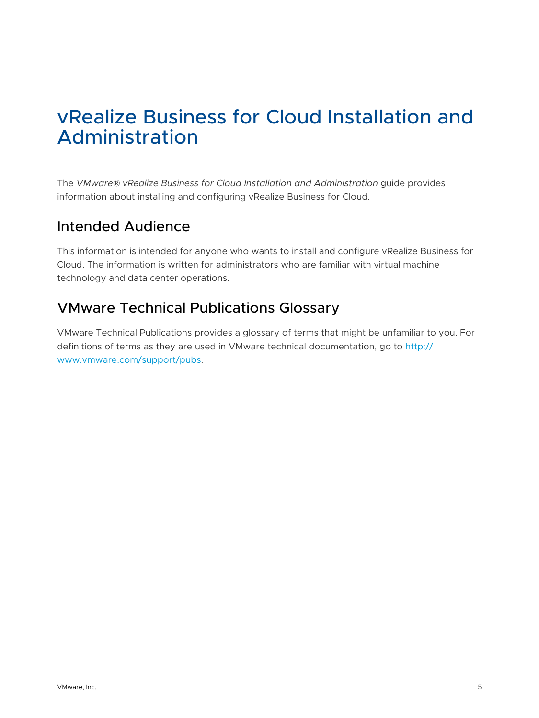## <span id="page-4-0"></span>vRealize Business for Cloud Installation and Administration

The *VMware® vRealize Business for Cloud Installation and Administration* guide provides information about installing and configuring vRealize Business for Cloud.

## Intended Audience

This information is intended for anyone who wants to install and configure vRealize Business for Cloud. The information is written for administrators who are familiar with virtual machine technology and data center operations.

## VMware Technical Publications Glossary

VMware Technical Publications provides a glossary of terms that might be unfamiliar to you. For definitions of terms as they are used in VMware technical documentation, go to [http://](http://www.vmware.com/support/pubs) [www.vmware.com/support/pubs.](http://www.vmware.com/support/pubs)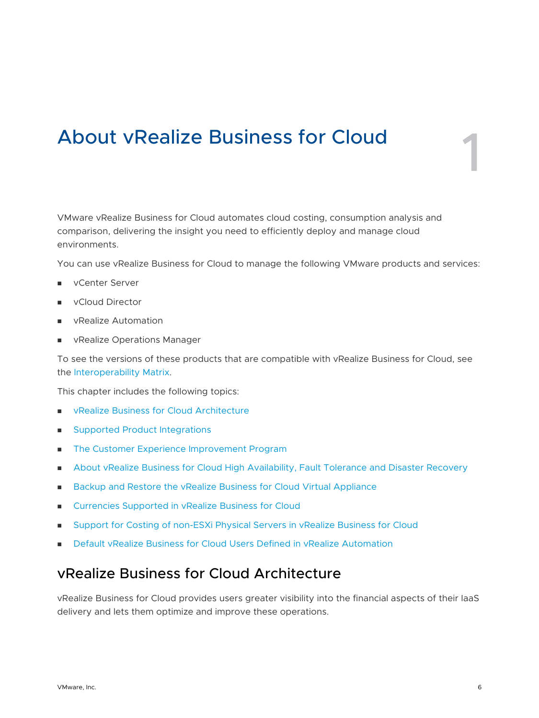## <span id="page-5-0"></span>About vRealize Business for Cloud 1

VMware vRealize Business for Cloud automates cloud costing, consumption analysis and comparison, delivering the insight you need to efficiently deploy and manage cloud environments.

You can use vRealize Business for Cloud to manage the following VMware products and services:

- **n** vCenter Server
- vCloud Director
- **No vRealize Automation**
- **n** vRealize Operations Manager

To see the versions of these products that are compatible with vRealize Business for Cloud, see the [Interoperability Matrix.](http://partnerweb.vmware.com/comp_guide2/sim/interop_matrix.php?#interop&112=1722&114=&2=&140=&hideEmpty=false)

This chapter includes the following topics:

- <sup>n</sup> vRealize Business for Cloud Architecture
- [Supported Product Integrations](#page-8-0)
- <sup>n</sup> [The Customer Experience Improvement Program](#page-9-0)
- **n** [About vRealize Business for Cloud High Availability, Fault Tolerance and Disaster Recovery](#page-10-0)
- **n** [Backup and Restore the vRealize Business for Cloud Virtual Appliance](#page-10-0)
- [Currencies Supported in vRealize Business for Cloud](#page-11-0)
- [Support for Costing of non-ESXi Physical Servers in vRealize Business for Cloud](#page-15-0)
- **n** [Default vRealize Business for Cloud Users Defined in vRealize Automation](#page-15-0)

## vRealize Business for Cloud Architecture

vRealize Business for Cloud provides users greater visibility into the financial aspects of their IaaS delivery and lets them optimize and improve these operations.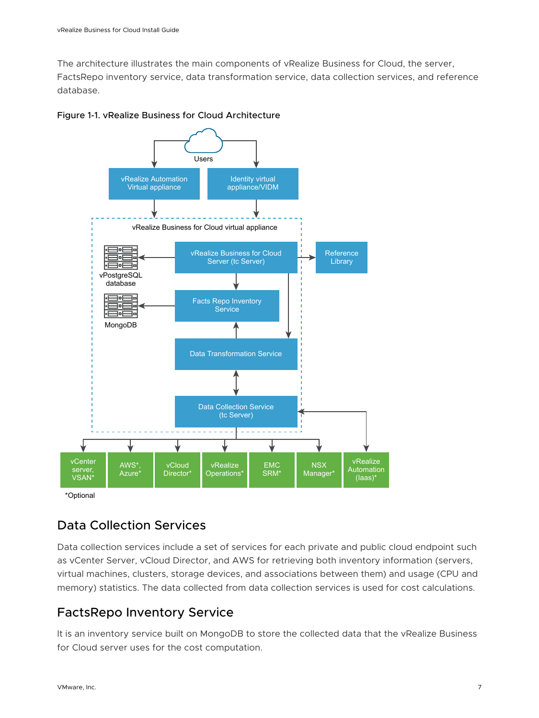The architecture illustrates the main components of vRealize Business for Cloud, the server, FactsRepo inventory service, data transformation service, data collection services, and reference database.



#### Figure 1-1. vRealize Business for Cloud Architecture

## Data Collection Services

Data collection services include a set of services for each private and public cloud endpoint such as vCenter Server, vCloud Director, and AWS for retrieving both inventory information (servers, virtual machines, clusters, storage devices, and associations between them) and usage (CPU and memory) statistics. The data collected from data collection services is used for cost calculations.

## FactsRepo Inventory Service

It is an inventory service built on MongoDB to store the collected data that the vRealize Business for Cloud server uses for the cost computation.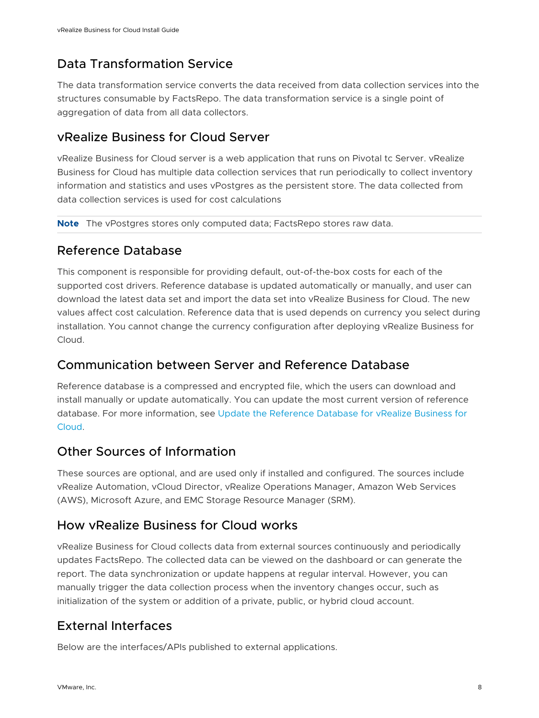## Data Transformation Service

The data transformation service converts the data received from data collection services into the structures consumable by FactsRepo. The data transformation service is a single point of aggregation of data from all data collectors.

## vRealize Business for Cloud Server

vRealize Business for Cloud server is a web application that runs on Pivotal tc Server. vRealize Business for Cloud has multiple data collection services that run periodically to collect inventory information and statistics and uses vPostgres as the persistent store. The data collected from data collection services is used for cost calculations

**Note** The vPostgres stores only computed data; FactsRepo stores raw data.

## Reference Database

This component is responsible for providing default, out-of-the-box costs for each of the supported cost drivers. Reference database is updated automatically or manually, and user can download the latest data set and import the data set into vRealize Business for Cloud. The new values affect cost calculation. Reference data that is used depends on currency you select during installation. You cannot change the currency configuration after deploying vRealize Business for Cloud.

## Communication between Server and Reference Database

Reference database is a compressed and encrypted file, which the users can download and install manually or update automatically. You can update the most current version of reference database. For more information, see [Update the Reference Database for vRealize Business for](#page-57-0)  [Cloud.](#page-57-0)

## Other Sources of Information

These sources are optional, and are used only if installed and configured. The sources include vRealize Automation, vCloud Director, vRealize Operations Manager, Amazon Web Services (AWS), Microsoft Azure, and EMC Storage Resource Manager (SRM).

## How vRealize Business for Cloud works

vRealize Business for Cloud collects data from external sources continuously and periodically updates FactsRepo. The collected data can be viewed on the dashboard or can generate the report. The data synchronization or update happens at regular interval. However, you can manually trigger the data collection process when the inventory changes occur, such as initialization of the system or addition of a private, public, or hybrid cloud account.

## External Interfaces

Below are the interfaces/APIs published to external applications.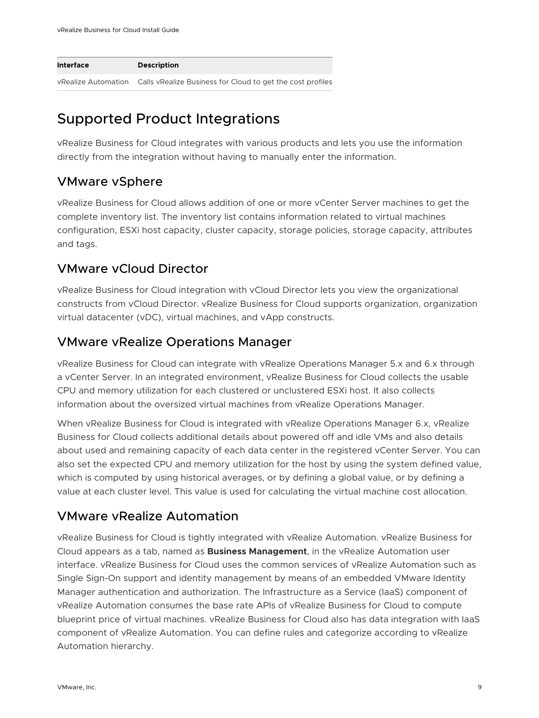<span id="page-8-0"></span>

| Interface           | <b>Description</b>                                         |
|---------------------|------------------------------------------------------------|
| vRealize Automation | Calls vRealize Business for Cloud to get the cost profiles |

## Supported Product Integrations

vRealize Business for Cloud integrates with various products and lets you use the information directly from the integration without having to manually enter the information.

## VMware vSphere

vRealize Business for Cloud allows addition of one or more vCenter Server machines to get the complete inventory list. The inventory list contains information related to virtual machines configuration, ESXi host capacity, cluster capacity, storage policies, storage capacity, attributes and tags.

## VMware vCloud Director

vRealize Business for Cloud integration with vCloud Director lets you view the organizational constructs from vCloud Director. vRealize Business for Cloud supports organization, organization virtual datacenter (vDC), virtual machines, and vApp constructs.

## VMware vRealize Operations Manager

vRealize Business for Cloud can integrate with vRealize Operations Manager 5.x and 6.x through a vCenter Server. In an integrated environment, vRealize Business for Cloud collects the usable CPU and memory utilization for each clustered or unclustered ESXi host. It also collects information about the oversized virtual machines from vRealize Operations Manager.

When vRealize Business for Cloud is integrated with vRealize Operations Manager 6.x, vRealize Business for Cloud collects additional details about powered off and idle VMs and also details about used and remaining capacity of each data center in the registered vCenter Server. You can also set the expected CPU and memory utilization for the host by using the system defined value, which is computed by using historical averages, or by defining a global value, or by defining a value at each cluster level. This value is used for calculating the virtual machine cost allocation.

## VMware vRealize Automation

vRealize Business for Cloud is tightly integrated with vRealize Automation. vRealize Business for Cloud appears as a tab, named as **Business Management**, in the vRealize Automation user interface. vRealize Business for Cloud uses the common services of vRealize Automation such as Single Sign-On support and identity management by means of an embedded VMware Identity Manager authentication and authorization. The Infrastructure as a Service (IaaS) component of vRealize Automation consumes the base rate APIs of vRealize Business for Cloud to compute blueprint price of virtual machines. vRealize Business for Cloud also has data integration with IaaS component of vRealize Automation. You can define rules and categorize according to vRealize Automation hierarchy.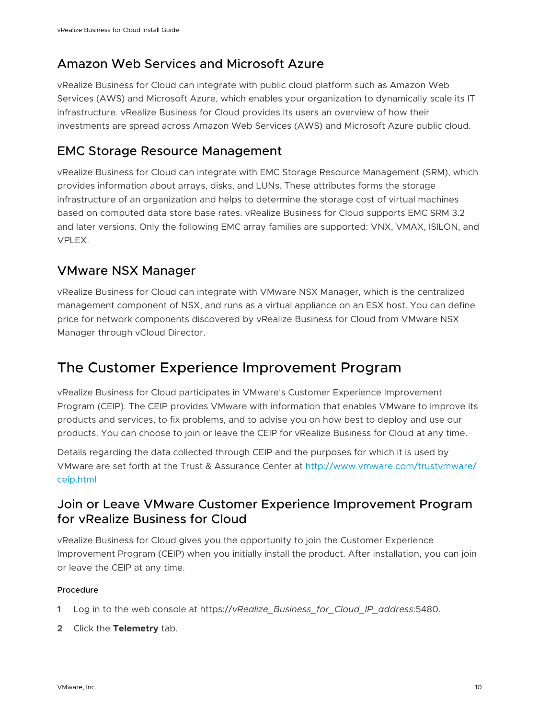## <span id="page-9-0"></span>Amazon Web Services and Microsoft Azure

vRealize Business for Cloud can integrate with public cloud platform such as Amazon Web Services (AWS) and Microsoft Azure, which enables your organization to dynamically scale its IT infrastructure. vRealize Business for Cloud provides its users an overview of how their investments are spread across Amazon Web Services (AWS) and Microsoft Azure public cloud.

## EMC Storage Resource Management

vRealize Business for Cloud can integrate with EMC Storage Resource Management (SRM), which provides information about arrays, disks, and LUNs. These attributes forms the storage infrastructure of an organization and helps to determine the storage cost of virtual machines based on computed data store base rates. vRealize Business for Cloud supports EMC SRM 3.2 and later versions. Only the following EMC array families are supported: VNX, VMAX, ISILON, and VPLEX.

## VMware NSX Manager

vRealize Business for Cloud can integrate with VMware NSX Manager, which is the centralized management component of NSX, and runs as a virtual appliance on an ESX host. You can define price for network components discovered by vRealize Business for Cloud from VMware NSX Manager through vCloud Director.

## The Customer Experience Improvement Program

vRealize Business for Cloud participates in VMware's Customer Experience Improvement Program (CEIP). The CEIP provides VMware with information that enables VMware to improve its products and services, to fix problems, and to advise you on how best to deploy and use our products. You can choose to join or leave the CEIP for vRealize Business for Cloud at any time.

Details regarding the data collected through CEIP and the purposes for which it is used by VMware are set forth at the Trust & Assurance Center at [http://www.vmware.com/trustvmware/](http://www.vmware.com/trustvmware/ceip.html) [ceip.html](http://www.vmware.com/trustvmware/ceip.html)

## Join or Leave VMware Customer Experience Improvement Program for vRealize Business for Cloud

vRealize Business for Cloud gives you the opportunity to join the Customer Experience Improvement Program (CEIP) when you initially install the product. After installation, you can join or leave the CEIP at any time.

#### Procedure

- **1** Log in to the web console at https://*vRealize\_Business\_for\_Cloud\_IP\_address*:5480.
- **2** Click the **Telemetry** tab.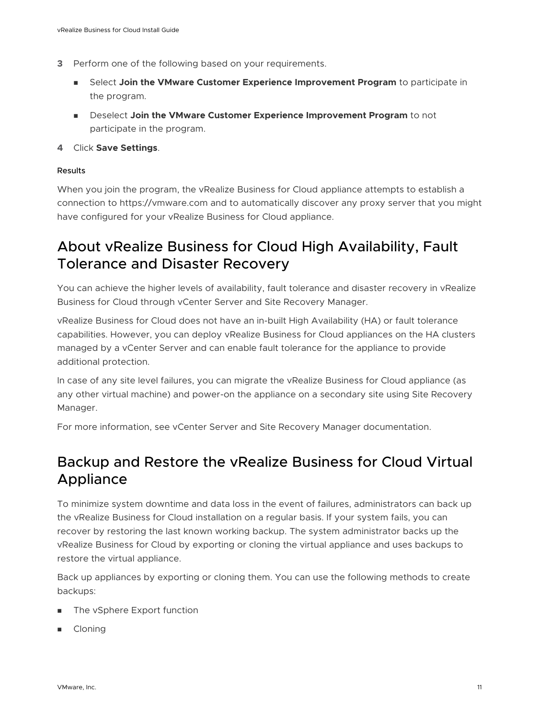- <span id="page-10-0"></span>**3** Perform one of the following based on your requirements.
	- **n** Select Join the VMware Customer Experience Improvement Program to participate in the program.
	- <sup>n</sup> Deselect **Join the VMware Customer Experience Improvement Program** to not participate in the program.
- **4** Click **Save Settings**.

#### Results

When you join the program, the vRealize Business for Cloud appliance attempts to establish a connection to https://vmware.com and to automatically discover any proxy server that you might have configured for your vRealize Business for Cloud appliance.

## About vRealize Business for Cloud High Availability, Fault Tolerance and Disaster Recovery

You can achieve the higher levels of availability, fault tolerance and disaster recovery in vRealize Business for Cloud through vCenter Server and Site Recovery Manager.

vRealize Business for Cloud does not have an in-built High Availability (HA) or fault tolerance capabilities. However, you can deploy vRealize Business for Cloud appliances on the HA clusters managed by a vCenter Server and can enable fault tolerance for the appliance to provide additional protection.

In case of any site level failures, you can migrate the vRealize Business for Cloud appliance (as any other virtual machine) and power-on the appliance on a secondary site using Site Recovery Manager.

For more information, see vCenter Server and Site Recovery Manager documentation.

## Backup and Restore the vRealize Business for Cloud Virtual Appliance

To minimize system downtime and data loss in the event of failures, administrators can back up the vRealize Business for Cloud installation on a regular basis. If your system fails, you can recover by restoring the last known working backup. The system administrator backs up the vRealize Business for Cloud by exporting or cloning the virtual appliance and uses backups to restore the virtual appliance.

Back up appliances by exporting or cloning them. You can use the following methods to create backups:

- The vSphere Export function
- Cloning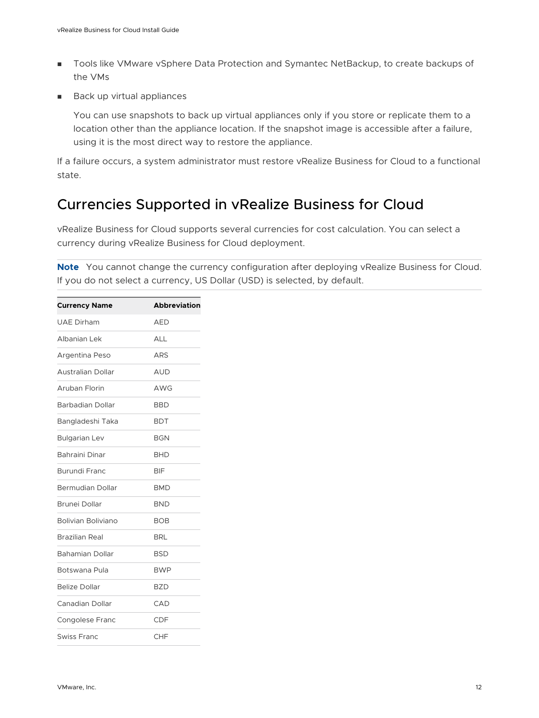- <span id="page-11-0"></span>■ Tools like VMware vSphere Data Protection and Symantec NetBackup, to create backups of the VMs
- **Back up virtual appliances**

You can use snapshots to back up virtual appliances only if you store or replicate them to a location other than the appliance location. If the snapshot image is accessible after a failure, using it is the most direct way to restore the appliance.

If a failure occurs, a system administrator must restore vRealize Business for Cloud to a functional state.

## Currencies Supported in vRealize Business for Cloud

vRealize Business for Cloud supports several currencies for cost calculation. You can select a currency during vRealize Business for Cloud deployment.

**Note** You cannot change the currency configuration after deploying vRealize Business for Cloud. If you do not select a currency, US Dollar (USD) is selected, by default.

| <b>Currency Name</b>      | <b>Abbreviation</b> |
|---------------------------|---------------------|
|                           |                     |
| <b>UAE Dirham</b>         | <b>AED</b>          |
| Albanian Lek              | <b>ALL</b>          |
| Argentina Peso            | ARS                 |
| <b>Australian Dollar</b>  | AUD                 |
| Aruban Florin             | AWG                 |
| Barbadian Dollar          | <b>BBD</b>          |
| Bangladeshi Taka          | <b>BDT</b>          |
| <b>Bulgarian Lev</b>      | <b>BGN</b>          |
| Bahraini Dinar            | <b>BHD</b>          |
| Burundi Franc             | <b>BIF</b>          |
| <b>Bermudian Dollar</b>   | <b>BMD</b>          |
| Brunei Dollar             | <b>BND</b>          |
| <b>Bolivian Boliviano</b> | <b>BOB</b>          |
| Brazilian Real            | <b>BRL</b>          |
| <b>Bahamian Dollar</b>    | <b>BSD</b>          |
| Botswana Pula             | <b>BWP</b>          |
| <b>Belize Dollar</b>      | <b>BZD</b>          |
| Canadian Dollar           | CAD                 |
| Congolese Franc           | CDF                 |
| Swiss Franc               | CHF                 |
|                           |                     |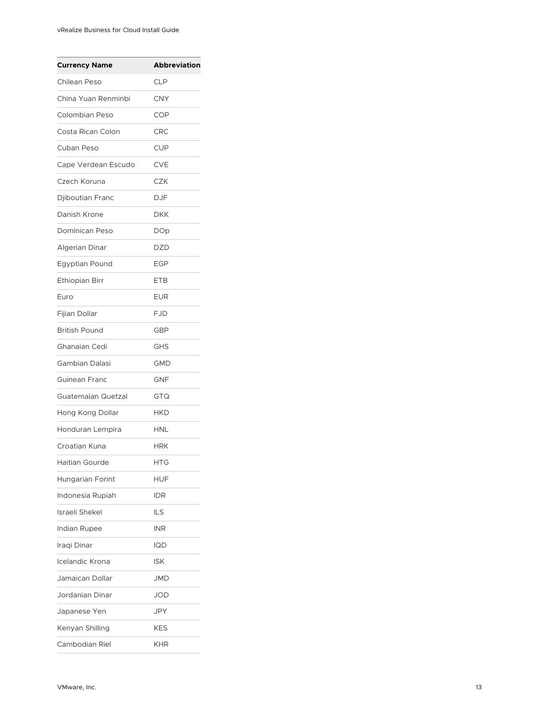| <b>Currency Name</b>  | <b>Abbreviation</b> |
|-----------------------|---------------------|
| Chilean Peso          | <b>CLP</b>          |
| China Yuan Renminbi   | CNY                 |
| Colombian Peso        | COP                 |
| Costa Rican Colon     | CRC                 |
| Cuban Peso            | <b>CUP</b>          |
| Cape Verdean Escudo   | <b>CVE</b>          |
| Czech Koruna          | <b>CZK</b>          |
| Djiboutian Franc      | <b>DJF</b>          |
| Danish Krone          | DKK                 |
| Dominican Peso        | <b>DOp</b>          |
| <b>Algerian Dinar</b> | DZD                 |
| <b>Egyptian Pound</b> | <b>EGP</b>          |
| <b>Ethiopian Birr</b> | <b>ETB</b>          |
| Euro                  | EUR                 |
| Fijian Dollar         | <b>FJD</b>          |
| <b>British Pound</b>  | GBP                 |
| Ghanaian Cedi         | GHS                 |
| Gambian Dalasi        | GMD                 |
| Guinean Franc         | <b>GNF</b>          |
| Guatemalan Quetzal    | GTQ                 |
| Hong Kong Dollar      | HKD                 |
| Honduran Lempira      | HNL                 |
| Croatian Kuna         | HRK                 |
| Haitian Gourde        | HTG                 |
| Hungarian Forint      | HUF                 |
| Indonesia Rupiah      | IDR                 |
| Israeli Shekel        | <b>ILS</b>          |
| Indian Rupee          | INR                 |
| Iraqi Dinar           | IQD                 |
| Icelandic Krona       | ISK                 |
| Jamaican Dollar       | JMD                 |
| Jordanian Dinar       | JOD                 |
| Japanese Yen          | JPY                 |
| Kenyan Shilling       | KES                 |
| Cambodian Riel        | <b>KHR</b>          |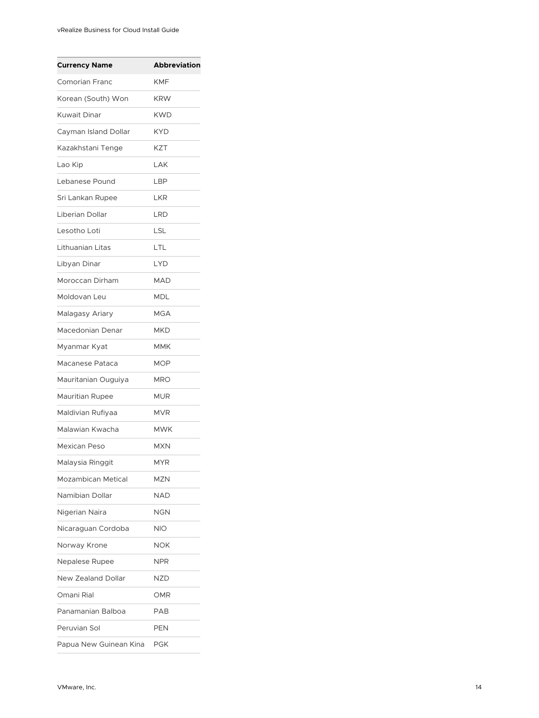| <b>Currency Name</b>      | <b>Abbreviation</b> |
|---------------------------|---------------------|
| <b>Comorian Franc</b>     | <b>KMF</b>          |
| Korean (South) Won        | <b>KRW</b>          |
| <b>Kuwait Dinar</b>       | <b>KWD</b>          |
| Cayman Island Dollar      | KYD                 |
| Kazakhstani Tenge         | <b>KZT</b>          |
| Lao Kip                   | LAK                 |
| Lebanese Pound            | LBP                 |
| Sri Lankan Rupee          | LKR                 |
| Liberian Dollar           | <b>LRD</b>          |
| Lesotho Loti              | LSL                 |
| Lithuanian Litas          | LTL                 |
| Libyan Dinar              | <b>LYD</b>          |
| Moroccan Dirham           | <b>MAD</b>          |
| Moldovan Leu              | <b>MDL</b>          |
| Malagasy Ariary           | <b>MGA</b>          |
| Macedonian Denar          | <b>MKD</b>          |
| Myanmar Kyat              | MMK                 |
| Macanese Pataca           | MOP                 |
| Mauritanian Ouguiya       | <b>MRO</b>          |
| Mauritian Rupee           | MUR                 |
| Maldivian Rufiyaa         | MVR                 |
| Malawian Kwacha           | MWK                 |
| Mexican Peso              | <b>MXN</b>          |
| Malaysia Ringgit          | <b>MYR</b>          |
| Mozambican Metical        | MZN                 |
| Namibian Dollar           | <b>NAD</b>          |
| Nigerian Naira            | NGN                 |
| Nicaraguan Cordoba        | NIO                 |
| Norway Krone              | NOK                 |
| Nepalese Rupee            | <b>NPR</b>          |
| <b>New Zealand Dollar</b> | NZD                 |
| Omani Rial                | OMR                 |
| Panamanian Balboa         | PAB                 |
| Peruvian Sol              | PEN                 |
| Papua New Guinean Kina    | PGK                 |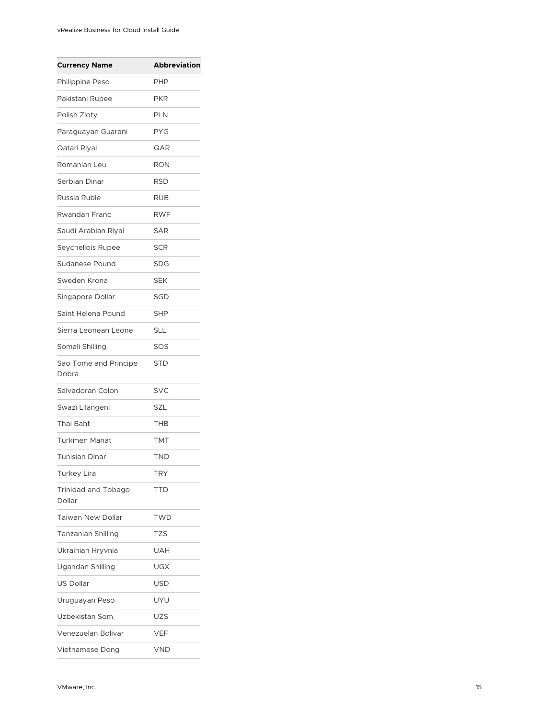| <b>Currency Name</b>                 | <b>Abbreviation</b> |
|--------------------------------------|---------------------|
| Philippine Peso                      | PHP                 |
| Pakistani Rupee                      | PKR                 |
| Polish Zloty                         | <b>PLN</b>          |
| Paraguayan Guarani                   | <b>PYG</b>          |
| Qatari Riyal                         | QAR                 |
| Romanian Leu                         | <b>RON</b>          |
| Serbian Dinar                        | <b>RSD</b>          |
| Russia Ruble                         | RUB                 |
| Rwandan Franc                        | <b>RWF</b>          |
| Saudi Arabian Riyal                  | <b>SAR</b>          |
| Seychellois Rupee                    | <b>SCR</b>          |
| <b>Sudanese Pound</b>                | <b>SDG</b>          |
| Sweden Krona                         | <b>SEK</b>          |
| Singapore Dollar                     | SGD                 |
| Saint Helena Pound                   | <b>SHP</b>          |
| Sierra Leonean Leone                 | SLL                 |
| Somali Shilling                      | SOS                 |
| Sao Tome and Principe<br>Dobra       | STD                 |
| Salvadoran Colon                     | SVC                 |
| Swazi Lilangeni                      | SZL                 |
| Thai Baht                            | THB                 |
| <b>Turkmen Manat</b>                 | TMT                 |
| Tunisian Dinar                       | TND                 |
| <b>Turkey Lira</b>                   | TRY                 |
| <b>Trinidad and Tobago</b><br>Dollar | TTD                 |
| Taiwan New Dollar                    | <b>TWD</b>          |
| Tanzanian Shilling                   | TZS                 |
| Ukrainian Hryvnia                    | UAH                 |
| Ugandan Shilling                     | UGX                 |
| <b>US Dollar</b>                     | USD                 |
| Uruguayan Peso                       | UYU                 |
| Uzbekistan Som                       | UZS                 |
| Venezuelan Bolivar                   | VEF                 |
| Vietnamese Dong                      | <b>VND</b>          |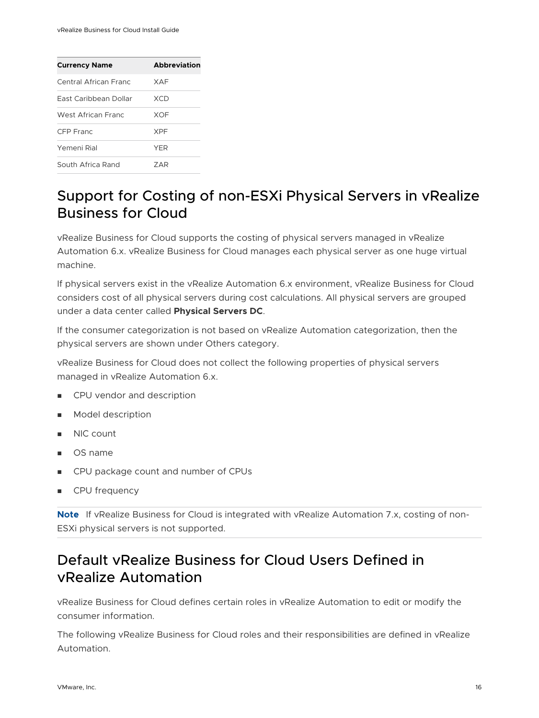<span id="page-15-0"></span>

| <b>Abbreviation</b> |
|---------------------|
| <b>XAF</b>          |
| XCD                 |
| <b>XOF</b>          |
| <b>XPF</b>          |
| <b>YER</b>          |
| 7 A R               |
|                     |

## Support for Costing of non-ESXi Physical Servers in vRealize Business for Cloud

vRealize Business for Cloud supports the costing of physical servers managed in vRealize Automation 6.x. vRealize Business for Cloud manages each physical server as one huge virtual machine.

If physical servers exist in the vRealize Automation 6.x environment, vRealize Business for Cloud considers cost of all physical servers during cost calculations. All physical servers are grouped under a data center called **Physical Servers DC**.

If the consumer categorization is not based on vRealize Automation categorization, then the physical servers are shown under Others category.

vRealize Business for Cloud does not collect the following properties of physical servers managed in vRealize Automation 6.x.

- **n** CPU vendor and description
- Model description
- **NIC count**
- OS name
- CPU package count and number of CPUs
- CPU frequency

**Note** If vRealize Business for Cloud is integrated with vRealize Automation 7.x, costing of non-ESXi physical servers is not supported.

## Default vRealize Business for Cloud Users Defined in vRealize Automation

vRealize Business for Cloud defines certain roles in vRealize Automation to edit or modify the consumer information.

The following vRealize Business for Cloud roles and their responsibilities are defined in vRealize Automation.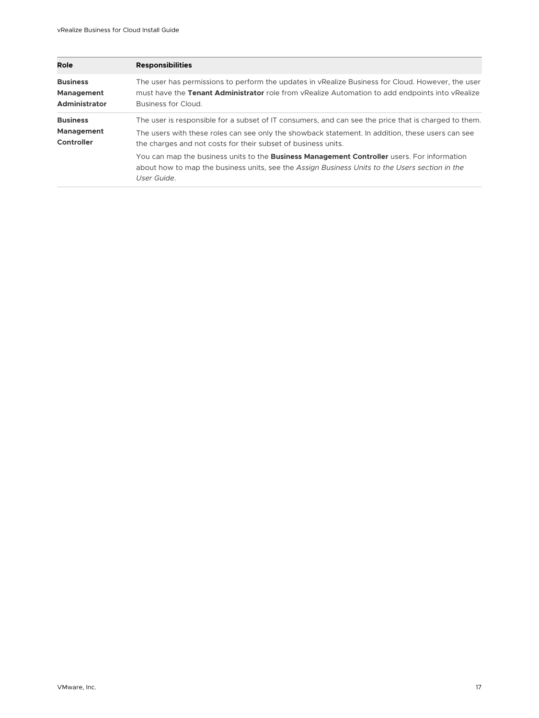| <b>Role</b>                                           | <b>Responsibilities</b>                                                                                                                                                                                                                                                                                                                                                                                                                                                                          |
|-------------------------------------------------------|--------------------------------------------------------------------------------------------------------------------------------------------------------------------------------------------------------------------------------------------------------------------------------------------------------------------------------------------------------------------------------------------------------------------------------------------------------------------------------------------------|
| <b>Business</b><br>Management<br><b>Administrator</b> | The user has permissions to perform the updates in vRealize Business for Cloud. However, the user<br>must have the Tenant Administrator role from vRealize Automation to add endpoints into vRealize<br>Business for Cloud.                                                                                                                                                                                                                                                                      |
| <b>Business</b><br>Management<br>Controller           | The user is responsible for a subset of IT consumers, and can see the price that is charged to them.<br>The users with these roles can see only the showback statement. In addition, these users can see<br>the charges and not costs for their subset of business units.<br>You can map the business units to the <b>Business Management Controller</b> users. For information<br>about how to map the business units, see the Assign Business Units to the Users section in the<br>User Guide. |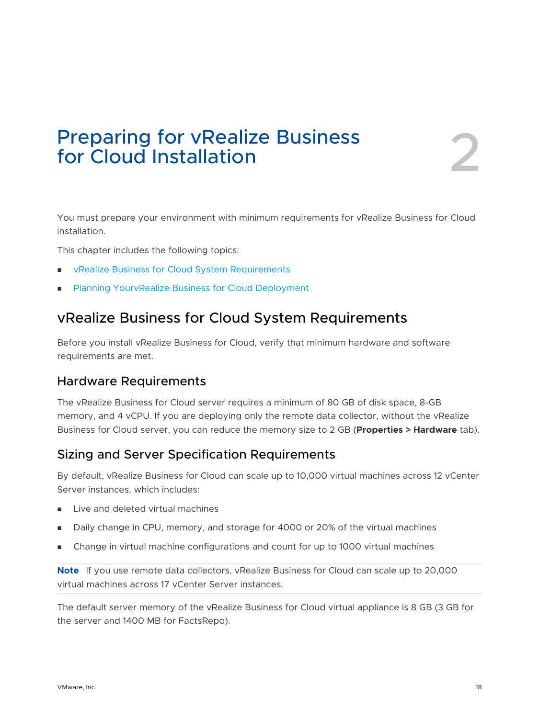## <span id="page-17-0"></span>Preparing for vRealize Business<br>for Cloud Installation

You must prepare your environment with minimum requirements for vRealize Business for Cloud installation.

This chapter includes the following topics:

- vRealize Business for Cloud System Requirements
- Planning YourvRealize Business for Cloud Deployment

## vRealize Business for Cloud System Requirements

Before you install vRealize Business for Cloud, verify that minimum hardware and software requirements are met.

#### Hardware Requirements

The vRealize Business for Cloud server requires a minimum of 80 GB of disk space, 8-GB memory, and 4 vCPU. If you are deploying only the remote data collector, without the vRealize Business for Cloud server, you can reduce the memory size to 2 GB (**Properties > Hardware** tab).

## Sizing and Server Specification Requirements

By default, vRealize Business for Cloud can scale up to 10,000 virtual machines across 12 vCenter Server instances, which includes:

- Live and deleted virtual machines
- Daily change in CPU, memory, and storage for 4000 or 20% of the virtual machines
- <sup>n</sup> Change in virtual machine configurations and count for up to 1000 virtual machines

**Note** If you use remote data collectors, vRealize Business for Cloud can scale up to 20,000 virtual machines across 17 vCenter Server instances.

The default server memory of the vRealize Business for Cloud virtual appliance is 8 GB (3 GB for the server and 1400 MB for FactsRepo).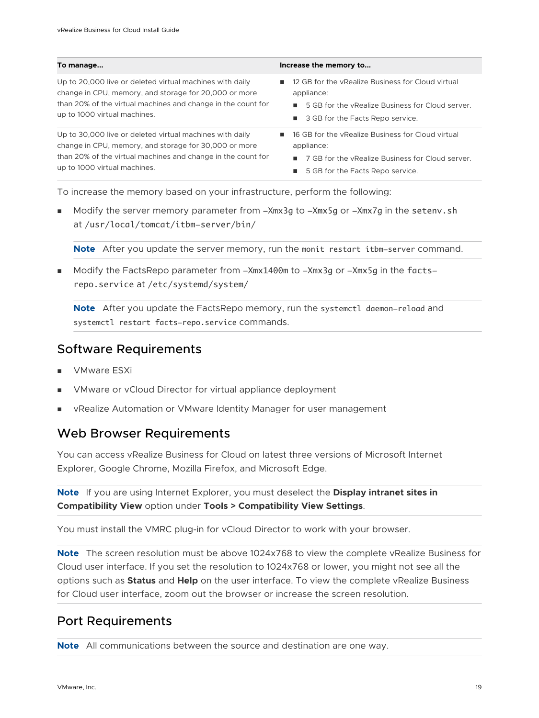| To manage                                                                                                                                                                                                         | Increase the memory to                                                                                                                                                             |
|-------------------------------------------------------------------------------------------------------------------------------------------------------------------------------------------------------------------|------------------------------------------------------------------------------------------------------------------------------------------------------------------------------------|
| Up to 20,000 live or deleted virtual machines with daily<br>change in CPU, memory, and storage for 20,000 or more<br>than 20% of the virtual machines and change in the count for<br>up to 1000 virtual machines. | 12 GB for the vRealize Business for Cloud virtual<br>٠<br>appliance:<br>5 GB for the vRealize Business for Cloud server.<br>■ 3 GB for the Facts Repo service.                     |
| Up to 30,000 live or deleted virtual machines with daily<br>change in CPU, memory, and storage for 30,000 or more<br>than 20% of the virtual machines and change in the count for<br>up to 1000 virtual machines. | 16 GB for the vRealize Business for Cloud virtual<br>п.<br>appliance:<br>■ 7 GB for the vRealize Business for Cloud server.<br>5 GB for the Facts Repo service.<br><b>Contract</b> |
| To increase the memory based on your infrastructure, perform the following:                                                                                                                                       |                                                                                                                                                                                    |

 $\blacksquare$  Modify the server memory parameter from  $\mathsf{Mmx3g}$  to  $\mathsf{Mmx5g}$  or  $\mathsf{Mmx7g}$  in the setenv.sh at /usr/local/tomcat/itbm-server/bin/

**Note** After you update the server memory, run the monit restart itbm-server command.

<sup>n</sup> Modify the FactsRepo parameter from -Xmx1400m to -Xmx3g or -Xmx5g in the factsrepo.service at /etc/systemd/system/

**Note** After you update the FactsRepo memory, run the systemctl daemon-reload and systemctl restart facts-repo.service commands.

### Software Requirements

- VMware ESXi
- **NATA** VMware or vCloud Director for virtual appliance deployment
- vRealize Automation or VMware Identity Manager for user management

## Web Browser Requirements

You can access vRealize Business for Cloud on latest three versions of Microsoft Internet Explorer, Google Chrome, Mozilla Firefox, and Microsoft Edge.

**Note** If you are using Internet Explorer, you must deselect the **Display intranet sites in Compatibility View** option under **Tools > Compatibility View Settings**.

You must install the VMRC plug-in for vCloud Director to work with your browser.

**Note** The screen resolution must be above 1024x768 to view the complete vRealize Business for Cloud user interface. If you set the resolution to 1024x768 or lower, you might not see all the options such as **Status** and **Help** on the user interface. To view the complete vRealize Business for Cloud user interface, zoom out the browser or increase the screen resolution.

## Port Requirements

**Note** All communications between the source and destination are one way.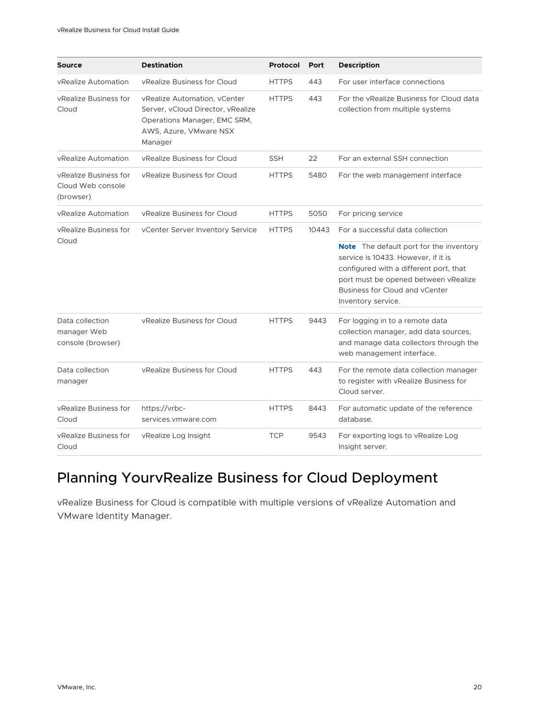<span id="page-19-0"></span>

| <b>Source</b>                                           | <b>Destination</b>                                                                                                                     | <b>Protocol</b> | Port  | <b>Description</b>                                                                                                                                                  |
|---------------------------------------------------------|----------------------------------------------------------------------------------------------------------------------------------------|-----------------|-------|---------------------------------------------------------------------------------------------------------------------------------------------------------------------|
| vRealize Automation                                     | vRealize Business for Cloud                                                                                                            | <b>HTTPS</b>    | 443   | For user interface connections                                                                                                                                      |
| vRealize Business for<br>Cloud                          | vRealize Automation, vCenter<br>Server, vCloud Director, vRealize<br>Operations Manager, EMC SRM,<br>AWS, Azure, VMware NSX<br>Manager | <b>HTTPS</b>    | 443   | For the vRealize Business for Cloud data<br>collection from multiple systems                                                                                        |
| vRealize Automation                                     | vRealize Business for Cloud                                                                                                            | <b>SSH</b>      | 22    | For an external SSH connection                                                                                                                                      |
| vRealize Business for<br>Cloud Web console<br>(browser) | vRealize Business for Cloud                                                                                                            | <b>HTTPS</b>    | 5480  | For the web management interface                                                                                                                                    |
| vRealize Automation                                     | vRealize Business for Cloud                                                                                                            | <b>HTTPS</b>    | 5050  | For pricing service                                                                                                                                                 |
| vRealize Business for<br>Cloud                          | vCenter Server Inventory Service                                                                                                       | <b>HTTPS</b>    | 10443 | For a successful data collection<br><b>Note</b> The default port for the inventory<br>service is 10433. However, if it is<br>configured with a different port, that |
|                                                         |                                                                                                                                        |                 |       | port must be opened between vRealize<br>Business for Cloud and yCenter<br>Inventory service.                                                                        |
| Data collection<br>manager Web<br>console (browser)     | vRealize Business for Cloud                                                                                                            | <b>HTTPS</b>    | 9443  | For logging in to a remote data<br>collection manager, add data sources,<br>and manage data collectors through the<br>web management interface.                     |
| Data collection<br>manager                              | vRealize Business for Cloud                                                                                                            | <b>HTTPS</b>    | 443   | For the remote data collection manager<br>to register with vRealize Business for<br>Cloud server.                                                                   |
| vRealize Business for<br>Cloud                          | https://vrbc-<br>services.vmware.com                                                                                                   | <b>HTTPS</b>    | 8443  | For automatic update of the reference<br>database.                                                                                                                  |
| vRealize Business for<br>Cloud                          | vRealize Log Insight                                                                                                                   | <b>TCP</b>      | 9543  | For exporting logs to vRealize Log<br>Insight server.                                                                                                               |

## Planning YourvRealize Business for Cloud Deployment

vRealize Business for Cloud is compatible with multiple versions of vRealize Automation and VMware Identity Manager.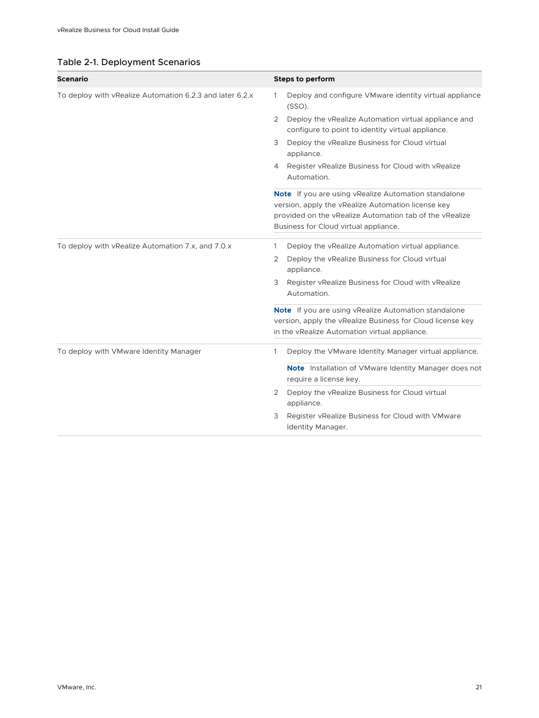| Table 2-1. Deployment Scenarios |  |  |  |  |
|---------------------------------|--|--|--|--|
|---------------------------------|--|--|--|--|

| <b>Scenario</b>                                          | <b>Steps to perform</b>                                                                                                                                                                                        |
|----------------------------------------------------------|----------------------------------------------------------------------------------------------------------------------------------------------------------------------------------------------------------------|
| To deploy with vRealize Automation 6.2.3 and later 6.2.x | Deploy and configure VMware identity virtual appliance<br>1<br>(SSO).                                                                                                                                          |
|                                                          | Deploy the vRealize Automation virtual appliance and<br>2<br>configure to point to identity virtual appliance.                                                                                                 |
|                                                          | Deploy the vRealize Business for Cloud virtual<br>3<br>appliance.                                                                                                                                              |
|                                                          | Register vRealize Business for Cloud with vRealize<br>4<br>Automation.                                                                                                                                         |
|                                                          | Note If you are using vRealize Automation standalone<br>version, apply the vRealize Automation license key<br>provided on the vRealize Automation tab of the vRealize<br>Business for Cloud virtual appliance. |
| To deploy with vRealize Automation 7.x, and 7.0.x        | Deploy the vRealize Automation virtual appliance.<br>1<br>Deploy the vRealize Business for Cloud virtual<br>2<br>appliance.                                                                                    |
|                                                          | Register vRealize Business for Cloud with vRealize<br>3<br>Automation.                                                                                                                                         |
|                                                          | <b>Note</b> If you are using vRealize Automation standalone<br>version, apply the vRealize Business for Cloud license key<br>in the vRealize Automation virtual appliance.                                     |
| To deploy with VMware Identity Manager                   | Deploy the VMware Identity Manager virtual appliance.<br>1                                                                                                                                                     |
|                                                          | <b>Note</b> Installation of VMware Identity Manager does not<br>require a license key.                                                                                                                         |
|                                                          | Deploy the vRealize Business for Cloud virtual<br>2<br>appliance.                                                                                                                                              |
|                                                          | Register vRealize Business for Cloud with VMware<br>3<br>Identity Manager.                                                                                                                                     |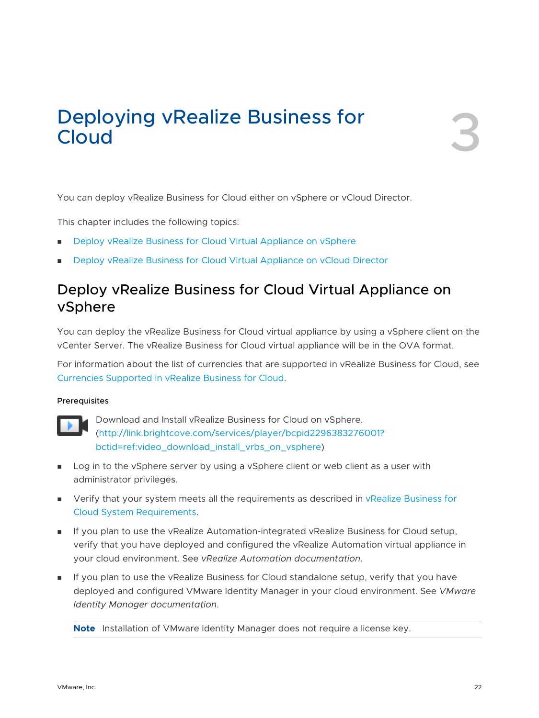# <span id="page-21-0"></span>Deploying vRealize Business for **3**

You can deploy vRealize Business for Cloud either on vSphere or vCloud Director.

This chapter includes the following topics:

- <sup>n</sup> Deploy vRealize Business for Cloud Virtual Appliance on vSphere
- [Deploy vRealize Business for Cloud Virtual Appliance on vCloud Director](#page-23-0)

## Deploy vRealize Business for Cloud Virtual Appliance on vSphere

You can deploy the vRealize Business for Cloud virtual appliance by using a vSphere client on the vCenter Server. The vRealize Business for Cloud virtual appliance will be in the OVA format.

For information about the list of currencies that are supported in vRealize Business for Cloud, see [Currencies Supported in vRealize Business for Cloud.](#page-11-0)

#### Prerequisites



Download and Install vRealize Business for Cloud on vSphere. [\(http://link.brightcove.com/services/player/bcpid2296383276001?](http://link.brightcove.com/services/player/bcpid2296383276001?bctid=ref:video_download_install_vrbs_on_vsphere) bctid=ref: video download install vrbs on vsphere)

- **n** Log in to the vSphere server by using a vSphere client or web client as a user with administrator privileges.
- **n** Verify that your system meets all the requirements as described in vRealize Business for [Cloud System Requirements](#page-17-0).
- **n** If you plan to use the vRealize Automation-integrated vRealize Business for Cloud setup, verify that you have deployed and configured the vRealize Automation virtual appliance in your cloud environment. See *vRealize Automation documentation*.
- **n** If you plan to use the vRealize Business for Cloud standalone setup, verify that you have deployed and configured VMware Identity Manager in your cloud environment. See *VMware Identity Manager documentation*.

**Note** Installation of VMware Identity Manager does not require a license key.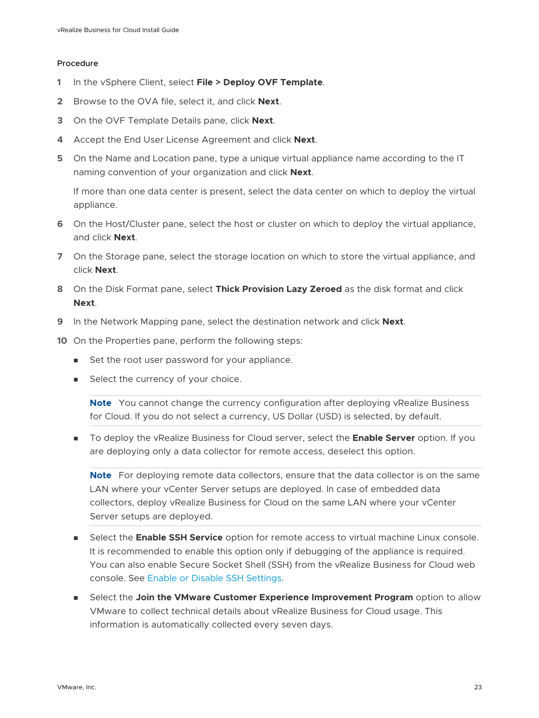#### Procedure

- **1** In the vSphere Client, select **File > Deploy OVF Template**.
- **2** Browse to the OVA file, select it, and click **Next**.
- **3** On the OVF Template Details pane, click **Next**.
- **4** Accept the End User License Agreement and click **Next**.
- **5** On the Name and Location pane, type a unique virtual appliance name according to the IT naming convention of your organization and click **Next**.

If more than one data center is present, select the data center on which to deploy the virtual appliance.

- **6** On the Host/Cluster pane, select the host or cluster on which to deploy the virtual appliance, and click **Next**.
- **7** On the Storage pane, select the storage location on which to store the virtual appliance, and click **Next**.
- **8** On the Disk Format pane, select **Thick Provision Lazy Zeroed** as the disk format and click **Next**.
- **9** In the Network Mapping pane, select the destination network and click **Next**.
- **10** On the Properties pane, perform the following steps:
	- Set the root user password for your appliance.
	- **n** Select the currency of your choice.

**Note** You cannot change the currency configuration after deploying vRealize Business for Cloud. If you do not select a currency, US Dollar (USD) is selected, by default.

**n** To deploy the vRealize Business for Cloud server, select the **Enable Server** option. If you are deploying only a data collector for remote access, deselect this option.

**Note** For deploying remote data collectors, ensure that the data collector is on the same LAN where your vCenter Server setups are deployed. In case of embedded data collectors, deploy vRealize Business for Cloud on the same LAN where your vCenter Server setups are deployed.

- **EXECT:** Select the **Enable SSH Service** option for remote access to virtual machine Linux console. It is recommended to enable this option only if debugging of the appliance is required. You can also enable Secure Socket Shell (SSH) from the vRealize Business for Cloud web console. See [Enable or Disable SSH Settings](#page-74-0).
- **n** Select the **Join the VMware Customer Experience Improvement Program** option to allow VMware to collect technical details about vRealize Business for Cloud usage. This information is automatically collected every seven days.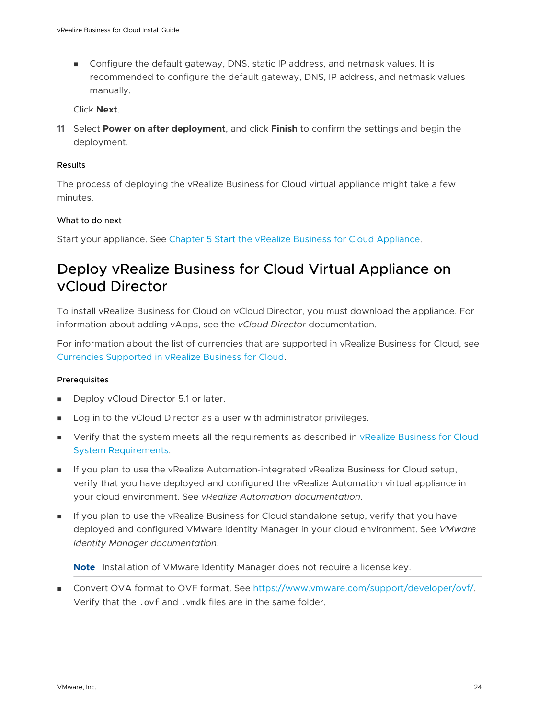<span id="page-23-0"></span>**n** Configure the default gateway, DNS, static IP address, and netmask values. It is recommended to configure the default gateway, DNS, IP address, and netmask values manually.

Click **Next**.

**11** Select **Power on after deployment**, and click **Finish** to confirm the settings and begin the deployment.

#### Results

The process of deploying the vRealize Business for Cloud virtual appliance might take a few minutes.

#### What to do next

Start your appliance. See [Chapter 5 Start the vRealize Business for Cloud Appliance.](#page-30-0)

## Deploy vRealize Business for Cloud Virtual Appliance on vCloud Director

To install vRealize Business for Cloud on vCloud Director, you must download the appliance. For information about adding vApps, see the *vCloud Director* documentation.

For information about the list of currencies that are supported in vRealize Business for Cloud, see [Currencies Supported in vRealize Business for Cloud.](#page-11-0)

#### **Prerequisites**

- Deploy vCloud Director 5.1 or later.
- **DED Log in to the vCloud Director as a user with administrator privileges.**
- <sup>n</sup> Verify that the system meets all the requirements as described in [vRealize Business for Cloud](#page-17-0)  [System Requirements.](#page-17-0)
- **n** If you plan to use the vRealize Automation-integrated vRealize Business for Cloud setup, verify that you have deployed and configured the vRealize Automation virtual appliance in your cloud environment. See *vRealize Automation documentation*.
- <sup>n</sup> If you plan to use the vRealize Business for Cloud standalone setup, verify that you have deployed and configured VMware Identity Manager in your cloud environment. See *VMware Identity Manager documentation*.

**Note** Installation of VMware Identity Manager does not require a license key.

■ Convert OVA format to OVF format. See [https://www.vmware.com/support/developer/ovf/.](https://www.vmware.com/support/developer/ovf/) Verify that the .ovf and .vmdk files are in the same folder.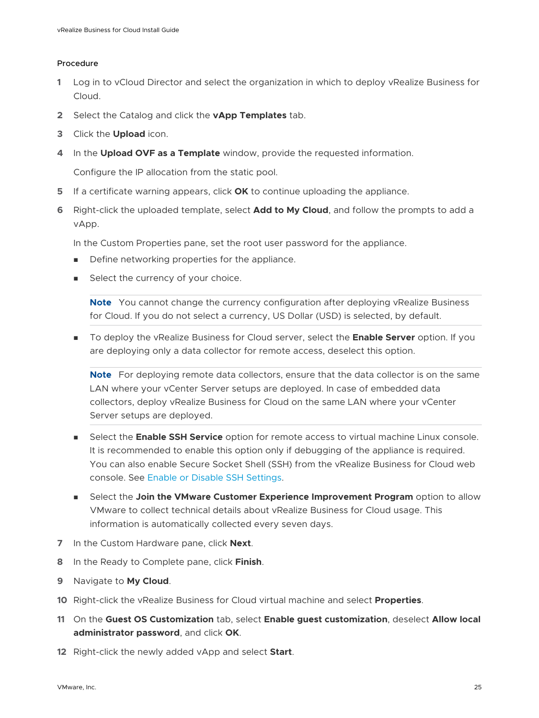#### Procedure

- **1** Log in to vCloud Director and select the organization in which to deploy vRealize Business for Cloud.
- **2** Select the Catalog and click the **vApp Templates** tab.
- **3** Click the **Upload** icon.
- **4** In the **Upload OVF as a Template** window, provide the requested information.

Configure the IP allocation from the static pool.

- **5** If a certificate warning appears, click **OK** to continue uploading the appliance.
- **6** Right-click the uploaded template, select **Add to My Cloud**, and follow the prompts to add a vApp.

In the Custom Properties pane, set the root user password for the appliance.

- **n** Define networking properties for the appliance.
- Select the currency of your choice.

**Note** You cannot change the currency configuration after deploying vRealize Business for Cloud. If you do not select a currency, US Dollar (USD) is selected, by default.

**n** To deploy the vRealize Business for Cloud server, select the **Enable Server** option. If you are deploying only a data collector for remote access, deselect this option.

**Note** For deploying remote data collectors, ensure that the data collector is on the same LAN where your vCenter Server setups are deployed. In case of embedded data collectors, deploy vRealize Business for Cloud on the same LAN where your vCenter Server setups are deployed.

- <sup>n</sup> Select the **Enable SSH Service** option for remote access to virtual machine Linux console. It is recommended to enable this option only if debugging of the appliance is required. You can also enable Secure Socket Shell (SSH) from the vRealize Business for Cloud web console. See [Enable or Disable SSH Settings](#page-74-0).
- **n** Select the **Join the VMware Customer Experience Improvement Program** option to allow VMware to collect technical details about vRealize Business for Cloud usage. This information is automatically collected every seven days.
- **7** In the Custom Hardware pane, click **Next**.
- **8** In the Ready to Complete pane, click **Finish**.
- **9** Navigate to **My Cloud**.
- **10** Right-click the vRealize Business for Cloud virtual machine and select **Properties**.
- **11** On the **Guest OS Customization** tab, select **Enable guest customization**, deselect **Allow local administrator password**, and click **OK**.
- **12** Right-click the newly added vApp and select **Start**.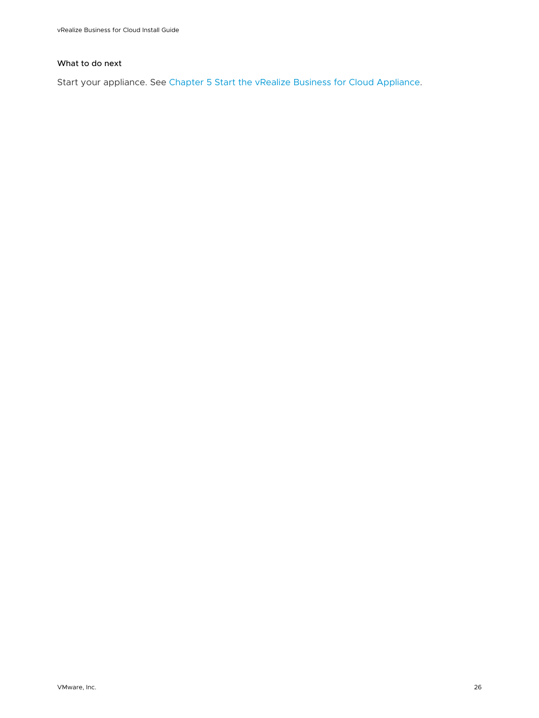#### What to do next

Start your appliance. See [Chapter 5 Start the vRealize Business for Cloud Appliance.](#page-30-0)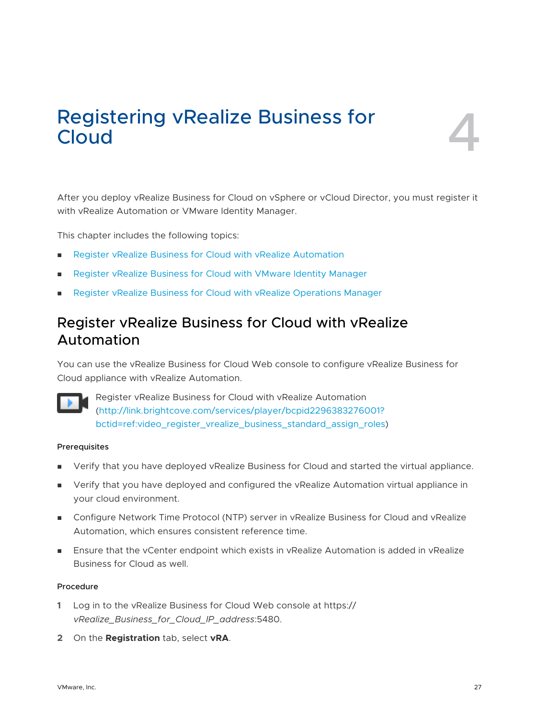# <span id="page-26-0"></span>Registering vRealize Business for<br>Cloud

After you deploy vRealize Business for Cloud on vSphere or vCloud Director, you must register it with vRealize Automation or VMware Identity Manager.

This chapter includes the following topics:

- <sup>n</sup> Register vRealize Business for Cloud with vRealize Automation
- **n** Register vRealize Business for Cloud with VMware Identity Manager
- **n** [Register vRealize Business for Cloud with vRealize Operations Manager](#page-28-0)

## Register vRealize Business for Cloud with vRealize Automation

You can use the vRealize Business for Cloud Web console to configure vRealize Business for Cloud appliance with vRealize Automation.



Register vRealize Business for Cloud with vRealize Automation [\(http://link.brightcove.com/services/player/bcpid2296383276001?](http://link.brightcove.com/services/player/bcpid2296383276001?bctid=ref:video_register_vrealize_business_standard_assign_roles) [bctid=ref:video\\_register\\_vrealize\\_business\\_standard\\_assign\\_roles\)](http://link.brightcove.com/services/player/bcpid2296383276001?bctid=ref:video_register_vrealize_business_standard_assign_roles)

#### Prerequisites

- Verify that you have deployed vRealize Business for Cloud and started the virtual appliance.
- **n** Verify that you have deployed and configured the vRealize Automation virtual appliance in your cloud environment.
- **n** Configure Network Time Protocol (NTP) server in vRealize Business for Cloud and vRealize Automation, which ensures consistent reference time.
- **n** Ensure that the vCenter endpoint which exists in vRealize Automation is added in vRealize Business for Cloud as well.

#### Procedure

- **1** Log in to the vRealize Business for Cloud Web console at https:// *vRealize\_Business\_for\_Cloud\_IP\_address*:5480.
- **2** On the **Registration** tab, select **vRA**.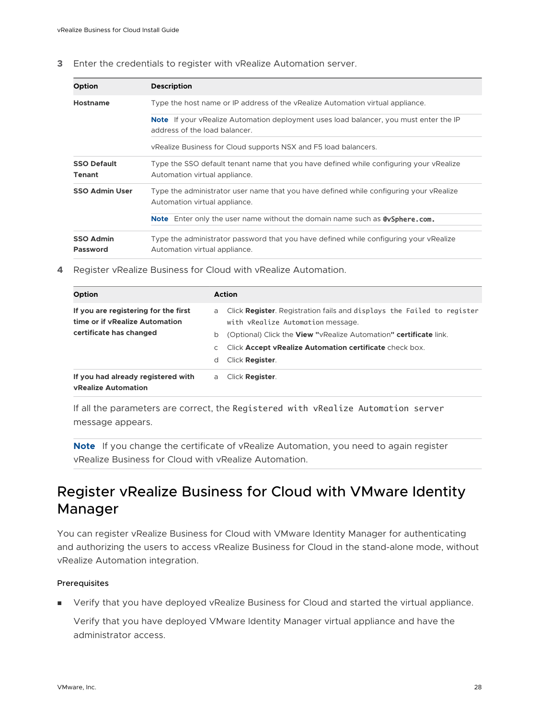#### <span id="page-27-0"></span>**3** Enter the credentials to register with vRealize Automation server.

| <b>Option</b>                | <b>Description</b>                                                                                                            |
|------------------------------|-------------------------------------------------------------------------------------------------------------------------------|
| <b>Hostname</b>              | Type the host name or IP address of the vRealize Automation virtual appliance.                                                |
|                              | <b>Note</b> If your vRealize Automation deployment uses load balancer, you must enter the IP<br>address of the load balancer. |
|                              | vRealize Business for Cloud supports NSX and F5 load balancers.                                                               |
| <b>SSO Default</b><br>Tenant | Type the SSO default tenant name that you have defined while configuring your vRealize<br>Automation virtual appliance.       |
| <b>SSO Admin User</b>        | Type the administrator user name that you have defined while configuring your vRealize<br>Automation virtual appliance.       |
|                              | <b>Note</b> Enter only the user name without the domain name such as <b>@ySphere.com.</b>                                     |
| <b>SSO Admin</b><br>Password | Type the administrator password that you have defined while configuring your vRealize                                         |
|                              | Automation virtual appliance.                                                                                                 |

#### **4** Register vRealize Business for Cloud with vRealize Automation.

| Option                                                                                            | <b>Action</b> |                                                                                                                                                                                  |
|---------------------------------------------------------------------------------------------------|---------------|----------------------------------------------------------------------------------------------------------------------------------------------------------------------------------|
| If you are registering for the first<br>time or if vRealize Automation<br>certificate has changed | a<br>b        | Click Register. Registration fails and displays the Failed to register<br>with vRealize Automation message.<br>(Optional) Click the View "vRealize Automation" certificate link. |
|                                                                                                   | C<br>d        | Click Accept vRealize Automation certificate check box.<br>Click Register.                                                                                                       |
| If you had already registered with<br><b>vRealize Automation</b>                                  | a             | Click Register.                                                                                                                                                                  |

If all the parameters are correct, the Registered with vRealize Automation server message appears.

**Note** If you change the certificate of vRealize Automation, you need to again register vRealize Business for Cloud with vRealize Automation.

## Register vRealize Business for Cloud with VMware Identity Manager

You can register vRealize Business for Cloud with VMware Identity Manager for authenticating and authorizing the users to access vRealize Business for Cloud in the stand-alone mode, without vRealize Automation integration.

#### Prerequisites

**n** Verify that you have deployed vRealize Business for Cloud and started the virtual appliance.

Verify that you have deployed VMware Identity Manager virtual appliance and have the administrator access.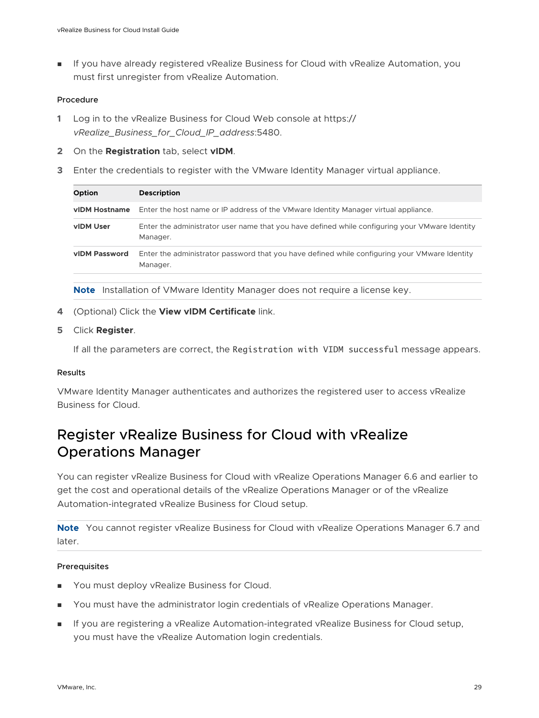<span id="page-28-0"></span>**n** If you have already registered vRealize Business for Cloud with vRealize Automation, you must first unregister from vRealize Automation.

#### Procedure

- **1** Log in to the vRealize Business for Cloud Web console at https:// *vRealize\_Business\_for\_Cloud\_IP\_address*:5480.
- **2** On the **Registration** tab, select **vIDM**.
- **3** Enter the credentials to register with the VMware Identity Manager virtual appliance.

| <b>Option</b> | <b>Description</b>                                                                                         |
|---------------|------------------------------------------------------------------------------------------------------------|
| vIDM Hostname | Enter the host name or IP address of the VMware Identity Manager virtual appliance.                        |
| vIDM User     | Enter the administrator user name that you have defined while configuring your VMware Identity<br>Manager. |
| vIDM Password | Enter the administrator password that you have defined while configuring your VMware Identity<br>Manager.  |
|               |                                                                                                            |

**Note** Installation of VMware Identity Manager does not require a license key.

**4** (Optional) Click the **View vIDM Certificate** link.

#### **5** Click **Register**.

If all the parameters are correct, the Registration with VIDM successful message appears.

#### **Results**

VMware Identity Manager authenticates and authorizes the registered user to access vRealize Business for Cloud.

## Register vRealize Business for Cloud with vRealize Operations Manager

You can register vRealize Business for Cloud with vRealize Operations Manager 6.6 and earlier to get the cost and operational details of the vRealize Operations Manager or of the vRealize Automation-integrated vRealize Business for Cloud setup.

**Note** You cannot register vRealize Business for Cloud with vRealize Operations Manager 6.7 and later.

#### Prerequisites

- **Nou must deploy vRealize Business for Cloud.**
- **n** You must have the administrator login credentials of vRealize Operations Manager.
- **n** If you are registering a vRealize Automation-integrated vRealize Business for Cloud setup, you must have the vRealize Automation login credentials.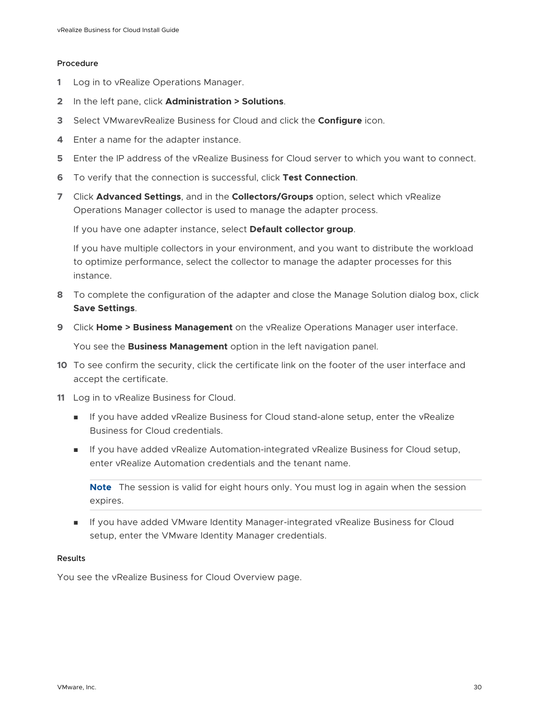#### Procedure

- **1** Log in to vRealize Operations Manager.
- **2** In the left pane, click **Administration > Solutions**.
- **3** Select VMwarevRealize Business for Cloud and click the **Configure** icon.
- **4** Enter a name for the adapter instance.
- **5** Enter the IP address of the vRealize Business for Cloud server to which you want to connect.
- **6** To verify that the connection is successful, click **Test Connection**.
- **7** Click **Advanced Settings**, and in the **Collectors/Groups** option, select which vRealize Operations Manager collector is used to manage the adapter process.

If you have one adapter instance, select **Default collector group**.

If you have multiple collectors in your environment, and you want to distribute the workload to optimize performance, select the collector to manage the adapter processes for this instance.

- **8** To complete the configuration of the adapter and close the Manage Solution dialog box, click **Save Settings**.
- **9** Click **Home > Business Management** on the vRealize Operations Manager user interface.

You see the **Business Management** option in the left navigation panel.

- **10** To see confirm the security, click the certificate link on the footer of the user interface and accept the certificate.
- **11** Log in to vRealize Business for Cloud.
	- **n** If you have added vRealize Business for Cloud stand-alone setup, enter the vRealize Business for Cloud credentials.
	- **n** If you have added vRealize Automation-integrated vRealize Business for Cloud setup, enter vRealize Automation credentials and the tenant name.

**Note** The session is valid for eight hours only. You must log in again when the session expires.

**n** If you have added VMware Identity Manager-integrated vRealize Business for Cloud setup, enter the VMware Identity Manager credentials.

#### Results

You see the vRealize Business for Cloud Overview page.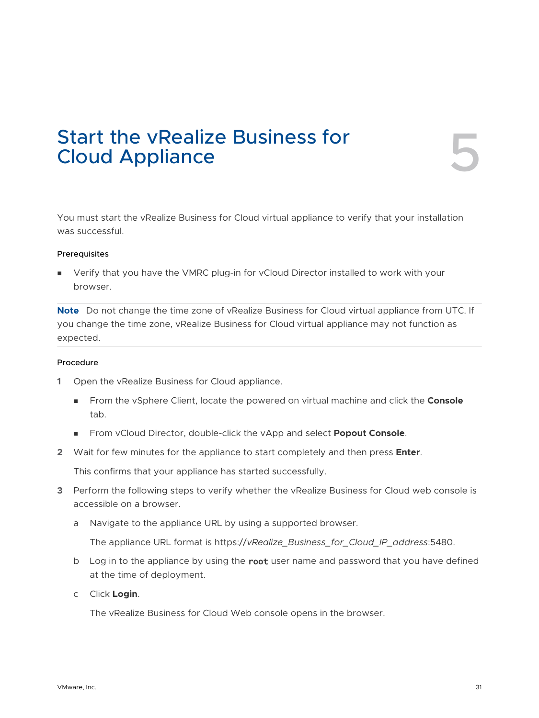## <span id="page-30-0"></span>Start the vRealize Business for<br>Cloud Appliance

You must start the vRealize Business for Cloud virtual appliance to verify that your installation was successful.

#### Prerequisites

**n** Verify that you have the VMRC plug-in for vCloud Director installed to work with your browser.

**Note** Do not change the time zone of vRealize Business for Cloud virtual appliance from UTC. If you change the time zone, vRealize Business for Cloud virtual appliance may not function as expected.

#### Procedure

- **1** Open the vRealize Business for Cloud appliance.
	- <sup>n</sup> From the vSphere Client, locate the powered on virtual machine and click the **Console**  tab.
	- <sup>n</sup> From vCloud Director, double-click the vApp and select **Popout Console**.
- **2** Wait for few minutes for the appliance to start completely and then press **Enter**.

This confirms that your appliance has started successfully.

- **3** Perform the following steps to verify whether the vRealize Business for Cloud web console is accessible on a browser.
	- a Navigate to the appliance URL by using a supported browser.

The appliance URL format is https://*vRealize\_Business\_for\_Cloud\_IP\_address*:5480.

- b Log in to the appliance by using the root user name and password that you have defined at the time of deployment.
- c Click **Login**.

The vRealize Business for Cloud Web console opens in the browser.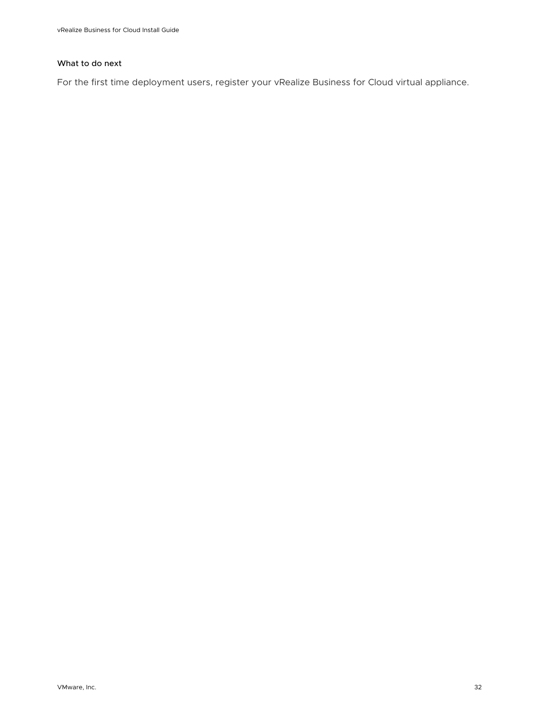#### What to do next

For the first time deployment users, register your vRealize Business for Cloud virtual appliance.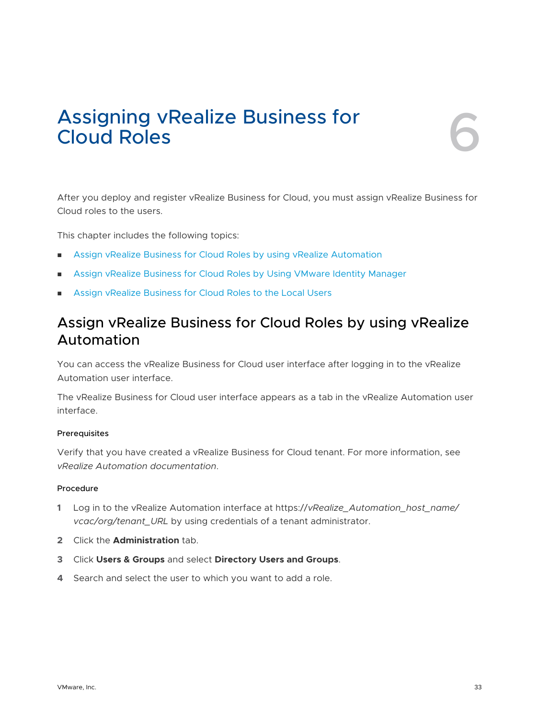## <span id="page-32-0"></span>Assigning vRealize Business for **60 metalism**

After you deploy and register vRealize Business for Cloud, you must assign vRealize Business for Cloud roles to the users.

This chapter includes the following topics:

- **n** Assign vRealize Business for Cloud Roles by using vRealize Automation
- **n** [Assign vRealize Business for Cloud Roles by Using VMware Identity Manager](#page-33-0)
- [Assign vRealize Business for Cloud Roles to the Local Users](#page-34-0)

## Assign vRealize Business for Cloud Roles by using vRealize Automation

You can access the vRealize Business for Cloud user interface after logging in to the vRealize Automation user interface.

The vRealize Business for Cloud user interface appears as a tab in the vRealize Automation user interface.

#### Prerequisites

Verify that you have created a vRealize Business for Cloud tenant. For more information, see *vRealize Automation documentation*.

#### Procedure

- **1** Log in to the vRealize Automation interface at https://*vRealize\_Automation\_host\_name/ vcac/org/tenant\_URL* by using credentials of a tenant administrator.
- **2** Click the **Administration** tab.
- **3** Click **Users & Groups** and select **Directory Users and Groups**.
- **4** Search and select the user to which you want to add a role.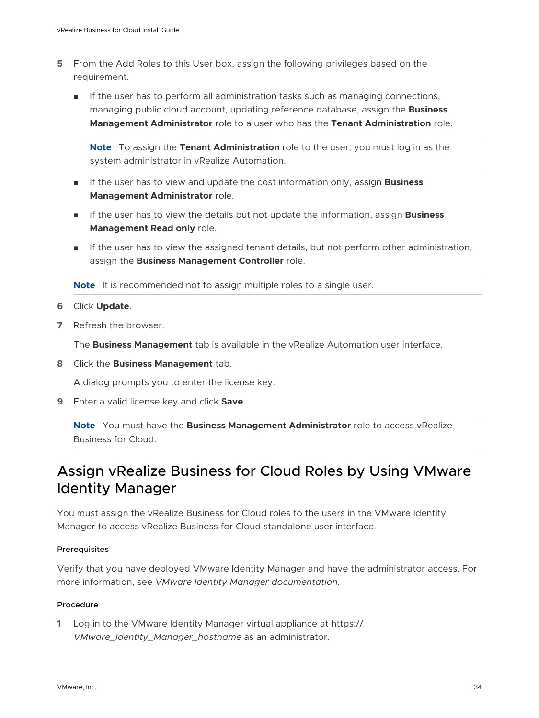- <span id="page-33-0"></span>**5** From the Add Roles to this User box, assign the following privileges based on the requirement.
	- **n** If the user has to perform all administration tasks such as managing connections, managing public cloud account, updating reference database, assign the **Business Management Administrator** role to a user who has the **Tenant Administration** role.

**Note** To assign the **Tenant Administration** role to the user, you must log in as the system administrator in vRealize Automation.

- **n** If the user has to view and update the cost information only, assign **Business Management Administrator** role.
- **n** If the user has to view the details but not update the information, assign **Business Management Read only** role.
- **n** If the user has to view the assigned tenant details, but not perform other administration, assign the **Business Management Controller** role.

**Note** It is recommended not to assign multiple roles to a single user.

- **6** Click **Update**.
- **7** Refresh the browser.

The **Business Management** tab is available in the vRealize Automation user interface.

**8** Click the **Business Management** tab.

A dialog prompts you to enter the license key.

**9** Enter a valid license key and click **Save**.

**Note** You must have the **Business Management Administrator** role to access vRealize Business for Cloud.

## Assign vRealize Business for Cloud Roles by Using VMware Identity Manager

You must assign the vRealize Business for Cloud roles to the users in the VMware Identity Manager to access vRealize Business for Cloud standalone user interface.

#### Prerequisites

Verify that you have deployed VMware Identity Manager and have the administrator access. For more information, see *VMware Identity Manager documentation*.

#### Procedure

**1** Log in to the VMware Identity Manager virtual appliance at https:// *VMware\_Identity\_Manager\_hostname* as an administrator.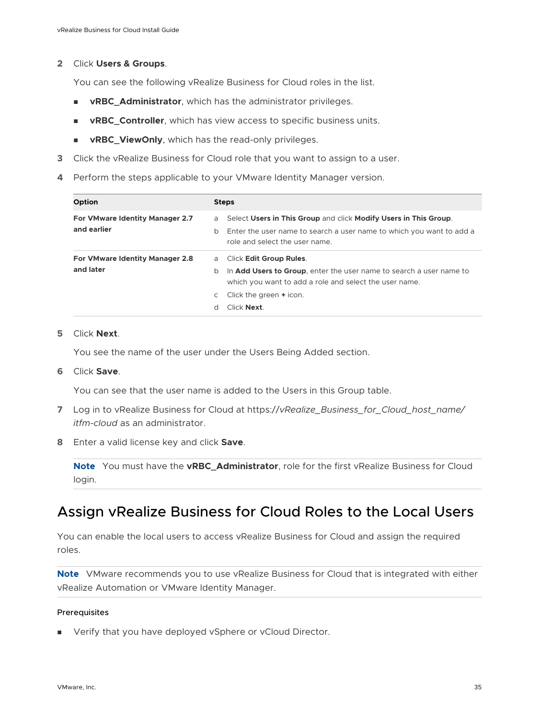#### <span id="page-34-0"></span>**2** Click **Users & Groups**.

You can see the following vRealize Business for Cloud roles in the list.

- **n vRBC\_Administrator**, which has the administrator privileges.
- **vRBC\_Controller**, which has view access to specific business units.
- **n vRBC\_ViewOnly**, which has the read-only privileges.
- **3** Click the vRealize Business for Cloud role that you want to assign to a user.
- **4** Perform the steps applicable to your VMware Identity Manager version.

| <b>Option</b>                                  | <b>Steps</b>                                                                                                                                                                                                                           |  |
|------------------------------------------------|----------------------------------------------------------------------------------------------------------------------------------------------------------------------------------------------------------------------------------------|--|
| For VMware Identity Manager 2.7<br>and earlier | Select Users in This Group and click Modify Users in This Group.<br>a<br>Enter the user name to search a user name to which you want to add a<br>b<br>role and select the user name.                                                   |  |
| For VMware Identity Manager 2.8<br>and later   | Click Edit Group Rules.<br>a<br>In <b>Add Users to Group</b> , enter the user name to search a user name to<br>b<br>which you want to add a role and select the user name.<br>Click the green + icon.<br>C<br>Click <b>Next</b> .<br>d |  |

#### **5** Click **Next**.

You see the name of the user under the Users Being Added section.

**6** Click **Save**.

You can see that the user name is added to the Users in this Group table.

- **7** Log in to vRealize Business for Cloud at https://*vRealize\_Business\_for\_Cloud\_host\_name/ itfm-cloud* as an administrator.
- **8** Enter a valid license key and click **Save**.

**Note** You must have the **vRBC\_Administrator**, role for the first vRealize Business for Cloud login.

## Assign vRealize Business for Cloud Roles to the Local Users

You can enable the local users to access vRealize Business for Cloud and assign the required roles.

**Note** VMware recommends you to use vRealize Business for Cloud that is integrated with either vRealize Automation or VMware Identity Manager.

#### Prerequisites

**Now Verify that you have deployed vSphere or vCloud Director.**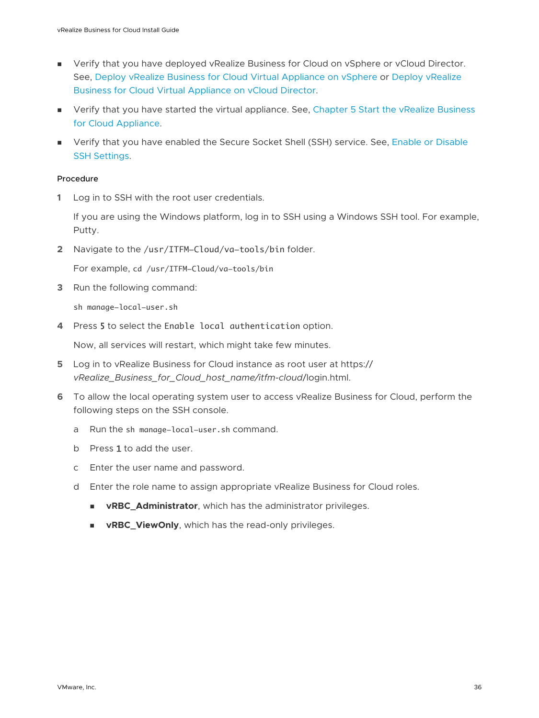- **•** Verify that you have deployed vRealize Business for Cloud on vSphere or vCloud Director. See, [Deploy vRealize Business for Cloud Virtual Appliance on vSphere](#page-21-0) or [Deploy vRealize](#page-23-0)  [Business for Cloud Virtual Appliance on vCloud Director](#page-23-0).
- **n** Verify that you have started the virtual appliance. See, Chapter 5 Start the vRealize Business [for Cloud Appliance](#page-30-0).
- **n** Verify that you have enabled the Secure Socket Shell (SSH) service. See, Enable or Disable [SSH Settings](#page-74-0).

#### Procedure

**1** Log in to SSH with the root user credentials.

If you are using the Windows platform, log in to SSH using a Windows SSH tool. For example, Putty.

**2** Navigate to the /usr/ITFM-Cloud/va-tools/bin folder.

For example, cd /usr/ITFM-Cloud/va-tools/bin

**3** Run the following command:

sh manage-local-user.sh

**4** Press 5 to select the Enable local authentication option.

Now, all services will restart, which might take few minutes.

- **5** Log in to vRealize Business for Cloud instance as root user at https:// *vRealize\_Business\_for\_Cloud\_host\_name/itfm-cloud*/login.html.
- **6** To allow the local operating system user to access vRealize Business for Cloud, perform the following steps on the SSH console.
	- a Run the sh manage-local-user.sh command.
	- b Press 1 to add the user.
	- c Enter the user name and password.
	- d Enter the role name to assign appropriate vRealize Business for Cloud roles.
		- **n vRBC\_Administrator**, which has the administrator privileges.
		- **vRBC\_ViewOnly**, which has the read-only privileges.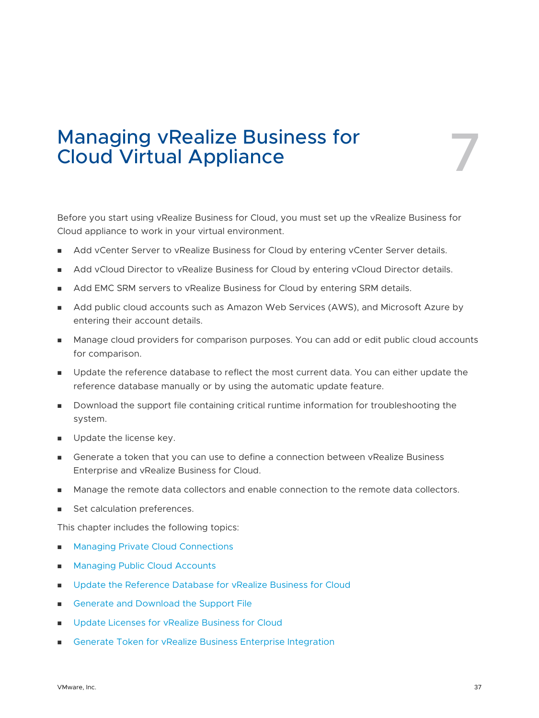## Managing vRealize Business for<br>Cloud Virtual Appliance

Before you start using vRealize Business for Cloud, you must set up the vRealize Business for Cloud appliance to work in your virtual environment.

- Add vCenter Server to vRealize Business for Cloud by entering vCenter Server details.
- **Add vCloud Director to vRealize Business for Cloud by entering vCloud Director details.**
- **n** Add EMC SRM servers to vRealize Business for Cloud by entering SRM details.
- Add public cloud accounts such as Amazon Web Services (AWS), and Microsoft Azure by entering their account details.
- **n** Manage cloud providers for comparison purposes. You can add or edit public cloud accounts for comparison.
- **D** Update the reference database to reflect the most current data. You can either update the reference database manually or by using the automatic update feature.
- **n** Download the support file containing critical runtime information for troubleshooting the system.
- **n** Update the license key.
- Generate a token that you can use to define a connection between vRealize Business Enterprise and vRealize Business for Cloud.
- <sup>n</sup> Manage the remote data collectors and enable connection to the remote data collectors.
- Set calculation preferences.

This chapter includes the following topics:

- [Managing Private Cloud Connections](#page-37-0)
- **n** [Managing Public Cloud Accounts](#page-44-0)
- **n** [Update the Reference Database for vRealize Business for Cloud](#page-57-0)
- **n** [Generate and Download the Support File](#page-59-0)
- **n** [Update Licenses for vRealize Business for Cloud](#page-60-0)
- **n** [Generate Token for vRealize Business Enterprise Integration](#page-61-0)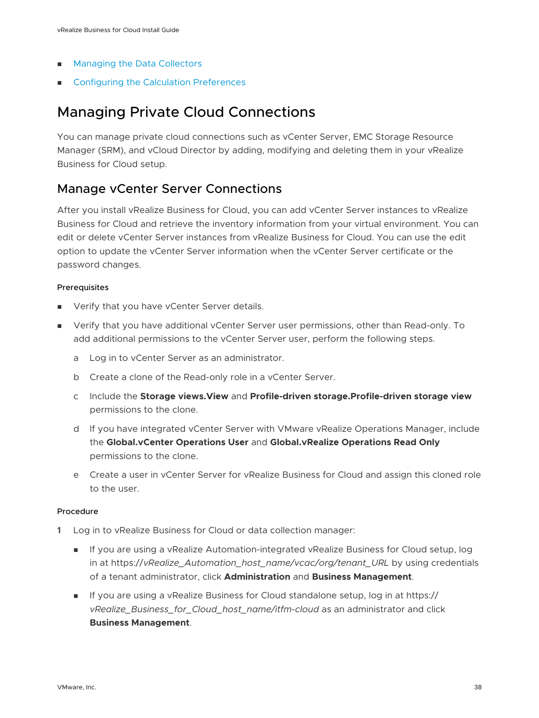- <span id="page-37-0"></span>**n** [Managing the Data Collectors](#page-62-0)
- **n** [Configuring the Calculation Preferences](#page-65-0)

## Managing Private Cloud Connections

You can manage private cloud connections such as vCenter Server, EMC Storage Resource Manager (SRM), and vCloud Director by adding, modifying and deleting them in your vRealize Business for Cloud setup.

## Manage vCenter Server Connections

After you install vRealize Business for Cloud, you can add vCenter Server instances to vRealize Business for Cloud and retrieve the inventory information from your virtual environment. You can edit or delete vCenter Server instances from vRealize Business for Cloud. You can use the edit option to update the vCenter Server information when the vCenter Server certificate or the password changes.

#### Prerequisites

- **No Verify that you have vCenter Server details.**
- <sup>n</sup> Verify that you have additional vCenter Server user permissions, other than Read-only. To add additional permissions to the vCenter Server user, perform the following steps.
	- a Log in to vCenter Server as an administrator.
	- b Create a clone of the Read-only role in a vCenter Server.
	- c Include the **Storage views.View** and **Profile-driven storage.Profile-driven storage view**  permissions to the clone.
	- d If you have integrated vCenter Server with VMware vRealize Operations Manager, include the **Global.vCenter Operations User** and **Global.vRealize Operations Read Only**  permissions to the clone.
	- e Create a user in vCenter Server for vRealize Business for Cloud and assign this cloned role to the user.

- **1** Log in to vRealize Business for Cloud or data collection manager:
	- **n** If you are using a vRealize Automation-integrated vRealize Business for Cloud setup, log in at https://*vRealize\_Automation\_host\_name/vcac/org/tenant\_URL* by using credentials of a tenant administrator, click **Administration** and **Business Management**.
	- If you are using a vRealize Business for Cloud standalone setup, log in at https:// *vRealize\_Business\_for\_Cloud\_host\_name/itfm-cloud* as an administrator and click **Business Management**.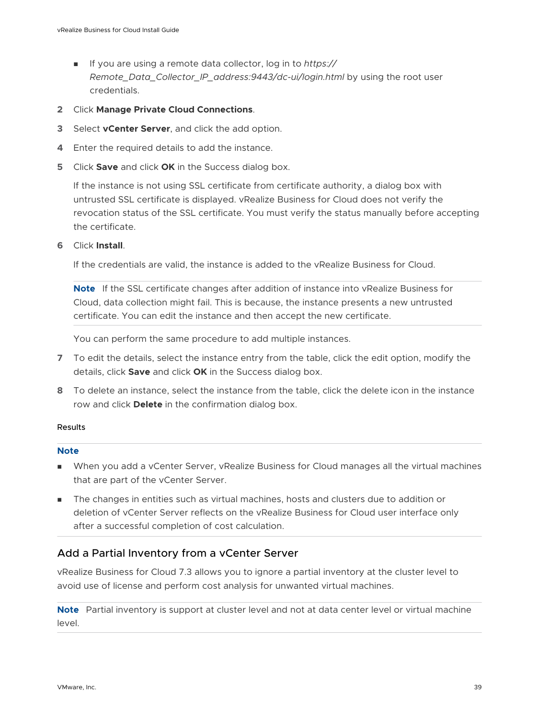- <sup>n</sup> If you are using a remote data collector, log in to *https:// Remote\_Data\_Collector\_IP\_address:9443/dc-ui/login.html* by using the root user credentials.
- **2** Click **Manage Private Cloud Connections**.
- **3** Select **vCenter Server**, and click the add option.
- **4** Enter the required details to add the instance.
- **5** Click **Save** and click **OK** in the Success dialog box.

If the instance is not using SSL certificate from certificate authority, a dialog box with untrusted SSL certificate is displayed. vRealize Business for Cloud does not verify the revocation status of the SSL certificate. You must verify the status manually before accepting the certificate.

**6** Click **Install**.

If the credentials are valid, the instance is added to the vRealize Business for Cloud.

**Note** If the SSL certificate changes after addition of instance into vRealize Business for Cloud, data collection might fail. This is because, the instance presents a new untrusted certificate. You can edit the instance and then accept the new certificate.

You can perform the same procedure to add multiple instances.

- **7** To edit the details, select the instance entry from the table, click the edit option, modify the details, click **Save** and click **OK** in the Success dialog box.
- **8** To delete an instance, select the instance from the table, click the delete icon in the instance row and click **Delete** in the confirmation dialog box.

#### Results

#### **Note**

- **Nen you add a vCenter Server, vRealize Business for Cloud manages all the virtual machines** that are part of the vCenter Server.
- The changes in entities such as virtual machines, hosts and clusters due to addition or deletion of vCenter Server reflects on the vRealize Business for Cloud user interface only after a successful completion of cost calculation.

#### Add a Partial Inventory from a vCenter Server

vRealize Business for Cloud 7.3 allows you to ignore a partial inventory at the cluster level to avoid use of license and perform cost analysis for unwanted virtual machines.

**Note** Partial inventory is support at cluster level and not at data center level or virtual machine level.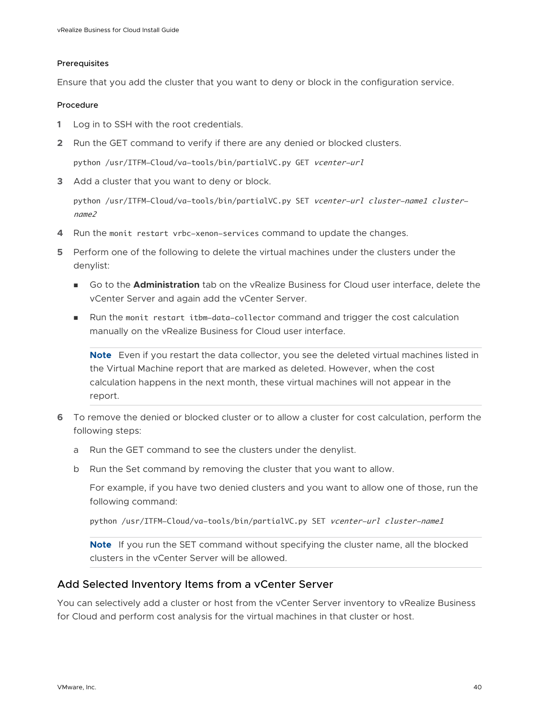#### Prerequisites

Ensure that you add the cluster that you want to deny or block in the configuration service.

#### Procedure

- **1** Log in to SSH with the root credentials.
- **2** Run the GET command to verify if there are any denied or blocked clusters.

python /usr/ITFM-Cloud/va-tools/bin/partialVC.py GET vcenter-url

**3** Add a cluster that you want to deny or block.

python /usr/ITFM-Cloud/va-tools/bin/partialVC.py SET vcenter-url cluster-name1 clustername2

- **4** Run the monit restart vrbc-xenon-services command to update the changes.
- **5** Perform one of the following to delete the virtual machines under the clusters under the denylist:
	- <sup>n</sup> Go to the **Administration** tab on the vRealize Business for Cloud user interface, delete the vCenter Server and again add the vCenter Server.
	- n Run the monit restart itbm-data-collector command and trigger the cost calculation manually on the vRealize Business for Cloud user interface.

**Note** Even if you restart the data collector, you see the deleted virtual machines listed in the Virtual Machine report that are marked as deleted. However, when the cost calculation happens in the next month, these virtual machines will not appear in the report.

- **6** To remove the denied or blocked cluster or to allow a cluster for cost calculation, perform the following steps:
	- a Run the GET command to see the clusters under the denylist.
	- b Run the Set command by removing the cluster that you want to allow.

For example, if you have two denied clusters and you want to allow one of those, run the following command:

python /usr/ITFM-Cloud/va-tools/bin/partialVC.py SET vcenter-url cluster-name1

**Note** If you run the SET command without specifying the cluster name, all the blocked clusters in the vCenter Server will be allowed.

#### Add Selected Inventory Items from a vCenter Server

You can selectively add a cluster or host from the vCenter Server inventory to vRealize Business for Cloud and perform cost analysis for the virtual machines in that cluster or host.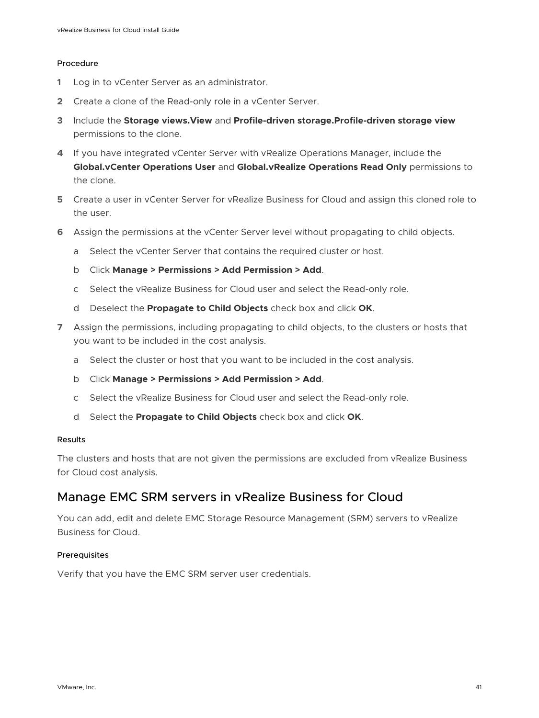#### Procedure

- **1** Log in to vCenter Server as an administrator.
- **2** Create a clone of the Read-only role in a vCenter Server.
- **3** Include the **Storage views.View** and **Profile-driven storage.Profile-driven storage view**  permissions to the clone.
- **4** If you have integrated vCenter Server with vRealize Operations Manager, include the **Global.vCenter Operations User** and **Global.vRealize Operations Read Only** permissions to the clone.
- **5** Create a user in vCenter Server for vRealize Business for Cloud and assign this cloned role to the user.
- **6** Assign the permissions at the vCenter Server level without propagating to child objects.
	- a Select the vCenter Server that contains the required cluster or host.
	- b Click **Manage > Permissions > Add Permission > Add**.
	- c Select the vRealize Business for Cloud user and select the Read-only role.
	- d Deselect the **Propagate to Child Objects** check box and click **OK**.
- **7** Assign the permissions, including propagating to child objects, to the clusters or hosts that you want to be included in the cost analysis.
	- a Select the cluster or host that you want to be included in the cost analysis.
	- b Click **Manage > Permissions > Add Permission > Add**.
	- c Select the vRealize Business for Cloud user and select the Read-only role.
	- d Select the **Propagate to Child Objects** check box and click **OK**.

#### Results

The clusters and hosts that are not given the permissions are excluded from vRealize Business for Cloud cost analysis.

## Manage EMC SRM servers in vRealize Business for Cloud

You can add, edit and delete EMC Storage Resource Management (SRM) servers to vRealize Business for Cloud.

#### Prerequisites

Verify that you have the EMC SRM server user credentials.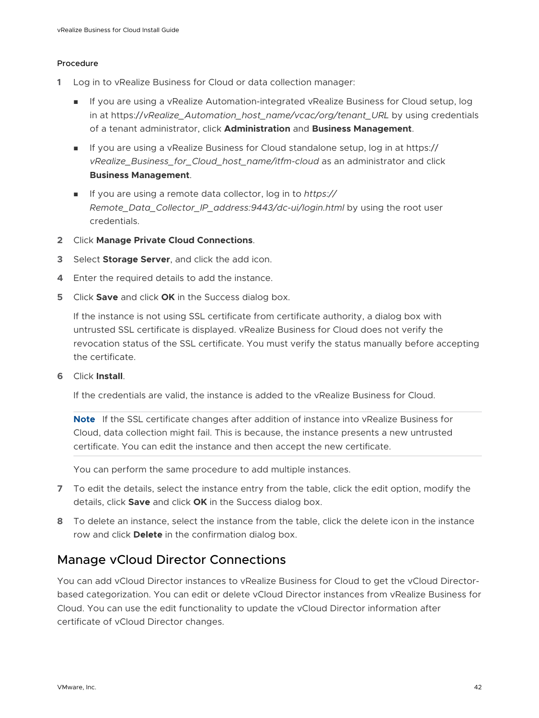#### Procedure

- **1** Log in to vRealize Business for Cloud or data collection manager:
	- <sup>n</sup> If you are using a vRealize Automation-integrated vRealize Business for Cloud setup, log in at https://*vRealize\_Automation\_host\_name/vcac/org/tenant\_URL* by using credentials of a tenant administrator, click **Administration** and **Business Management**.
	- If you are using a vRealize Business for Cloud standalone setup, log in at https:// *vRealize\_Business\_for\_Cloud\_host\_name/itfm-cloud* as an administrator and click **Business Management**.
	- <sup>n</sup> If you are using a remote data collector, log in to *https:// Remote\_Data\_Collector\_IP\_address:9443/dc-ui/login.html* by using the root user credentials.
- **2** Click **Manage Private Cloud Connections**.
- **3** Select **Storage Server**, and click the add icon.
- **4** Enter the required details to add the instance.
- **5** Click **Save** and click **OK** in the Success dialog box.

If the instance is not using SSL certificate from certificate authority, a dialog box with untrusted SSL certificate is displayed. vRealize Business for Cloud does not verify the revocation status of the SSL certificate. You must verify the status manually before accepting the certificate.

**6** Click **Install**.

If the credentials are valid, the instance is added to the vRealize Business for Cloud.

**Note** If the SSL certificate changes after addition of instance into vRealize Business for Cloud, data collection might fail. This is because, the instance presents a new untrusted certificate. You can edit the instance and then accept the new certificate.

You can perform the same procedure to add multiple instances.

- **7** To edit the details, select the instance entry from the table, click the edit option, modify the details, click **Save** and click **OK** in the Success dialog box.
- **8** To delete an instance, select the instance from the table, click the delete icon in the instance row and click **Delete** in the confirmation dialog box.

## Manage vCloud Director Connections

You can add vCloud Director instances to vRealize Business for Cloud to get the vCloud Directorbased categorization. You can edit or delete vCloud Director instances from vRealize Business for Cloud. You can use the edit functionality to update the vCloud Director information after certificate of vCloud Director changes.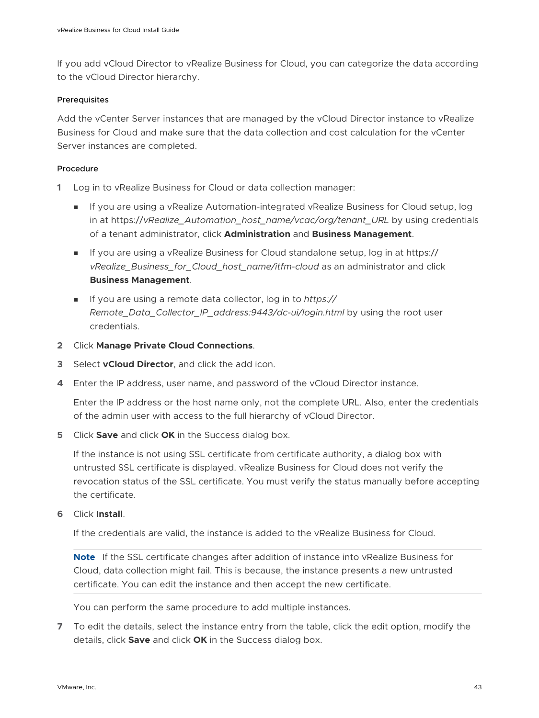If you add vCloud Director to vRealize Business for Cloud, you can categorize the data according to the vCloud Director hierarchy.

#### Prerequisites

Add the vCenter Server instances that are managed by the vCloud Director instance to vRealize Business for Cloud and make sure that the data collection and cost calculation for the vCenter Server instances are completed.

#### Procedure

- **1** Log in to vRealize Business for Cloud or data collection manager:
	- **n** If you are using a vRealize Automation-integrated vRealize Business for Cloud setup, log in at https://*vRealize\_Automation\_host\_name/vcac/org/tenant\_URL* by using credentials of a tenant administrator, click **Administration** and **Business Management**.
	- If you are using a vRealize Business for Cloud standalone setup, log in at https:// *vRealize\_Business\_for\_Cloud\_host\_name/itfm-cloud* as an administrator and click **Business Management**.
	- <sup>n</sup> If you are using a remote data collector, log in to *https:// Remote\_Data\_Collector\_IP\_address:9443/dc-ui/login.html* by using the root user credentials.
- **2** Click **Manage Private Cloud Connections**.
- **3** Select **vCloud Director**, and click the add icon.
- **4** Enter the IP address, user name, and password of the vCloud Director instance.

Enter the IP address or the host name only, not the complete URL. Also, enter the credentials of the admin user with access to the full hierarchy of vCloud Director.

**5** Click **Save** and click **OK** in the Success dialog box.

If the instance is not using SSL certificate from certificate authority, a dialog box with untrusted SSL certificate is displayed. vRealize Business for Cloud does not verify the revocation status of the SSL certificate. You must verify the status manually before accepting the certificate.

**6** Click **Install**.

If the credentials are valid, the instance is added to the vRealize Business for Cloud.

**Note** If the SSL certificate changes after addition of instance into vRealize Business for Cloud, data collection might fail. This is because, the instance presents a new untrusted certificate. You can edit the instance and then accept the new certificate.

You can perform the same procedure to add multiple instances.

**7** To edit the details, select the instance entry from the table, click the edit option, modify the details, click **Save** and click **OK** in the Success dialog box.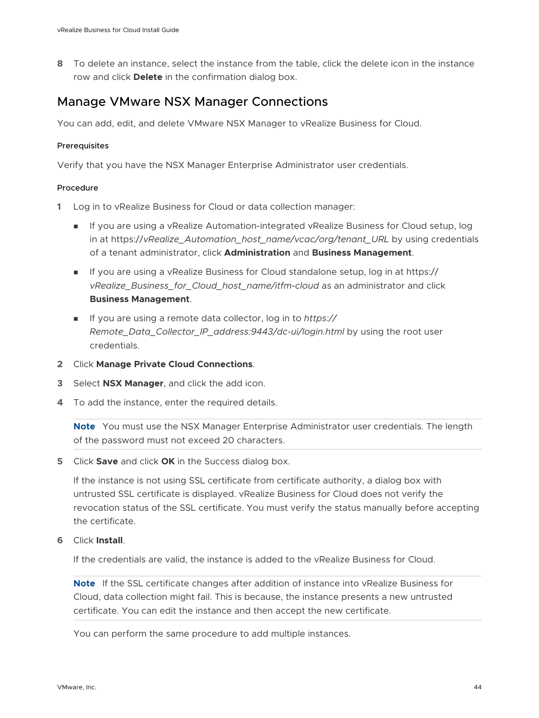**8** To delete an instance, select the instance from the table, click the delete icon in the instance row and click **Delete** in the confirmation dialog box.

## Manage VMware NSX Manager Connections

You can add, edit, and delete VMware NSX Manager to vRealize Business for Cloud.

#### Prerequisites

Verify that you have the NSX Manager Enterprise Administrator user credentials.

#### Procedure

- **1** Log in to vRealize Business for Cloud or data collection manager:
	- **n** If you are using a vRealize Automation-integrated vRealize Business for Cloud setup, log in at https://*vRealize\_Automation\_host\_name/vcac/org/tenant\_URL* by using credentials of a tenant administrator, click **Administration** and **Business Management**.
	- If you are using a vRealize Business for Cloud standalone setup, log in at https:// *vRealize\_Business\_for\_Cloud\_host\_name/itfm-cloud* as an administrator and click **Business Management**.
	- <sup>n</sup> If you are using a remote data collector, log in to *https:// Remote\_Data\_Collector\_IP\_address:9443/dc-ui/login.html* by using the root user credentials.
- **2** Click **Manage Private Cloud Connections**.
- **3** Select **NSX Manager**, and click the add icon.
- **4** To add the instance, enter the required details.

**Note** You must use the NSX Manager Enterprise Administrator user credentials. The length of the password must not exceed 20 characters.

**5** Click **Save** and click **OK** in the Success dialog box.

If the instance is not using SSL certificate from certificate authority, a dialog box with untrusted SSL certificate is displayed. vRealize Business for Cloud does not verify the revocation status of the SSL certificate. You must verify the status manually before accepting the certificate.

**6** Click **Install**.

If the credentials are valid, the instance is added to the vRealize Business for Cloud.

**Note** If the SSL certificate changes after addition of instance into vRealize Business for Cloud, data collection might fail. This is because, the instance presents a new untrusted certificate. You can edit the instance and then accept the new certificate.

You can perform the same procedure to add multiple instances.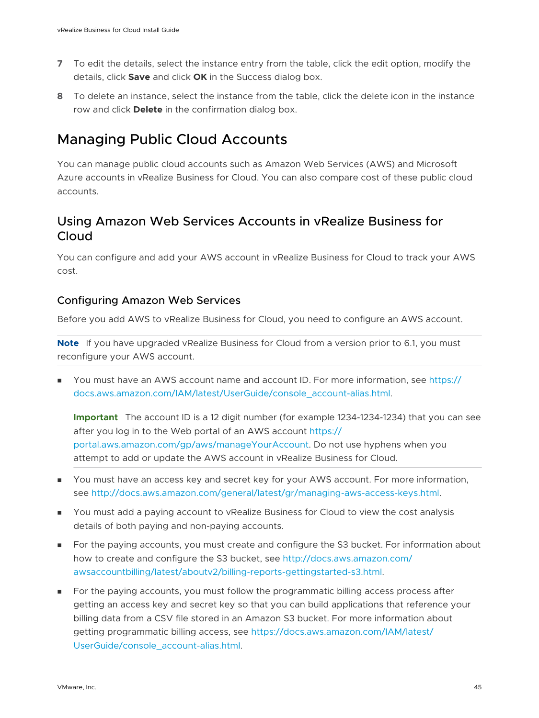- <span id="page-44-0"></span>**7** To edit the details, select the instance entry from the table, click the edit option, modify the details, click **Save** and click **OK** in the Success dialog box.
- **8** To delete an instance, select the instance from the table, click the delete icon in the instance row and click **Delete** in the confirmation dialog box.

## Managing Public Cloud Accounts

You can manage public cloud accounts such as Amazon Web Services (AWS) and Microsoft Azure accounts in vRealize Business for Cloud. You can also compare cost of these public cloud accounts.

## Using Amazon Web Services Accounts in vRealize Business for Cloud

You can configure and add your AWS account in vRealize Business for Cloud to track your AWS cost.

#### Configuring Amazon Web Services

Before you add AWS to vRealize Business for Cloud, you need to configure an AWS account.

**Note** If you have upgraded vRealize Business for Cloud from a version prior to 6.1, you must reconfigure your AWS account.

You must have an AWS account name and account ID. For more information, see [https://](https://docs.aws.amazon.com/IAM/latest/UserGuide/console_account-alias.html) [docs.aws.amazon.com/IAM/latest/UserGuide/console\\_account-alias.html](https://docs.aws.amazon.com/IAM/latest/UserGuide/console_account-alias.html).

**Important** The account ID is a 12 digit number (for example 1234-1234-1234) that you can see after you log in to the Web portal of an AWS account [https://](https://portal.aws.amazon.com/gp/aws/manageYourAccount) [portal.aws.amazon.com/gp/aws/manageYourAccount](https://portal.aws.amazon.com/gp/aws/manageYourAccount). Do not use hyphens when you attempt to add or update the AWS account in vRealize Business for Cloud.

- **n** You must have an access key and secret key for your AWS account. For more information, see <http://docs.aws.amazon.com/general/latest/gr/managing-aws-access-keys.html>.
- **n** You must add a paying account to vRealize Business for Cloud to view the cost analysis details of both paying and non-paying accounts.
- <sup>n</sup> For the paying accounts, you must create and configure the S3 bucket. For information about how to create and configure the S3 bucket, see [http://docs.aws.amazon.com/](http://docs.aws.amazon.com/awsaccountbilling/latest/aboutv2/billing-reports-gettingstarted-s3.html) [awsaccountbilling/latest/aboutv2/billing-reports-gettingstarted-s3.html](http://docs.aws.amazon.com/awsaccountbilling/latest/aboutv2/billing-reports-gettingstarted-s3.html).
- **n** For the paying accounts, you must follow the programmatic billing access process after getting an access key and secret key so that you can build applications that reference your billing data from a CSV file stored in an Amazon S3 bucket. For more information about getting programmatic billing access, see [https://docs.aws.amazon.com/IAM/latest/](https://docs.aws.amazon.com/IAM/latest/UserGuide/console_account-alias.html) [UserGuide/console\\_account-alias.html.](https://docs.aws.amazon.com/IAM/latest/UserGuide/console_account-alias.html)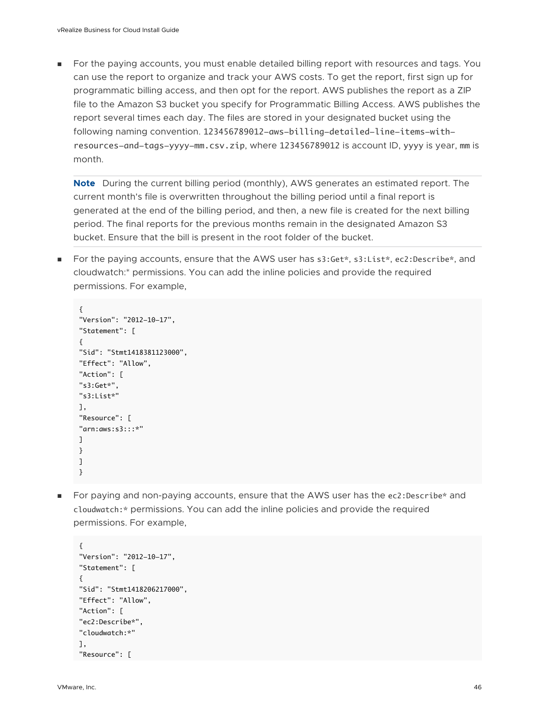**For the paying accounts, you must enable detailed billing report with resources and tags. You** can use the report to organize and track your AWS costs. To get the report, first sign up for programmatic billing access, and then opt for the report. AWS publishes the report as a ZIP file to the Amazon S3 bucket you specify for Programmatic Billing Access. AWS publishes the report several times each day. The files are stored in your designated bucket using the following naming convention. 123456789012-aws-billing-detailed-line-items-withresources-and-tags-yyyy-mm.csv.zip, where 123456789012 is account ID, yyyy is year, mm is month.

**Note** During the current billing period (monthly), AWS generates an estimated report. The current month's file is overwritten throughout the billing period until a final report is generated at the end of the billing period, and then, a new file is created for the next billing period. The final reports for the previous months remain in the designated Amazon S3 bucket. Ensure that the bill is present in the root folder of the bucket.

■ For the paying accounts, ensure that the AWS user has s3:Get\*, s3:List\*, ec2:Describe\*, and cloudwatch:\* permissions. You can add the inline policies and provide the required permissions. For example,

```
{
"Version": "2012-10-17", 
"Statement": [
{
"Sid": "Stmt1418381123000",
"Effect": "Allow",
"Action": [
"s3:Get*",
"s3:List*"
],
"Resource": [
"arn:aws:s3:::*"
]
}
]
}
```
■ For paying and non-paying accounts, ensure that the AWS user has the ec2:Describe\* and cloudwatch:\* permissions. You can add the inline policies and provide the required permissions. For example,

```
{
"Version": "2012-10-17", 
"Statement": [
{
"Sid": "Stmt1418206217000",
"Effect": "Allow",
"Action": [
"ec2:Describe*",
"cloudwatch:*"
],
"Resource": [
```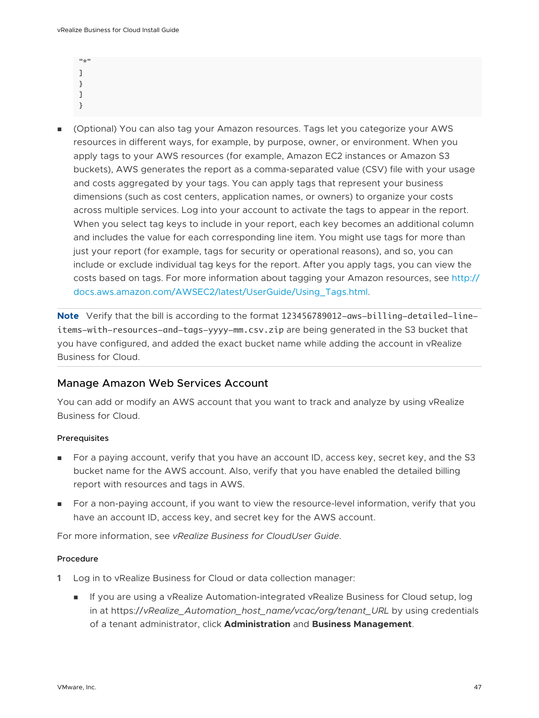| 고통보 |  |  |  |
|-----|--|--|--|
|     |  |  |  |
|     |  |  |  |
|     |  |  |  |
|     |  |  |  |

<sup>n</sup> (Optional) You can also tag your Amazon resources. Tags let you categorize your AWS resources in different ways, for example, by purpose, owner, or environment. When you apply tags to your AWS resources (for example, Amazon EC2 instances or Amazon S3 buckets), AWS generates the report as a comma-separated value (CSV) file with your usage and costs aggregated by your tags. You can apply tags that represent your business dimensions (such as cost centers, application names, or owners) to organize your costs across multiple services. Log into your account to activate the tags to appear in the report. When you select tag keys to include in your report, each key becomes an additional column and includes the value for each corresponding line item. You might use tags for more than just your report (for example, tags for security or operational reasons), and so, you can include or exclude individual tag keys for the report. After you apply tags, you can view the costs based on tags. For more information about tagging your Amazon resources, see [http://](http://docs.aws.amazon.com/AWSEC2/latest/UserGuide/Using_Tags.html) [docs.aws.amazon.com/AWSEC2/latest/UserGuide/Using\\_Tags.html](http://docs.aws.amazon.com/AWSEC2/latest/UserGuide/Using_Tags.html).

**Note** Verify that the bill is according to the format 123456789012-aws-billing-detailed-lineitems-with-resources-and-tags-yyyy-mm.csv.zip are being generated in the S3 bucket that you have configured, and added the exact bucket name while adding the account in vRealize Business for Cloud.

#### Manage Amazon Web Services Account

You can add or modify an AWS account that you want to track and analyze by using vRealize Business for Cloud.

#### Prerequisites

- For a paying account, verify that you have an account ID, access key, secret key, and the S3 bucket name for the AWS account. Also, verify that you have enabled the detailed billing report with resources and tags in AWS.
- <sup>n</sup> For a non-paying account, if you want to view the resource-level information, verify that you have an account ID, access key, and secret key for the AWS account.

For more information, see *vRealize Business for CloudUser Guide*.

- **1** Log in to vRealize Business for Cloud or data collection manager:
	- **n** If you are using a vRealize Automation-integrated vRealize Business for Cloud setup, log in at https://*vRealize\_Automation\_host\_name/vcac/org/tenant\_URL* by using credentials of a tenant administrator, click **Administration** and **Business Management**.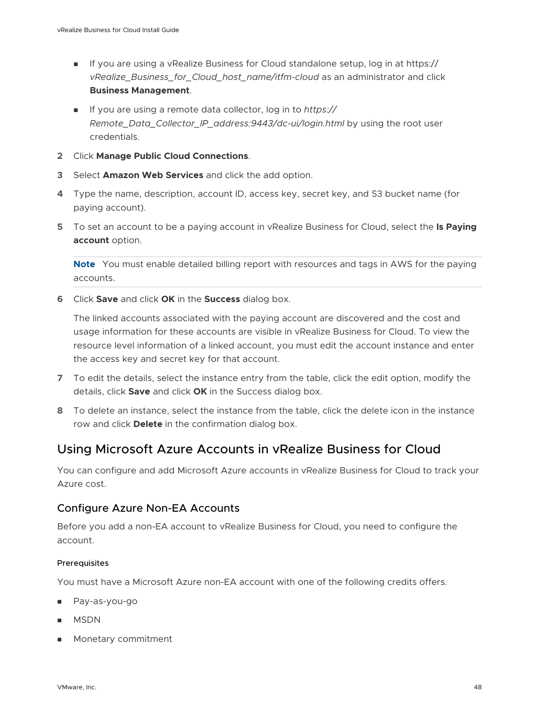- <span id="page-47-0"></span>■ If you are using a vRealize Business for Cloud standalone setup, log in at https:// *vRealize\_Business\_for\_Cloud\_host\_name/itfm-cloud* as an administrator and click **Business Management**.
- <sup>n</sup> If you are using a remote data collector, log in to *https:// Remote\_Data\_Collector\_IP\_address:9443/dc-ui/login.html* by using the root user credentials.
- **2** Click **Manage Public Cloud Connections**.
- **3** Select **Amazon Web Services** and click the add option.
- **4** Type the name, description, account ID, access key, secret key, and S3 bucket name (for paying account).
- **5** To set an account to be a paying account in vRealize Business for Cloud, select the **Is Paying account** option.

**Note** You must enable detailed billing report with resources and tags in AWS for the paying accounts.

**6** Click **Save** and click **OK** in the **Success** dialog box.

The linked accounts associated with the paying account are discovered and the cost and usage information for these accounts are visible in vRealize Business for Cloud. To view the resource level information of a linked account, you must edit the account instance and enter the access key and secret key for that account.

- **7** To edit the details, select the instance entry from the table, click the edit option, modify the details, click **Save** and click **OK** in the Success dialog box.
- **8** To delete an instance, select the instance from the table, click the delete icon in the instance row and click **Delete** in the confirmation dialog box.

### Using Microsoft Azure Accounts in vRealize Business for Cloud

You can configure and add Microsoft Azure accounts in vRealize Business for Cloud to track your Azure cost.

#### Configure Azure Non-EA Accounts

Before you add a non-EA account to vRealize Business for Cloud, you need to configure the account.

#### **Prerequisites**

You must have a Microsoft Azure non-EA account with one of the following credits offers.

- **n** Pay-as-you-go
- **NSDN**
- **n** Monetary commitment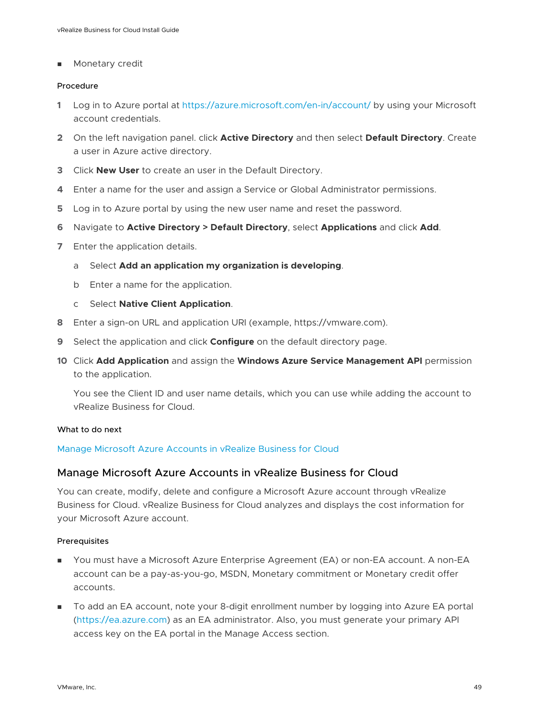**n** Monetary credit

#### Procedure

- **1** Log in to Azure portal at <https://azure.microsoft.com/en-in/account/>by using your Microsoft account credentials.
- **2** On the left navigation panel. click **Active Directory** and then select **Default Directory**. Create a user in Azure active directory.
- **3** Click **New User** to create an user in the Default Directory.
- **4** Enter a name for the user and assign a Service or Global Administrator permissions.
- **5** Log in to Azure portal by using the new user name and reset the password.
- **6** Navigate to **Active Directory > Default Directory**, select **Applications** and click **Add**.
- **7** Enter the application details.
	- a Select **Add an application my organization is developing**.
	- b Enter a name for the application.
	- c Select **Native Client Application**.
- **8** Enter a sign-on URL and application URI (example, https://vmware.com).
- **9** Select the application and click **Configure** on the default directory page.
- **10** Click **Add Application** and assign the **Windows Azure Service Management API** permission to the application.

You see the Client ID and user name details, which you can use while adding the account to vRealize Business for Cloud.

#### What to do next

#### Manage Microsoft Azure Accounts in vRealize Business for Cloud

#### Manage Microsoft Azure Accounts in vRealize Business for Cloud

You can create, modify, delete and configure a Microsoft Azure account through vRealize Business for Cloud. vRealize Business for Cloud analyzes and displays the cost information for your Microsoft Azure account.

#### Prerequisites

- You must have a Microsoft Azure Enterprise Agreement (EA) or non-EA account. A non-EA account can be a pay-as-you-go, MSDN, Monetary commitment or Monetary credit offer accounts.
- To add an EA account, note your 8-digit enrollment number by logging into Azure EA portal (<https://ea.azure.com>) as an EA administrator. Also, you must generate your primary API access key on the EA portal in the Manage Access section.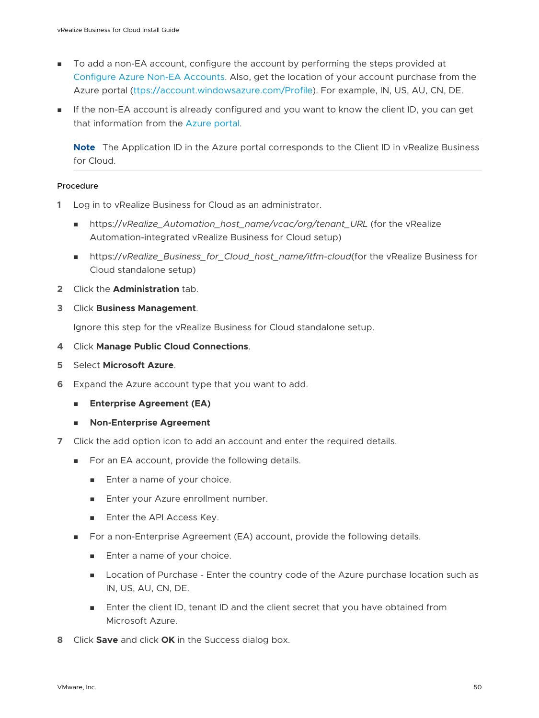- <sup>n</sup> To add a non-EA account, configure the account by performing the steps provided at [Configure Azure Non-EA Accounts.](#page-47-0) Also, get the location of your account purchase from the Azure portal [\(ttps://account.windowsazure.com/Profile\)](https://account.windowsazure.com/Subscriptions). For example, IN, US, AU, CN, DE.
- **n** If the non-EA account is already configured and you want to know the client ID, you can get that information from the [Azure portal](https://docs.microsoft.com/en-us/azure/azure-resource-manager/resource-group-create-service-principal-portal#get-application-id-and-authentication-key).

**Note** The Application ID in the Azure portal corresponds to the Client ID in vRealize Business for Cloud.

#### Procedure

- **1** Log in to vRealize Business for Cloud as an administrator.
	- https://vRealize\_Automation\_host\_name/vcac/org/tenant\_URL (for the vRealize Automation-integrated vRealize Business for Cloud setup)
	- <sup>n</sup> https://*vRealize\_Business\_for\_Cloud\_host\_name/itfm-cloud*(for the vRealize Business for Cloud standalone setup)
- **2** Click the **Administration** tab.
- **3** Click **Business Management**.

Ignore this step for the vRealize Business for Cloud standalone setup.

- **4** Click **Manage Public Cloud Connections**.
- **5** Select **Microsoft Azure**.
- **6** Expand the Azure account type that you want to add.
	- **Enterprise Agreement (EA)**
	- **n** Non-Enterprise Agreement
- **7** Click the add option icon to add an account and enter the required details.
	- For an EA account, provide the following details.
		- **n** Enter a name of your choice.
		- **n** Enter your Azure enrollment number.
		- **n** Enter the API Access Key.
	- For a non-Enterprise Agreement (EA) account, provide the following details.
		- **n** Enter a name of your choice.
		- **n** Location of Purchase Enter the country code of the Azure purchase location such as IN, US, AU, CN, DE.
		- n Enter the client ID, tenant ID and the client secret that you have obtained from Microsoft Azure.
- **8** Click **Save** and click **OK** in the Success dialog box.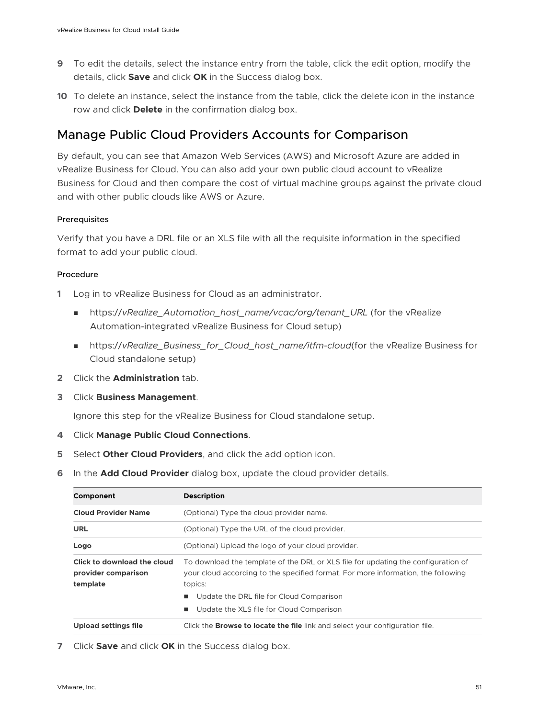- **9** To edit the details, select the instance entry from the table, click the edit option, modify the details, click **Save** and click **OK** in the Success dialog box.
- **10** To delete an instance, select the instance from the table, click the delete icon in the instance row and click **Delete** in the confirmation dialog box.

## Manage Public Cloud Providers Accounts for Comparison

By default, you can see that Amazon Web Services (AWS) and Microsoft Azure are added in vRealize Business for Cloud. You can also add your own public cloud account to vRealize Business for Cloud and then compare the cost of virtual machine groups against the private cloud and with other public clouds like AWS or Azure.

#### Prerequisites

Verify that you have a DRL file or an XLS file with all the requisite information in the specified format to add your public cloud.

#### Procedure

- **1** Log in to vRealize Business for Cloud as an administrator.
	- https://vRealize\_Automation\_host\_name/vcac/org/tenant\_URL (for the vRealize Automation-integrated vRealize Business for Cloud setup)
	- <sup>n</sup> https://*vRealize\_Business\_for\_Cloud\_host\_name/itfm-cloud*(for the vRealize Business for Cloud standalone setup)
- **2** Click the **Administration** tab.
- **3** Click **Business Management**.

Ignore this step for the vRealize Business for Cloud standalone setup.

- **4** Click **Manage Public Cloud Connections**.
- **5** Select **Other Cloud Providers**, and click the add option icon.
- **6** In the **Add Cloud Provider** dialog box, update the cloud provider details.

| Component                                                      | <b>Description</b>                                                                                                                                                                |
|----------------------------------------------------------------|-----------------------------------------------------------------------------------------------------------------------------------------------------------------------------------|
| <b>Cloud Provider Name</b>                                     | (Optional) Type the cloud provider name.                                                                                                                                          |
| <b>URL</b>                                                     | (Optional) Type the URL of the cloud provider.                                                                                                                                    |
| Logo                                                           | (Optional) Upload the logo of your cloud provider.                                                                                                                                |
| Click to download the cloud<br>provider comparison<br>template | To download the template of the DRL or XLS file for updating the configuration of<br>your cloud according to the specified format. For more information, the following<br>topics: |
|                                                                | Update the DRL file for Cloud Comparison                                                                                                                                          |
|                                                                | Update the XLS file for Cloud Comparison                                                                                                                                          |
| <b>Upload settings file</b>                                    | Click the <b>Browse to locate the file</b> link and select your configuration file.                                                                                               |

**7** Click **Save** and click **OK** in the Success dialog box.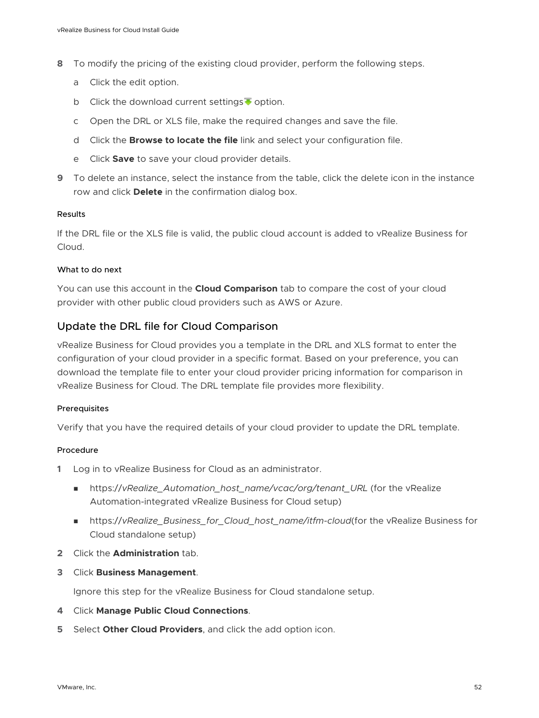- **8** To modify the pricing of the existing cloud provider, perform the following steps.
	- a Click the edit option.
	- b Click the download current settings  $\overline{\bullet}$  option.
	- c Open the DRL or XLS file, make the required changes and save the file.
	- d Click the **Browse to locate the file** link and select your configuration file.
	- e Click **Save** to save your cloud provider details.
- **9** To delete an instance, select the instance from the table, click the delete icon in the instance row and click **Delete** in the confirmation dialog box.

#### Results

If the DRL file or the XLS file is valid, the public cloud account is added to vRealize Business for Cloud.

#### What to do next

You can use this account in the **Cloud Comparison** tab to compare the cost of your cloud provider with other public cloud providers such as AWS or Azure.

#### Update the DRL file for Cloud Comparison

vRealize Business for Cloud provides you a template in the DRL and XLS format to enter the configuration of your cloud provider in a specific format. Based on your preference, you can download the template file to enter your cloud provider pricing information for comparison in vRealize Business for Cloud. The DRL template file provides more flexibility.

#### Prerequisites

Verify that you have the required details of your cloud provider to update the DRL template.

#### Procedure

- **1** Log in to vRealize Business for Cloud as an administrator.
	- https://vRealize\_Automation\_host\_name/vcac/org/tenant\_URL (for the vRealize Automation-integrated vRealize Business for Cloud setup)
	- https://*vRealize\_Business\_for\_Cloud\_host\_name/itfm-cloud*(for the vRealize Business for Cloud standalone setup)
- **2** Click the **Administration** tab.
- **3** Click **Business Management**.

Ignore this step for the vRealize Business for Cloud standalone setup.

- **4** Click **Manage Public Cloud Connections**.
- **5** Select **Other Cloud Providers**, and click the add option icon.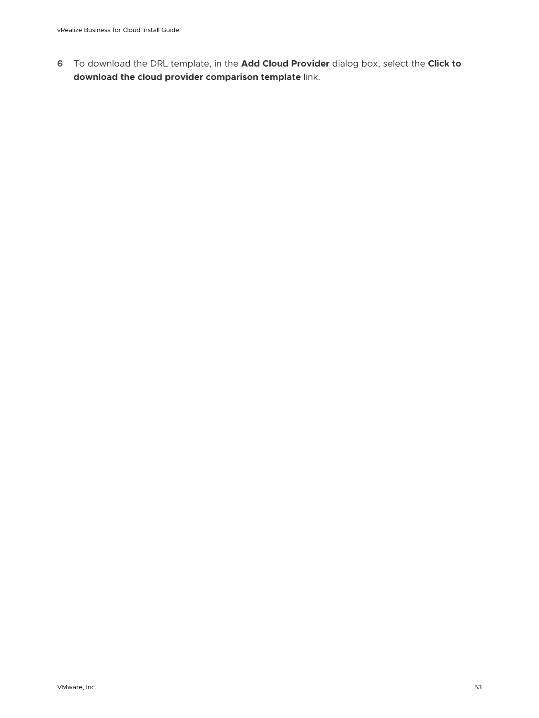**6** To download the DRL template, in the **Add Cloud Provider** dialog box, select the **Click to download the cloud provider comparison template** link.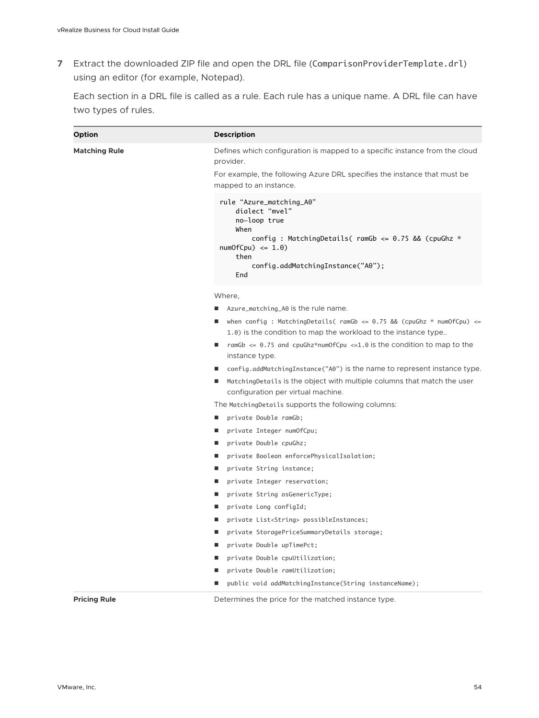**7** Extract the downloaded ZIP file and open the DRL file (ComparisonProviderTemplate.drl) using an editor (for example, Notepad).

Each section in a DRL file is called as a rule. Each rule has a unique name. A DRL file can have two types of rules.

| Option               | <b>Description</b>                                                                                                                                                                                          |
|----------------------|-------------------------------------------------------------------------------------------------------------------------------------------------------------------------------------------------------------|
| <b>Matching Rule</b> | Defines which configuration is mapped to a specific instance from the cloud<br>provider.                                                                                                                    |
|                      | For example, the following Azure DRL specifies the instance that must be<br>mapped to an instance.                                                                                                          |
|                      | rule "Azure_matching_A0"<br>dialect "mvel"<br>no-loop true<br>When<br>config: MatchingDetails( ramGb $\leq$ 0.75 && (cpuGhz $*$<br>$numOfCpu) \leq 1.0$<br>then<br>config.addMatchingInstance("A0");<br>End |
|                      | Where,                                                                                                                                                                                                      |
|                      | Azure_matching_A0 is the rule name.                                                                                                                                                                         |
|                      | when config : MatchingDetails( $r$ amGb <= 0.75 && (cpuGhz * $numOfCpu$ ) <=<br>1.0) is the condition to map the workload to the instance type                                                              |
|                      | ramGb $\leq$ 0.75 and cpuGhz*numOfCpu $\leq$ 1.0 is the condition to map to the<br>instance type.                                                                                                           |
|                      | config.addMatchingInstance("A0") is the name to represent instance type.                                                                                                                                    |
|                      | MatchingDetails is the object with multiple columns that match the user<br>configuration per virtual machine.                                                                                               |
|                      | The Matching Details supports the following columns:                                                                                                                                                        |
|                      | private Double ramGb;<br><b>CONTRACTOR</b>                                                                                                                                                                  |
|                      | private Integer numOfCpu;                                                                                                                                                                                   |
|                      | private Double cpuGhz;                                                                                                                                                                                      |
|                      | private Boolean enforcePhysicalIsolation;<br>■                                                                                                                                                              |
|                      | private String instance;                                                                                                                                                                                    |
|                      | private Integer reservation;                                                                                                                                                                                |
|                      | private String osGenericType;                                                                                                                                                                               |
|                      | private Long configId;                                                                                                                                                                                      |
|                      | private List <string> possibleInstances;</string>                                                                                                                                                           |
|                      | private StoragePriceSummaryDetails storage;<br>ш                                                                                                                                                            |
|                      | private Double upTimePct;                                                                                                                                                                                   |
|                      | private Double cpuUtilization;                                                                                                                                                                              |
|                      | private Double ramUtilization;                                                                                                                                                                              |
|                      | public void addMatchingInstance(String instanceName);                                                                                                                                                       |
| <b>Pricing Rule</b>  | Determines the price for the matched instance type.                                                                                                                                                         |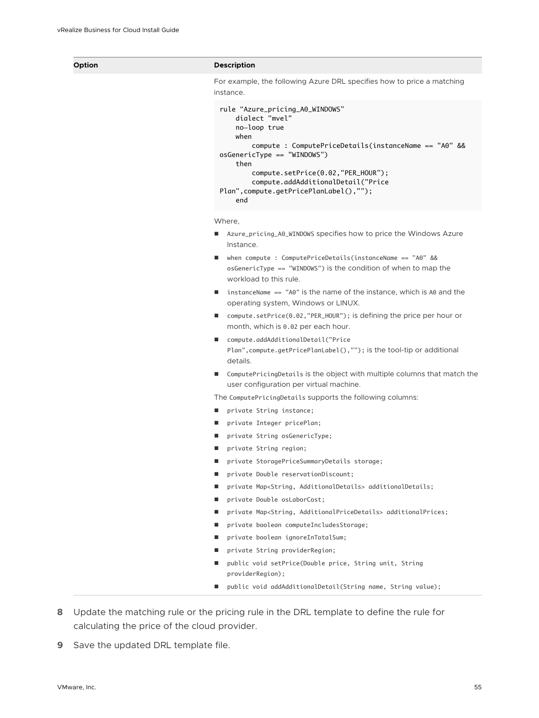#### **Option Description**

For example, the following Azure DRL specifies how to price a matching instance.

```
rule "Azure_pricing_A0_WINDOWS" 
     dialect "mvel"
     no-loop true
     when
         compute : ComputePriceDetails(instanceName == "A0" && 
osGenericType == "WINDOWS") 
     then
         compute.setPrice(0.02,"PER_HOUR"); 
         compute.addAdditionalDetail("Price 
Plan",compute.getPricePlanLabel(),""); 
     end
```
Where,

- Azure\_pricing\_A0\_WINDOWS specifies how to price the Windows Azure Instance.
- when compute : ComputePriceDetails(instanceName == "A0" && osGenericType == "WINDOWS") is the condition of when to map the workload to this rule.
- $\blacksquare$  instanceName == "A0" is the name of the instance, which is A0 and the operating system, Windows or LINUX.
- compute.setPrice(0.02, "PER\_HOUR"); is defining the price per hour or month, which is 0.02 per each hour.
- compute.addAdditionalDetail("Price Plan",compute.getPricePlanLabel(),""); is the tool-tip or additional details.
- ComputePricingDetails is the object with multiple columns that match the user configuration per virtual machine.

The ComputePricingDetails supports the following columns:

- private String instance;
- private Integer pricePlan;
- private String osGenericType;
- private String region;
- private StoragePriceSummaryDetails storage;
- private Double reservationDiscount;
- private Map<String, AdditionalDetails> additionalDetails;
- private Double osLaborCost;
- private Map<String, AdditionalPriceDetails> additionalPrices;
- private boolean computeIncludesStorage;
- private boolean ignoreInTotalSum;
- private String providerRegion;
- public void setPrice(Double price, String unit, String providerRegion);
- public void addAdditionalDetail(String name, String value);
- **8** Update the matching rule or the pricing rule in the DRL template to define the rule for calculating the price of the cloud provider.
- **9** Save the updated DRL template file.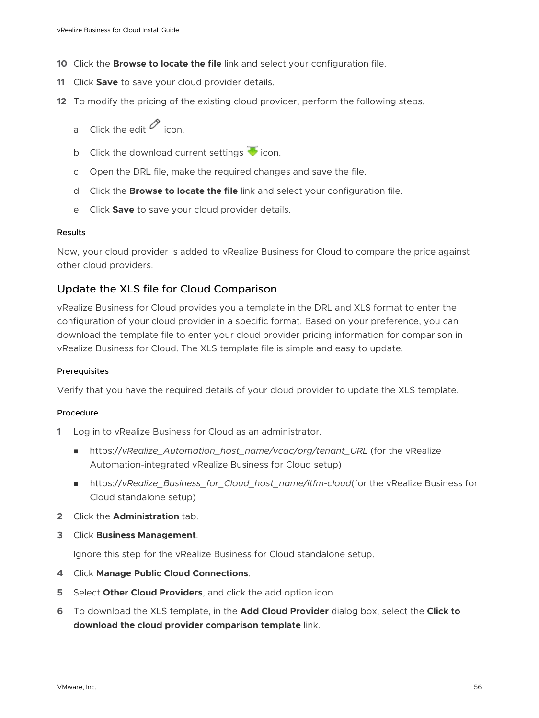- **10** Click the **Browse to locate the file** link and select your configuration file.
- **11** Click **Save** to save your cloud provider details.
- **12** To modify the pricing of the existing cloud provider, perform the following steps.
	- a Click the edit  $\mathscr O$  icon.
	- b Click the download current settings  $\blacktriangledown$  icon.
	- c Open the DRL file, make the required changes and save the file.
	- d Click the **Browse to locate the file** link and select your configuration file.
	- e Click **Save** to save your cloud provider details.

#### Results

Now, your cloud provider is added to vRealize Business for Cloud to compare the price against other cloud providers.

#### Update the XLS file for Cloud Comparison

vRealize Business for Cloud provides you a template in the DRL and XLS format to enter the configuration of your cloud provider in a specific format. Based on your preference, you can download the template file to enter your cloud provider pricing information for comparison in vRealize Business for Cloud. The XLS template file is simple and easy to update.

#### **Prerequisites**

Verify that you have the required details of your cloud provider to update the XLS template.

#### Procedure

- **1** Log in to vRealize Business for Cloud as an administrator.
	- <sup>n</sup> https://*vRealize\_Automation\_host\_name/vcac/org/tenant\_URL* (for the vRealize Automation-integrated vRealize Business for Cloud setup)
	- <sup>n</sup> https://*vRealize\_Business\_for\_Cloud\_host\_name/itfm-cloud*(for the vRealize Business for Cloud standalone setup)
- **2** Click the **Administration** tab.
- **3** Click **Business Management**.

Ignore this step for the vRealize Business for Cloud standalone setup.

- **4** Click **Manage Public Cloud Connections**.
- **5** Select **Other Cloud Providers**, and click the add option icon.
- **6** To download the XLS template, in the **Add Cloud Provider** dialog box, select the **Click to download the cloud provider comparison template** link.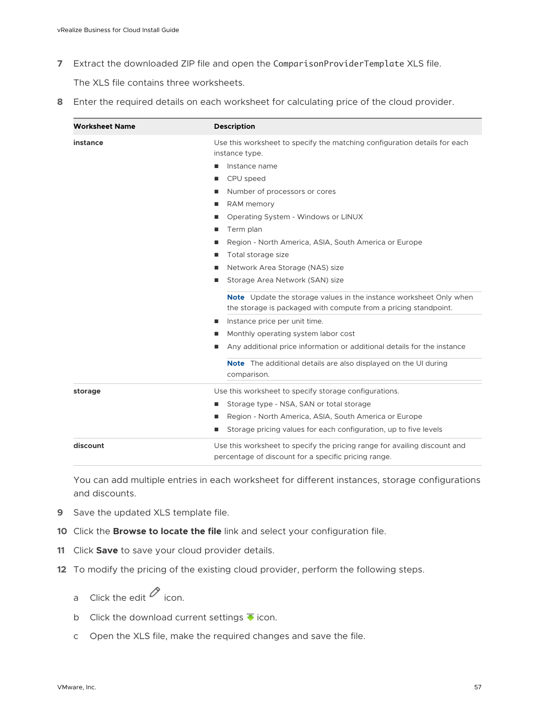**7** Extract the downloaded ZIP file and open the ComparisonProviderTemplate XLS file.

The XLS file contains three worksheets.

**8** Enter the required details on each worksheet for calculating price of the cloud provider.

| <b>Worksheet Name</b> | <b>Description</b>                                                                                                                           |
|-----------------------|----------------------------------------------------------------------------------------------------------------------------------------------|
| instance              | Use this worksheet to specify the matching configuration details for each<br>instance type.                                                  |
|                       | Instance name<br>ш                                                                                                                           |
|                       | CPU speed                                                                                                                                    |
|                       | Number of processors or cores                                                                                                                |
|                       | RAM memory                                                                                                                                   |
|                       | Operating System - Windows or LINUX                                                                                                          |
|                       | Term plan                                                                                                                                    |
|                       | Region - North America, ASIA, South America or Europe                                                                                        |
|                       | Total storage size                                                                                                                           |
|                       | Network Area Storage (NAS) size                                                                                                              |
|                       | Storage Area Network (SAN) size                                                                                                              |
|                       | <b>Note</b> Update the storage values in the instance worksheet Only when<br>the storage is packaged with compute from a pricing standpoint. |
|                       | Instance price per unit time.<br>п                                                                                                           |
|                       | Monthly operating system labor cost                                                                                                          |
|                       | Any additional price information or additional details for the instance                                                                      |
|                       | <b>Note</b> The additional details are also displayed on the UI during<br>comparison.                                                        |
| storage               | Use this worksheet to specify storage configurations.                                                                                        |
|                       | Storage type - NSA, SAN or total storage                                                                                                     |
|                       | Region - North America, ASIA, South America or Europe                                                                                        |
|                       | Storage pricing values for each configuration, up to five levels                                                                             |
| discount              | Use this worksheet to specify the pricing range for availing discount and                                                                    |
|                       | percentage of discount for a specific pricing range.                                                                                         |

You can add multiple entries in each worksheet for different instances, storage configurations and discounts.

- **9** Save the updated XLS template file.
- **10** Click the **Browse to locate the file** link and select your configuration file.
- **11** Click **Save** to save your cloud provider details.
- **12** To modify the pricing of the existing cloud provider, perform the following steps.
	- a Click the edit  $\oslash$  icon.
	- b Click the download current settings  $\overline{\bullet}$  icon.
	- c Open the XLS file, make the required changes and save the file.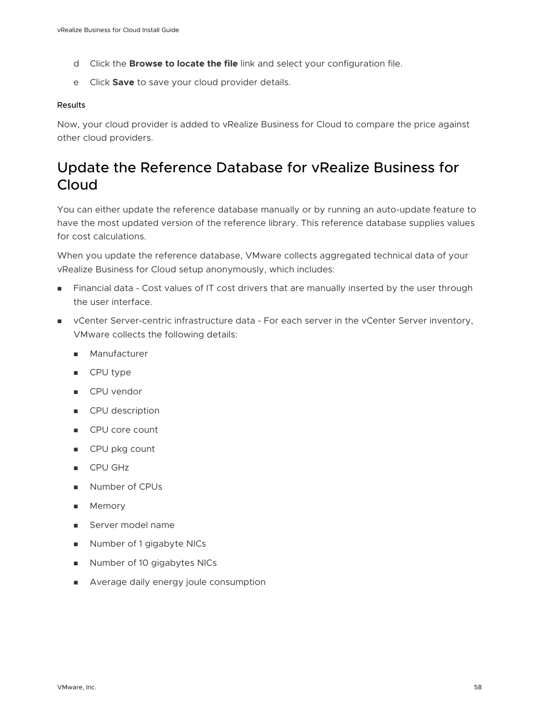- <span id="page-57-0"></span>d Click the **Browse to locate the file** link and select your configuration file.
- e Click **Save** to save your cloud provider details.

#### Results

Now, your cloud provider is added to vRealize Business for Cloud to compare the price against other cloud providers.

## Update the Reference Database for vRealize Business for Cloud

You can either update the reference database manually or by running an auto-update feature to have the most updated version of the reference library. This reference database supplies values for cost calculations.

When you update the reference database, VMware collects aggregated technical data of your vRealize Business for Cloud setup anonymously, which includes:

- **n** Financial data Cost values of IT cost drivers that are manually inserted by the user through the user interface.
- **n** vCenter Server-centric infrastructure data For each server in the vCenter Server inventory, VMware collects the following details:
	- **n** Manufacturer
	- CPU type
	- **n** CPU vendor
	- **n** CPU description
	- **n** CPU core count
	- **n** CPU pkg count
	- **n** CPU GHz
	- **Number of CPUs**
	- **n** Memory
	- **n** Server model name
	- Number of 1 gigabyte NICs
	- **Number of 10 gigabytes NICs**
	- **n** Average daily energy joule consumption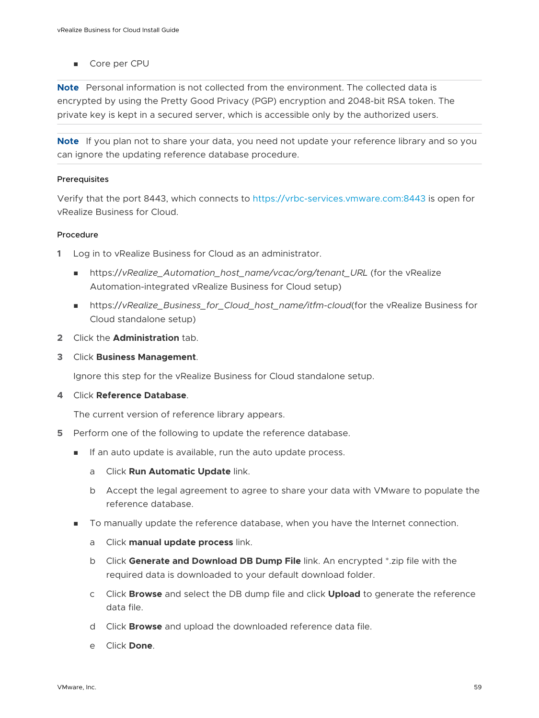■ Core per CPU

**Note** Personal information is not collected from the environment. The collected data is encrypted by using the Pretty Good Privacy (PGP) encryption and 2048-bit RSA token. The private key is kept in a secured server, which is accessible only by the authorized users.

**Note** If you plan not to share your data, you need not update your reference library and so you can ignore the updating reference database procedure.

#### **Prerequisites**

Verify that the port 8443, which connects to [https://vrbc-services.vmware.com:8443](HTTPS://vrbc-services.vmware.com:8443) is open for vRealize Business for Cloud.

#### Procedure

- **1** Log in to vRealize Business for Cloud as an administrator.
	- https://vRealize\_Automation\_host\_name/vcac/org/tenant\_URL (for the vRealize Automation-integrated vRealize Business for Cloud setup)
	- nttps://vRealize\_Business\_for\_Cloud\_host\_name/itfm-cloud(for the vRealize Business for Cloud standalone setup)
- **2** Click the **Administration** tab.
- **3** Click **Business Management**.

Ignore this step for the vRealize Business for Cloud standalone setup.

**4** Click **Reference Database**.

The current version of reference library appears.

- **5** Perform one of the following to update the reference database.
	- **n** If an auto update is available, run the auto update process.
		- a Click **Run Automatic Update** link.
		- b Accept the legal agreement to agree to share your data with VMware to populate the reference database.
	- To manually update the reference database, when you have the Internet connection.
		- a Click **manual update process** link.
		- b Click **Generate and Download DB Dump File** link. An encrypted \*.zip file with the required data is downloaded to your default download folder.
		- c Click **Browse** and select the DB dump file and click **Upload** to generate the reference data file.
		- d Click **Browse** and upload the downloaded reference data file.
		- e Click **Done**.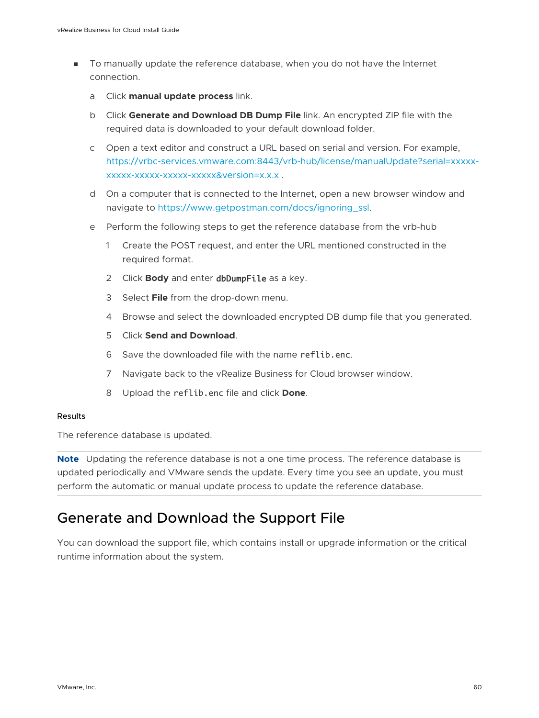- <span id="page-59-0"></span>**n** To manually update the reference database, when you do not have the Internet connection.
	- a Click **manual update process** link.
	- b Click **Generate and Download DB Dump File** link. An encrypted ZIP file with the required data is downloaded to your default download folder.
	- c Open a text editor and construct a URL based on serial and version. For example, [https://vrbc-services.vmware.com:8443/vrb-hub/license/manualUpdate?serial=xxxxx](https://vrbc-services.vmware.com:8443/vrb-hub/license/manualUpdate?serial=xxxxx-xxxxx-xxxxx-xxxxx-xxxxx&version=x.x.x)[xxxxx-xxxxx-xxxxx-xxxxx&version=x.x.x](https://vrbc-services.vmware.com:8443/vrb-hub/license/manualUpdate?serial=xxxxx-xxxxx-xxxxx-xxxxx-xxxxx&version=x.x.x) .
	- d On a computer that is connected to the Internet, open a new browser window and navigate to [https://www.getpostman.com/docs/ignoring\\_ssl.](https://www.getpostman.com/docs/ignoring_ssl)
	- e Perform the following steps to get the reference database from the vrb-hub
		- 1 Create the POST request, and enter the URL mentioned constructed in the required format.
		- 2 Click **Body** and enter dbDumpFile as a key.
		- 3 Select **File** from the drop-down menu.
		- 4 Browse and select the downloaded encrypted DB dump file that you generated.
		- 5 Click **Send and Download**.
		- 6 Save the downloaded file with the name reflib.enc.
		- 7 Navigate back to the vRealize Business for Cloud browser window.
		- 8 Upload the reflib.enc file and click **Done**.

#### Results

The reference database is updated.

**Note** Updating the reference database is not a one time process. The reference database is updated periodically and VMware sends the update. Every time you see an update, you must perform the automatic or manual update process to update the reference database.

## Generate and Download the Support File

You can download the support file, which contains install or upgrade information or the critical runtime information about the system.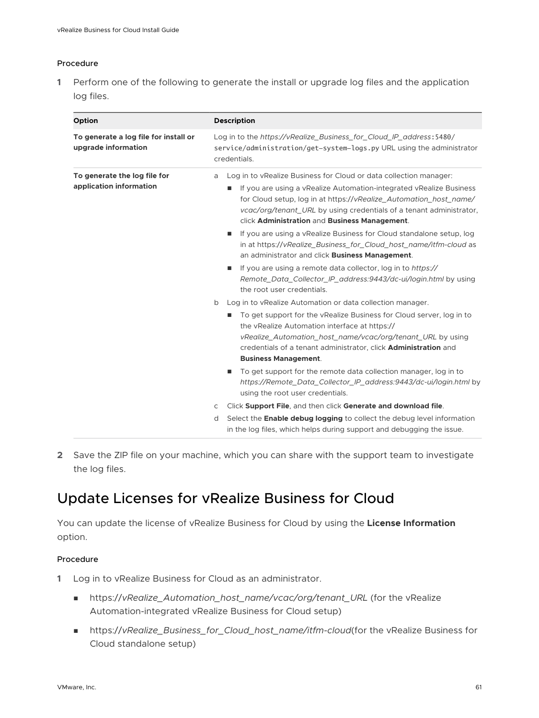#### <span id="page-60-0"></span>Procedure

**1** Perform one of the following to generate the install or upgrade log files and the application log files.

| Option                                                       | <b>Description</b>                                                                                                                                                                                                                                                                                                                         |
|--------------------------------------------------------------|--------------------------------------------------------------------------------------------------------------------------------------------------------------------------------------------------------------------------------------------------------------------------------------------------------------------------------------------|
| To generate a log file for install or<br>upgrade information | Log in to the https://vRealize_Business_for_Cloud_IP_address: 5480/<br>service/administration/get-system-logs.py URL using the administrator<br>credentials.                                                                                                                                                                               |
| To generate the log file for<br>application information      | Log in to vRealize Business for Cloud or data collection manager:<br>a<br>If you are using a vRealize Automation-integrated vRealize Business<br>for Cloud setup, log in at https://vRealize_Automation_host_name/<br>vcac/org/tenant_URL by using credentials of a tenant administrator,<br>click Administration and Business Management. |
|                                                              | If you are using a vRealize Business for Cloud standalone setup, log<br>in at https://vRealize_Business_for_Cloud_host_name/itfm-cloud as<br>an administrator and click Business Management.                                                                                                                                               |
|                                                              | If you are using a remote data collector, log in to https://<br>Remote_Data_Collector_IP_address:9443/dc-ui/login.html by using<br>the root user credentials.                                                                                                                                                                              |
|                                                              | Log in to vRealize Automation or data collection manager.<br>b                                                                                                                                                                                                                                                                             |
|                                                              | To get support for the vRealize Business for Cloud server, log in to<br>the vRealize Automation interface at https://<br>vRealize_Automation_host_name/vcac/org/tenant_URL by using<br>credentials of a tenant administrator, click Administration and<br><b>Business Management.</b>                                                      |
|                                                              | To get support for the remote data collection manager, log in to<br>https://Remote_Data_Collector_IP_address:9443/dc-ui/login.html by<br>using the root user credentials.                                                                                                                                                                  |
|                                                              | Click Support File, and then click Generate and download file.<br>C                                                                                                                                                                                                                                                                        |
|                                                              | Select the <b>Enable debug logging</b> to collect the debug level information<br>d<br>in the log files, which helps during support and debugging the issue.                                                                                                                                                                                |

**2** Save the ZIP file on your machine, which you can share with the support team to investigate the log files.

## Update Licenses for vRealize Business for Cloud

You can update the license of vRealize Business for Cloud by using the **License Information**  option.

- **1** Log in to vRealize Business for Cloud as an administrator.
	- <sup>n</sup> https://*vRealize\_Automation\_host\_name/vcac/org/tenant\_URL* (for the vRealize Automation-integrated vRealize Business for Cloud setup)
	- <sup>n</sup> https://*vRealize\_Business\_for\_Cloud\_host\_name/itfm-cloud*(for the vRealize Business for Cloud standalone setup)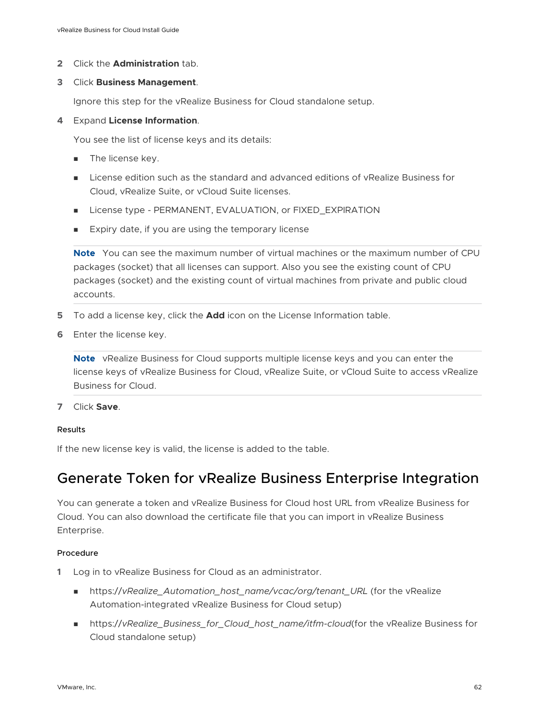<span id="page-61-0"></span>**2** Click the **Administration** tab.

#### **3** Click **Business Management**.

Ignore this step for the vRealize Business for Cloud standalone setup.

#### **4** Expand **License Information**.

You see the list of license keys and its details:

- **n** The license key.
- <sup>n</sup> License edition such as the standard and advanced editions of vRealize Business for Cloud, vRealize Suite, or vCloud Suite licenses.
- **n** License type PERMANENT, EVALUATION, or FIXED EXPIRATION
- **Expiry date, if you are using the temporary license**

**Note** You can see the maximum number of virtual machines or the maximum number of CPU packages (socket) that all licenses can support. Also you see the existing count of CPU packages (socket) and the existing count of virtual machines from private and public cloud accounts.

- **5** To add a license key, click the **Add** icon on the License Information table.
- **6** Enter the license key.

**Note** vRealize Business for Cloud supports multiple license keys and you can enter the license keys of vRealize Business for Cloud, vRealize Suite, or vCloud Suite to access vRealize Business for Cloud.

**7** Click **Save**.

#### Results

If the new license key is valid, the license is added to the table.

## Generate Token for vRealize Business Enterprise Integration

You can generate a token and vRealize Business for Cloud host URL from vRealize Business for Cloud. You can also download the certificate file that you can import in vRealize Business Enterprise.

- **1** Log in to vRealize Business for Cloud as an administrator.
	- https://vRealize\_Automation\_host\_name/vcac/org/tenant\_URL (for the vRealize Automation-integrated vRealize Business for Cloud setup)
	- https://vRealize\_Business\_for\_Cloud\_host\_name/itfm-cloud(for the vRealize Business for Cloud standalone setup)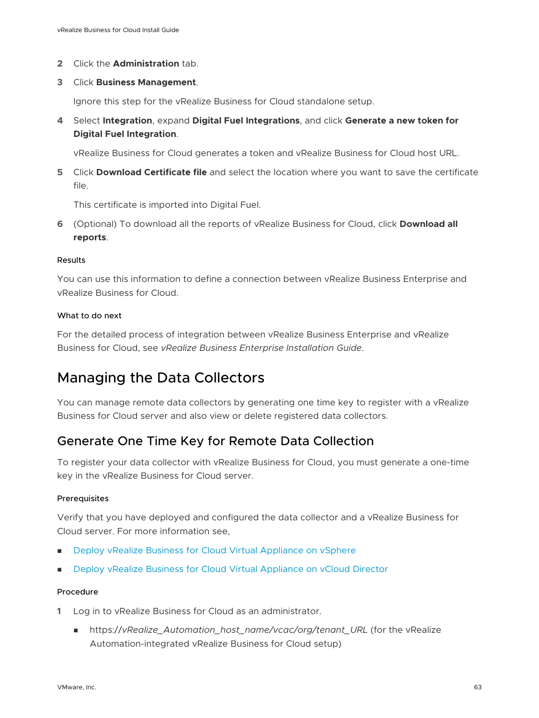- <span id="page-62-0"></span>**2** Click the **Administration** tab.
- **3** Click **Business Management**.

Ignore this step for the vRealize Business for Cloud standalone setup.

**4** Select **Integration**, expand **Digital Fuel Integrations**, and click **Generate a new token for Digital Fuel Integration**.

vRealize Business for Cloud generates a token and vRealize Business for Cloud host URL.

**5** Click **Download Certificate file** and select the location where you want to save the certificate file.

This certificate is imported into Digital Fuel.

**6** (Optional) To download all the reports of vRealize Business for Cloud, click **Download all reports**.

#### Results

You can use this information to define a connection between vRealize Business Enterprise and vRealize Business for Cloud.

#### What to do next

For the detailed process of integration between vRealize Business Enterprise and vRealize Business for Cloud, see *vRealize Business Enterprise Installation Guide*.

## Managing the Data Collectors

You can manage remote data collectors by generating one time key to register with a vRealize Business for Cloud server and also view or delete registered data collectors.

## Generate One Time Key for Remote Data Collection

To register your data collector with vRealize Business for Cloud, you must generate a one-time key in the vRealize Business for Cloud server.

#### Prerequisites

Verify that you have deployed and configured the data collector and a vRealize Business for Cloud server. For more information see,

- **n** [Deploy vRealize Business for Cloud Virtual Appliance on vSphere](#page-21-0)
- **n** [Deploy vRealize Business for Cloud Virtual Appliance on vCloud Director](#page-23-0)

- **1** Log in to vRealize Business for Cloud as an administrator.
	- nttps://vRealize\_Automation\_host\_name/vcac/org/tenant\_URL (for the vRealize Automation-integrated vRealize Business for Cloud setup)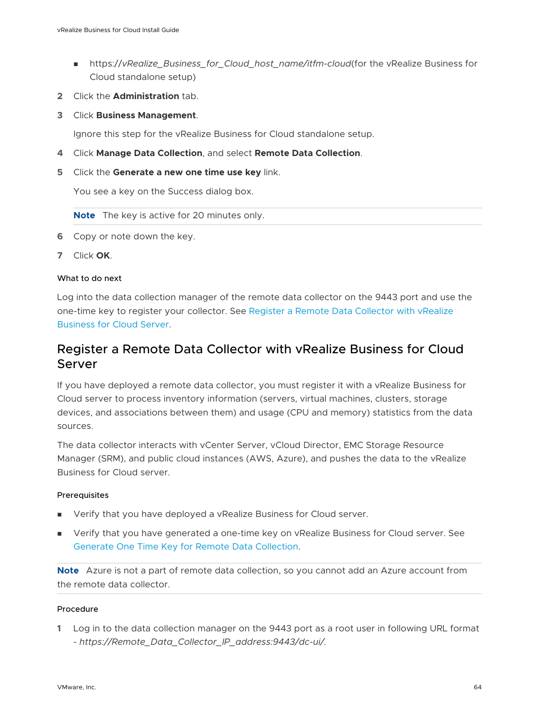- <span id="page-63-0"></span><sup>n</sup> https://*vRealize\_Business\_for\_Cloud\_host\_name/itfm-cloud*(for the vRealize Business for Cloud standalone setup)
- **2** Click the **Administration** tab.
- **3** Click **Business Management**.

Ignore this step for the vRealize Business for Cloud standalone setup.

- **4** Click **Manage Data Collection**, and select **Remote Data Collection**.
- **5** Click the **Generate a new one time use key** link.

You see a key on the Success dialog box.

**Note** The key is active for 20 minutes only.

- **6** Copy or note down the key.
- **7** Click **OK**.

#### What to do next

Log into the data collection manager of the remote data collector on the 9443 port and use the one-time key to register your collector. See Register a Remote Data Collector with vRealize Business for Cloud Server.

## Register a Remote Data Collector with vRealize Business for Cloud Server

If you have deployed a remote data collector, you must register it with a vRealize Business for Cloud server to process inventory information (servers, virtual machines, clusters, storage devices, and associations between them) and usage (CPU and memory) statistics from the data sources.

The data collector interacts with vCenter Server, vCloud Director, EMC Storage Resource Manager (SRM), and public cloud instances (AWS, Azure), and pushes the data to the vRealize Business for Cloud server.

#### Prerequisites

- **Now Verify that you have deployed a vRealize Business for Cloud server.**
- **n** Verify that you have generated a one-time key on vRealize Business for Cloud server. See [Generate One Time Key for Remote Data Collection.](#page-62-0)

**Note** Azure is not a part of remote data collection, so you cannot add an Azure account from the remote data collector.

#### Procedure

**1** Log in to the data collection manager on the 9443 port as a root user in following URL format - *https://Remote\_Data\_Collector\_IP\_address:9443/dc-ui/.*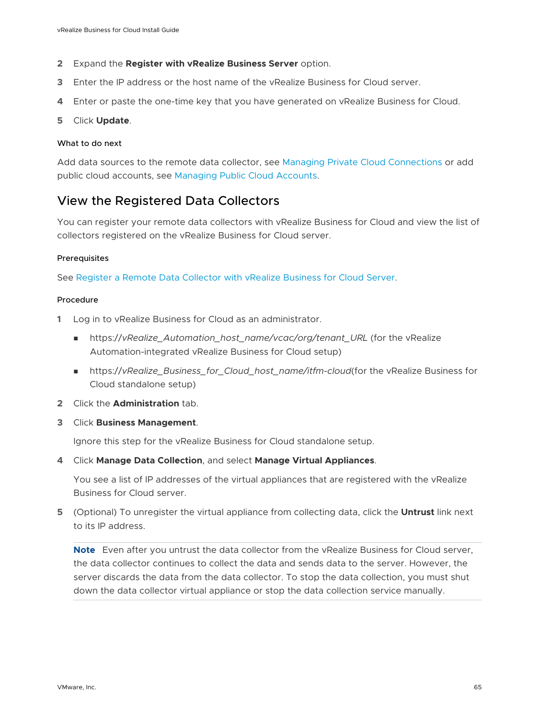- **2** Expand the **Register with vRealize Business Server** option.
- **3** Enter the IP address or the host name of the vRealize Business for Cloud server.
- **4** Enter or paste the one-time key that you have generated on vRealize Business for Cloud.

#### **5** Click **Update**.

#### What to do next

Add data sources to the remote data collector, see [Managing Private Cloud Connections](#page-37-0) or add public cloud accounts, see [Managing Public Cloud Accounts](#page-44-0).

## View the Registered Data Collectors

You can register your remote data collectors with vRealize Business for Cloud and view the list of collectors registered on the vRealize Business for Cloud server.

#### Prerequisites

See [Register a Remote Data Collector with vRealize Business for Cloud Server](#page-63-0).

#### Procedure

- **1** Log in to vRealize Business for Cloud as an administrator.
	- <sup>n</sup> https://*vRealize\_Automation\_host\_name/vcac/org/tenant\_URL* (for the vRealize Automation-integrated vRealize Business for Cloud setup)
	- n https://vRealize\_Business\_for\_Cloud\_host\_name/itfm-cloud(for the vRealize Business for Cloud standalone setup)
- **2** Click the **Administration** tab.
- **3** Click **Business Management**.

Ignore this step for the vRealize Business for Cloud standalone setup.

**4** Click **Manage Data Collection**, and select **Manage Virtual Appliances**.

You see a list of IP addresses of the virtual appliances that are registered with the vRealize Business for Cloud server.

**5** (Optional) To unregister the virtual appliance from collecting data, click the **Untrust** link next to its IP address.

**Note** Even after you untrust the data collector from the vRealize Business for Cloud server, the data collector continues to collect the data and sends data to the server. However, the server discards the data from the data collector. To stop the data collection, you must shut down the data collector virtual appliance or stop the data collection service manually.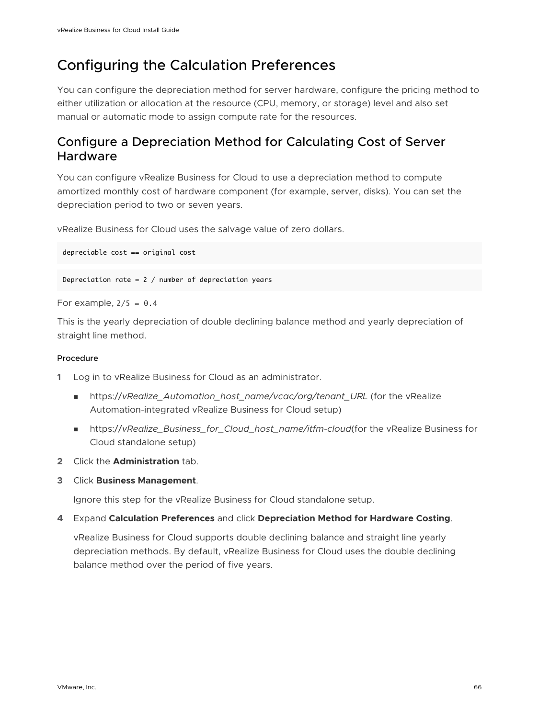## <span id="page-65-0"></span>Configuring the Calculation Preferences

You can configure the depreciation method for server hardware, configure the pricing method to either utilization or allocation at the resource (CPU, memory, or storage) level and also set manual or automatic mode to assign compute rate for the resources.

## Configure a Depreciation Method for Calculating Cost of Server Hardware

You can configure vRealize Business for Cloud to use a depreciation method to compute amortized monthly cost of hardware component (for example, server, disks). You can set the depreciation period to two or seven years.

vRealize Business for Cloud uses the salvage value of zero dollars.

depreciable cost == original cost

Depreciation rate =  $2 /$  number of depreciation years

For example,  $2/5 = 0.4$ 

This is the yearly depreciation of double declining balance method and yearly depreciation of straight line method.

#### Procedure

- **1** Log in to vRealize Business for Cloud as an administrator.
	- <sup>n</sup> https://*vRealize\_Automation\_host\_name/vcac/org/tenant\_URL* (for the vRealize Automation-integrated vRealize Business for Cloud setup)
	- <sup>n</sup> https://*vRealize\_Business\_for\_Cloud\_host\_name/itfm-cloud*(for the vRealize Business for Cloud standalone setup)
- **2** Click the **Administration** tab.
- **3** Click **Business Management**.

Ignore this step for the vRealize Business for Cloud standalone setup.

**4** Expand **Calculation Preferences** and click **Depreciation Method for Hardware Costing**.

vRealize Business for Cloud supports double declining balance and straight line yearly depreciation methods. By default, vRealize Business for Cloud uses the double declining balance method over the period of five years.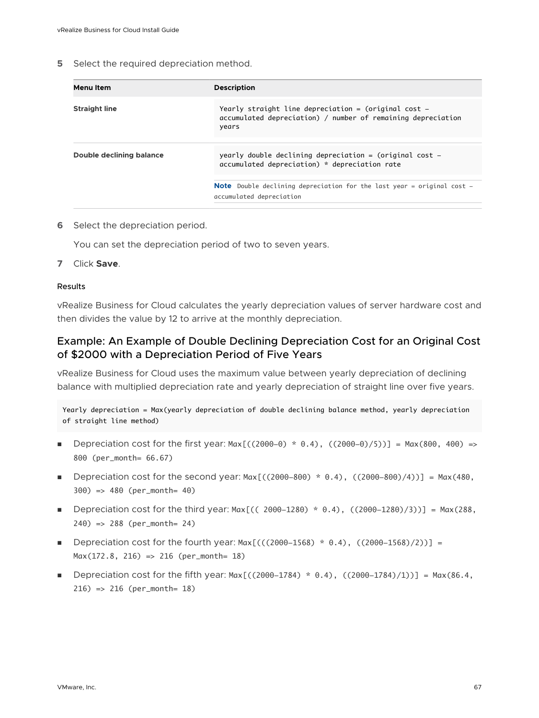**5** Select the required depreciation method.

| Menu Item                | <b>Description</b>                                                                                                                |  |
|--------------------------|-----------------------------------------------------------------------------------------------------------------------------------|--|
| <b>Straight line</b>     | Yearly straight line depreciation $=$ (original cost $-$<br>accumulated depreciation) / number of remaining depreciation<br>years |  |
|                          |                                                                                                                                   |  |
| Double declining balance | yearly double declining depreciation = (original cost $-$<br>accumulated depreciation) * depreciation rate                        |  |
|                          |                                                                                                                                   |  |
|                          | <b>Note</b> Double declining depreciation for the last year = original cost $-$<br>accumulated depreciation                       |  |
|                          |                                                                                                                                   |  |

**6** Select the depreciation period.

You can set the depreciation period of two to seven years.

**7** Click **Save**.

#### Results

vRealize Business for Cloud calculates the yearly depreciation values of server hardware cost and then divides the value by 12 to arrive at the monthly depreciation.

### Example: An Example of Double Declining Depreciation Cost for an Original Cost of \$2000 with a Depreciation Period of Five Years

vRealize Business for Cloud uses the maximum value between yearly depreciation of declining balance with multiplied depreciation rate and yearly depreciation of straight line over five years.

Yearly depreciation = Max(yearly depreciation of double declining balance method, yearly depreciation of straight line method)

- **Depreciation cost for the first year: Max[((2000-0)** \* 0.4), ((2000-0)/5))] = Max(800, 400) => 800 (per\_month= 66.67)
- **Depreciation cost for the second year: Max**[((2000-800)  $*$  0.4), ((2000-800)/4))] = Max(480, 300) => 480 (per\_month= 40)
- **Depreciation cost for the third year: Max[(( 2000-1280)**  $*$  0.4), ((2000-1280)/3))] = Max(288, 240) => 288 (per\_month= 24)
- **Depreciation cost for the fourth year: Max**[(((2000-1568)  $*$  0.4), ((2000-1568)/2))] = Max(172.8, 216) => 216 (per\_month= 18)
- **Depreciation cost for the fifth year: Max**[((2000-1784) \* 0.4), ((2000-1784)/1))] = Max(86.4, 216) => 216 (per\_month= 18)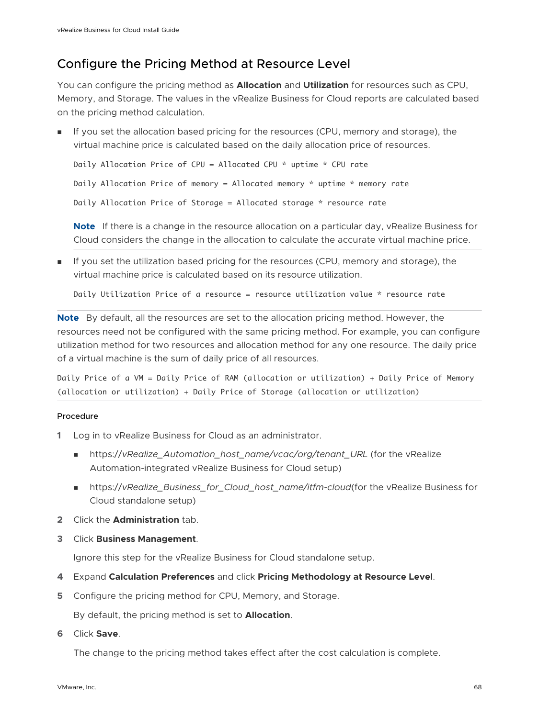## Configure the Pricing Method at Resource Level

You can configure the pricing method as **Allocation** and **Utilization** for resources such as CPU, Memory, and Storage. The values in the vRealize Business for Cloud reports are calculated based on the pricing method calculation.

If you set the allocation based pricing for the resources (CPU, memory and storage), the virtual machine price is calculated based on the daily allocation price of resources.

```
Daily Allocation Price of CPU = Allocated CPU * uptime * CPU rate
```
Daily Allocation Price of memory = Allocated memory \* uptime \* memory rate

Daily Allocation Price of Storage = Allocated storage \* resource rate

**Note** If there is a change in the resource allocation on a particular day, vRealize Business for Cloud considers the change in the allocation to calculate the accurate virtual machine price.

<sup>n</sup> If you set the utilization based pricing for the resources (CPU, memory and storage), the virtual machine price is calculated based on its resource utilization.

Daily Utilization Price of a resource = resource utilization value \* resource rate

**Note** By default, all the resources are set to the allocation pricing method. However, the resources need not be configured with the same pricing method. For example, you can configure utilization method for two resources and allocation method for any one resource. The daily price of a virtual machine is the sum of daily price of all resources.

Daily Price of a VM = Daily Price of RAM (allocation or utilization) + Daily Price of Memory (allocation or utilization) + Daily Price of Storage (allocation or utilization)

#### Procedure

- **1** Log in to vRealize Business for Cloud as an administrator.
	- nttps://vRealize\_Automation\_host\_name/vcac/org/tenant\_URL (for the vRealize Automation-integrated vRealize Business for Cloud setup)
	- <sup>n</sup> https://*vRealize\_Business\_for\_Cloud\_host\_name/itfm-cloud*(for the vRealize Business for Cloud standalone setup)
- **2** Click the **Administration** tab.
- **3** Click **Business Management**.

Ignore this step for the vRealize Business for Cloud standalone setup.

- **4** Expand **Calculation Preferences** and click **Pricing Methodology at Resource Level**.
- **5** Configure the pricing method for CPU, Memory, and Storage.

By default, the pricing method is set to **Allocation**.

**6** Click **Save**.

The change to the pricing method takes effect after the cost calculation is complete.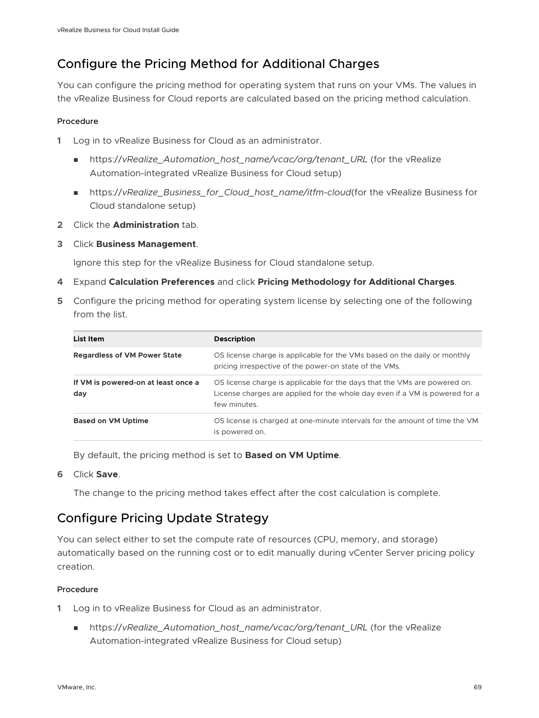## Configure the Pricing Method for Additional Charges

You can configure the pricing method for operating system that runs on your VMs. The values in the vRealize Business for Cloud reports are calculated based on the pricing method calculation.

#### Procedure

- **1** Log in to vRealize Business for Cloud as an administrator.
	- nttps://vRealize\_Automation\_host\_name/vcac/org/tenant\_URL (for the vRealize Automation-integrated vRealize Business for Cloud setup)
	- <sup>n</sup> https://*vRealize\_Business\_for\_Cloud\_host\_name/itfm-cloud*(for the vRealize Business for Cloud standalone setup)
- **2** Click the **Administration** tab.
- **3** Click **Business Management**.

Ignore this step for the vRealize Business for Cloud standalone setup.

- **4** Expand **Calculation Preferences** and click **Pricing Methodology for Additional Charges**.
- **5** Configure the pricing method for operating system license by selecting one of the following from the list.

| List Item                                  | <b>Description</b>                                                                                                                                                       |
|--------------------------------------------|--------------------------------------------------------------------------------------------------------------------------------------------------------------------------|
| <b>Regardless of VM Power State</b>        | OS license charge is applicable for the VMs based on the daily or monthly<br>pricing irrespective of the power-on state of the VMs.                                      |
| If VM is powered-on at least once a<br>day | OS license charge is applicable for the days that the VMs are powered on.<br>License charges are applied for the whole day even if a VM is powered for a<br>few minutes. |
| <b>Based on VM Uptime</b>                  | OS license is charged at one-minute intervals for the amount of time the VM<br>is powered on.                                                                            |

By default, the pricing method is set to **Based on VM Uptime**.

**6** Click **Save**.

The change to the pricing method takes effect after the cost calculation is complete.

## Configure Pricing Update Strategy

You can select either to set the compute rate of resources (CPU, memory, and storage) automatically based on the running cost or to edit manually during vCenter Server pricing policy creation.

- **1** Log in to vRealize Business for Cloud as an administrator.
	- nttps://vRealize\_Automation\_host\_name/vcac/org/tenant\_URL (for the vRealize Automation-integrated vRealize Business for Cloud setup)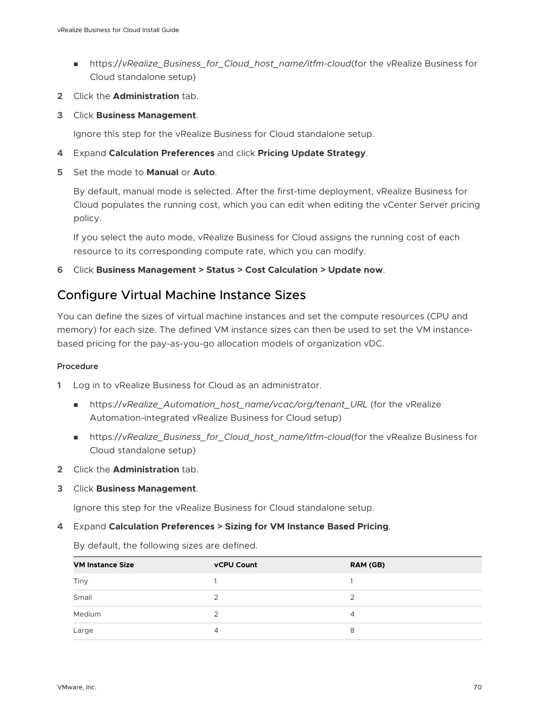- <sup>n</sup> https://*vRealize\_Business\_for\_Cloud\_host\_name/itfm-cloud*(for the vRealize Business for Cloud standalone setup)
- **2** Click the **Administration** tab.
- **3** Click **Business Management**.

Ignore this step for the vRealize Business for Cloud standalone setup.

- **4** Expand **Calculation Preferences** and click **Pricing Update Strategy**.
- **5** Set the mode to **Manual** or **Auto**.

By default, manual mode is selected. After the first-time deployment, vRealize Business for Cloud populates the running cost, which you can edit when editing the vCenter Server pricing policy.

If you select the auto mode, vRealize Business for Cloud assigns the running cost of each resource to its corresponding compute rate, which you can modify.

**6** Click **Business Management > Status > Cost Calculation > Update now**.

## Configure Virtual Machine Instance Sizes

You can define the sizes of virtual machine instances and set the compute resources (CPU and memory) for each size. The defined VM instance sizes can then be used to set the VM instancebased pricing for the pay-as-you-go allocation models of organization vDC.

#### Procedure

- **1** Log in to vRealize Business for Cloud as an administrator.
	- nttps://vRealize\_Automation\_host\_name/vcac/org/tenant\_URL (for the vRealize Automation-integrated vRealize Business for Cloud setup)
	- <sup>n</sup> https://*vRealize\_Business\_for\_Cloud\_host\_name/itfm-cloud*(for the vRealize Business for Cloud standalone setup)
- **2** Click the **Administration** tab.
- **3** Click **Business Management**.

Ignore this step for the vRealize Business for Cloud standalone setup.

#### **4** Expand **Calculation Preferences > Sizing for VM Instance Based Pricing**.

By default, the following sizes are defined.

| <b>VM Instance Size</b> | <b>vCPU Count</b> | RAM (GB) |
|-------------------------|-------------------|----------|
| Tiny                    |                   |          |
| Small                   |                   |          |
| Medium                  |                   |          |
| Large                   | 4                 |          |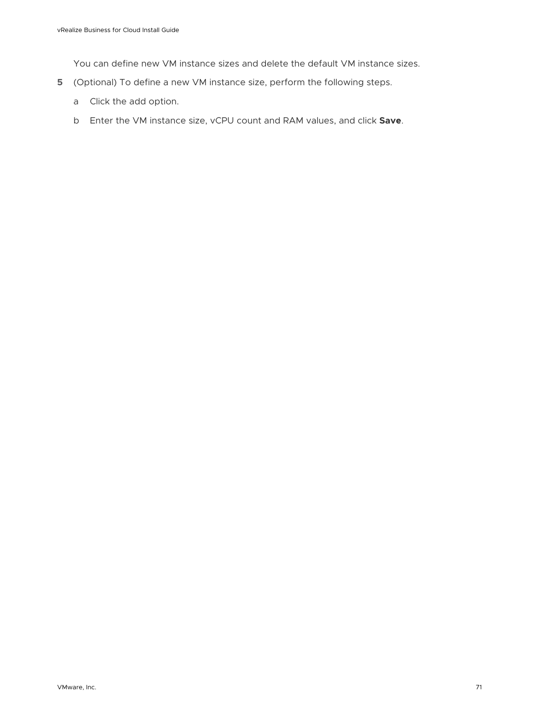You can define new VM instance sizes and delete the default VM instance sizes.

- **5** (Optional) To define a new VM instance size, perform the following steps.
	- a Click the add option.
	- b Enter the VM instance size, vCPU count and RAM values, and click **Save**.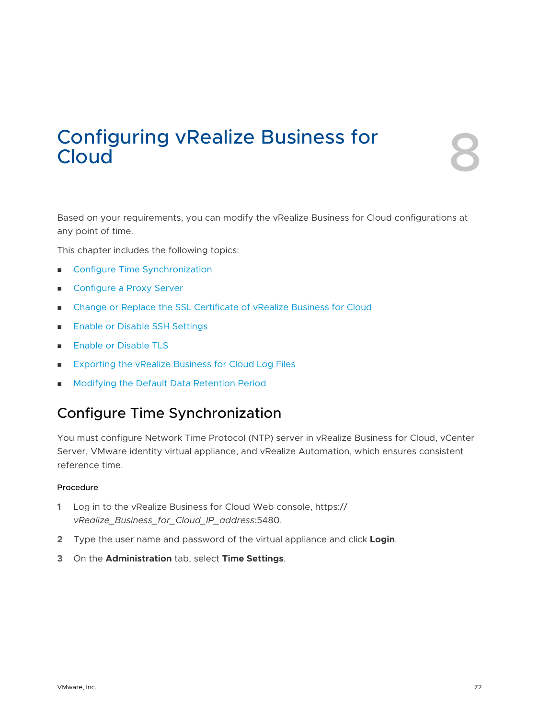# Configuring vRealize Business for Cloud

Based on your requirements, you can modify the vRealize Business for Cloud configurations at any point of time.

This chapter includes the following topics:

- **n** Configure Time Synchronization
- [Configure a Proxy Server](#page-72-0)
- <sup>n</sup> [Change or Replace the SSL Certificate of vRealize Business for Cloud](#page-73-0)
- **n** [Enable or Disable SSH Settings](#page-74-0)
- **[Enable or Disable TLS](#page-75-0)**
- <sup>n</sup> [Exporting the vRealize Business for Cloud Log Files](#page-76-0)
- <sup>n</sup> [Modifying the Default Data Retention Period](#page-78-0)

## Configure Time Synchronization

You must configure Network Time Protocol (NTP) server in vRealize Business for Cloud, vCenter Server, VMware identity virtual appliance, and vRealize Automation, which ensures consistent reference time.

- **1** Log in to the vRealize Business for Cloud Web console, https:// *vRealize\_Business\_for\_Cloud\_IP\_address*:5480.
- **2** Type the user name and password of the virtual appliance and click **Login**.
- **3** On the **Administration** tab, select **Time Settings**.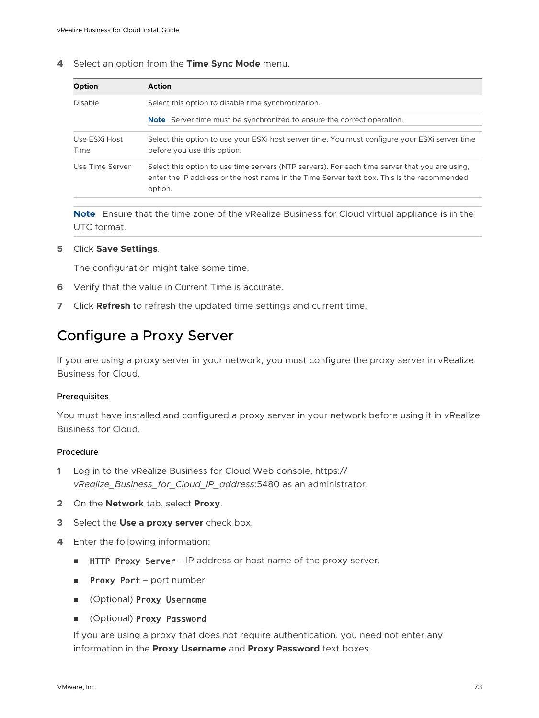**4** Select an option from the **Time Sync Mode** menu.

| <b>Option</b>         | <b>Action</b>                                                                                                                                                                                           |  |
|-----------------------|---------------------------------------------------------------------------------------------------------------------------------------------------------------------------------------------------------|--|
| Disable               | Select this option to disable time synchronization.                                                                                                                                                     |  |
|                       | <b>Note</b> Server time must be synchronized to ensure the correct operation.                                                                                                                           |  |
| Use ESXi Host<br>Time | Select this option to use your ESXi host server time. You must configure your ESXi server time<br>before you use this option.                                                                           |  |
| Use Time Server       | Select this option to use time servers (NTP servers). For each time server that you are using.<br>enter the IP address or the host name in the Time Server text box. This is the recommended<br>option. |  |

**Note** Ensure that the time zone of the vRealize Business for Cloud virtual appliance is in the UTC format.

#### **5** Click **Save Settings**.

The configuration might take some time.

- **6** Verify that the value in Current Time is accurate.
- **7** Click **Refresh** to refresh the updated time settings and current time.

## Configure a Proxy Server

If you are using a proxy server in your network, you must configure the proxy server in vRealize Business for Cloud.

#### **Prerequisites**

You must have installed and configured a proxy server in your network before using it in vRealize Business for Cloud.

#### Procedure

- **1** Log in to the vRealize Business for Cloud Web console, https:// *vRealize\_Business\_for\_Cloud\_IP\_address*:5480 as an administrator.
- **2** On the **Network** tab, select **Proxy**.
- **3** Select the **Use a proxy server** check box.
- **4** Enter the following information:
	- **HTTP Proxy Server** IP address or host name of the proxy server.
	- **n** Proxy Port port number
	- (Optional) Proxy Username
	- (Optional) Proxy Password

If you are using a proxy that does not require authentication, you need not enter any information in the **Proxy Username** and **Proxy Password** text boxes.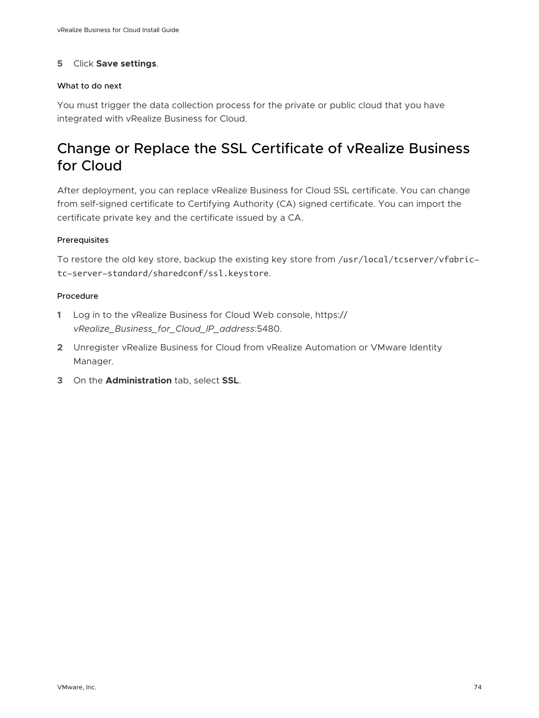#### **5** Click **Save settings**.

#### What to do next

You must trigger the data collection process for the private or public cloud that you have integrated with vRealize Business for Cloud.

# Change or Replace the SSL Certificate of vRealize Business for Cloud

After deployment, you can replace vRealize Business for Cloud SSL certificate. You can change from self-signed certificate to Certifying Authority (CA) signed certificate. You can import the certificate private key and the certificate issued by a CA.

#### Prerequisites

To restore the old key store, backup the existing key store from /usr/local/tcserver/vfabrictc-server-standard/sharedconf/ssl.keystore.

- **1** Log in to the vRealize Business for Cloud Web console, https:// *vRealize\_Business\_for\_Cloud\_IP\_address*:5480.
- **2** Unregister vRealize Business for Cloud from vRealize Automation or VMware Identity Manager.
- **3** On the **Administration** tab, select **SSL**.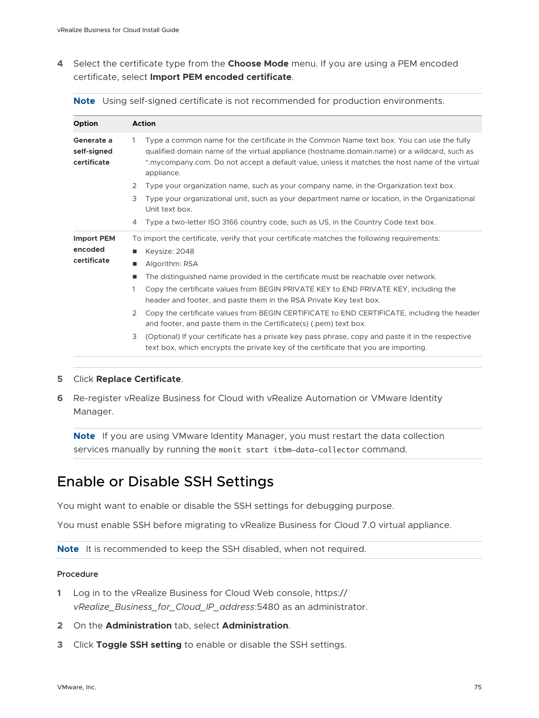<span id="page-74-0"></span>**4** Select the certificate type from the **Choose Mode** menu. If you are using a PEM encoded certificate, select **Import PEM encoded certificate**.

|  | Note Using self-signed certificate is not recommended for production environments. |  |
|--|------------------------------------------------------------------------------------|--|
|  |                                                                                    |  |

| <b>Option</b>                            | <b>Action</b>                                                                                                                                                                                                                                                                                                             |  |  |
|------------------------------------------|---------------------------------------------------------------------------------------------------------------------------------------------------------------------------------------------------------------------------------------------------------------------------------------------------------------------------|--|--|
| Generate a<br>self-signed<br>certificate | Type a common name for the certificate in the Common Name text box. You can use the fully<br>$\mathbf{1}$<br>qualified domain name of the virtual appliance (hostname.domain.name) or a wildcard, such as<br>*.mycompany.com. Do not accept a default value, unless it matches the host name of the virtual<br>appliance. |  |  |
|                                          | 2<br>Type your organization name, such as your company name, in the Organization text box.                                                                                                                                                                                                                                |  |  |
|                                          | 3<br>Type your organizational unit, such as your department name or location, in the Organizational<br>Unit text box.                                                                                                                                                                                                     |  |  |
|                                          | Type a two-letter ISO 3166 country code, such as US, in the Country Code text box.<br>$\overline{4}$                                                                                                                                                                                                                      |  |  |
| <b>Import PEM</b>                        | To import the certificate, verify that your certificate matches the following requirements:                                                                                                                                                                                                                               |  |  |
| encoded                                  | Keysize: 2048<br>ш                                                                                                                                                                                                                                                                                                        |  |  |
| certificate                              | Algorithm: RSA<br>ш                                                                                                                                                                                                                                                                                                       |  |  |
|                                          | The distinguished name provided in the certificate must be reachable over network.<br>ш                                                                                                                                                                                                                                   |  |  |
|                                          | Copy the certificate values from BEGIN PRIVATE KEY to END PRIVATE KEY, including the<br>$\mathbf{1}$<br>header and footer, and paste them in the RSA Private Key text box.                                                                                                                                                |  |  |
|                                          | Copy the certificate values from BEGIN CERTIFICATE to END CERTIFICATE, including the header<br>$\mathcal{P}$<br>and footer, and paste them in the Certificate(s) (.pem) text box.                                                                                                                                         |  |  |
|                                          | 3<br>(Optional) If your certificate has a private key pass phrase, copy and paste it in the respective<br>text box, which encrypts the private key of the certificate that you are importing.                                                                                                                             |  |  |
|                                          |                                                                                                                                                                                                                                                                                                                           |  |  |

#### **5** Click **Replace Certificate**.

**6** Re-register vRealize Business for Cloud with vRealize Automation or VMware Identity Manager.

**Note** If you are using VMware Identity Manager, you must restart the data collection services manually by running the monit start itbm-data-collector command.

# Enable or Disable SSH Settings

You might want to enable or disable the SSH settings for debugging purpose.

You must enable SSH before migrating to vRealize Business for Cloud 7.0 virtual appliance.

**Note** It is recommended to keep the SSH disabled, when not required.

- **1** Log in to the vRealize Business for Cloud Web console, https:// *vRealize\_Business\_for\_Cloud\_IP\_address*:5480 as an administrator.
- **2** On the **Administration** tab, select **Administration**.
- **3** Click **Toggle SSH setting** to enable or disable the SSH settings.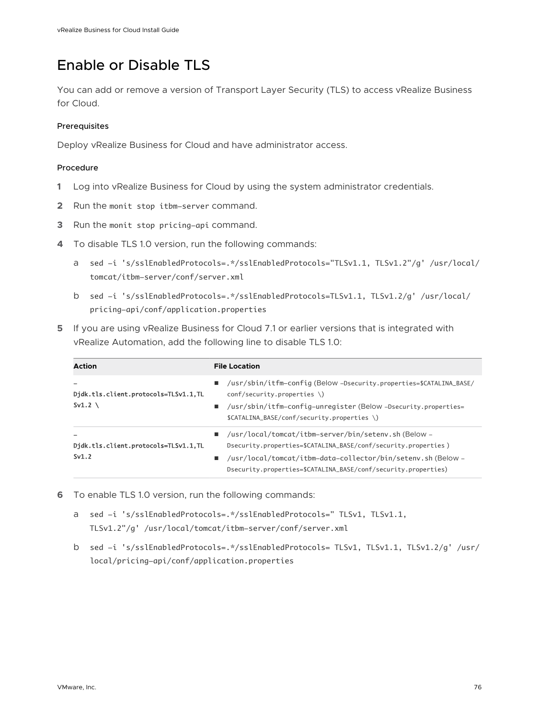# Enable or Disable TLS

You can add or remove a version of Transport Layer Security (TLS) to access vRealize Business for Cloud.

#### **Prerequisites**

Deploy vRealize Business for Cloud and have administrator access.

- **1** Log into vRealize Business for Cloud by using the system administrator credentials.
- **2** Run the monit stop itbm-server command.
- **3** Run the monit stop pricing-api command.
- **4** To disable TLS 1.0 version, run the following commands:
	- a sed -i 's/sslEnabledProtocols=.\*/sslEnabledProtocols="TLSv1.1, TLSv1.2"/g' /usr/local/ tomcat/itbm-server/conf/server.xml
	- b sed -i 's/sslEnabledProtocols=.\*/sslEnabledProtocols=TLSv1.1, TLSv1.2/g' /usr/local/ pricing-api/conf/application.properties
- **5** If you are using vRealize Business for Cloud 7.1 or earlier versions that is integrated with vRealize Automation, add the following line to disable TLS 1.0:

| <b>Action</b>                                           | <b>File Location</b>                                                                                                                                                                                                                                         |
|---------------------------------------------------------|--------------------------------------------------------------------------------------------------------------------------------------------------------------------------------------------------------------------------------------------------------------|
| Didk.tls.client.protocols=TLSv1.1.TL<br>Sv1.2 $\lambda$ | /usr/sbin/itfm-config (Below -Dsecurity.properties=\$CATALINA_BASE/<br>٠<br>$conf/security.properties \ \ \ \ \$<br>/usr/sbin/itfm-config-unregister (Below -Dsecurity.properties=<br>$\blacksquare$<br>\$CATALINA_BASE/conf/security.properties \)          |
| Didk.tls.client.protocols=TLSv1.1,TL<br>Sv1.2           | /usr/local/tomcat/itbm-server/bin/seteny.sh(Below-<br>Dsecurity.properties=\$CATALINA_BASE/conf/security.properties)<br>/usr/local/tomcat/itbm-data-collector/bin/setenv.sh (Below -<br>ш.<br>Dsecurity.properties=\$CATALINA_BASE/conf/security.properties) |

- **6** To enable TLS 1.0 version, run the following commands:
	- a sed -i 's/sslEnabledProtocols=.\*/sslEnabledProtocols=" TLSv1, TLSv1.1, TLSv1.2"/g' /usr/local/tomcat/itbm-server/conf/server.xml
	- b sed -i 's/sslEnabledProtocols=.\*/sslEnabledProtocols= TLSv1, TLSv1.1, TLSv1.2/g' /usr/ local/pricing-api/conf/application.properties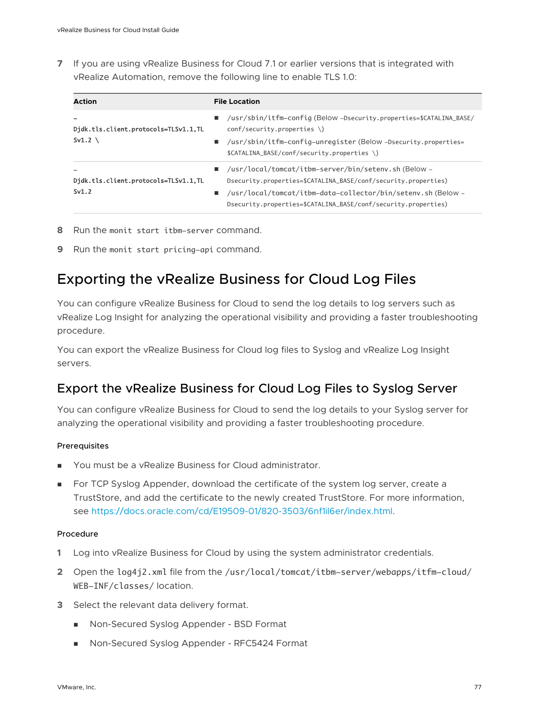**7** If you are using vRealize Business for Cloud 7.1 or earlier versions that is integrated with vRealize Automation, remove the following line to enable TLS 1.0:

| <b>Action</b>                                              | <b>File Location</b>                                                                                                                                                                                                                                                   |
|------------------------------------------------------------|------------------------------------------------------------------------------------------------------------------------------------------------------------------------------------------------------------------------------------------------------------------------|
| Didk.tls.client.protocols=TLSv1.1,TL<br>Sv1.2 $\backslash$ | /usr/sbin/itfm-config (Below -Dsecurity.properties=\$CATALINA_BASE/<br>п.<br>$conf/security.properties \ \ \ \ \$<br>/usr/sbin/itfm-config-unregister (Below -Dsecurity.properties=<br>п.<br>\$CATALINA_BASE/conf/security.properties \)                               |
| Djdk.tls.client.protocols=TLSv1.1,TL<br>Sv1.2              | /usr/local/tomcat/itbm-server/bin/setenv.sh(Below-<br>and the<br>Dsecurity.properties=\$CATALINA_BASE/conf/security.properties)<br>/usr/local/tomcat/itbm-data-collector/bin/setenv.sh (Below -<br>٠<br>Dsecurity.properties=\$CATALINA_BASE/conf/security.properties) |

**8** Run the monit start itbm-server command.

**9** Run the monit start pricing-api command.

## Exporting the vRealize Business for Cloud Log Files

You can configure vRealize Business for Cloud to send the log details to log servers such as vRealize Log Insight for analyzing the operational visibility and providing a faster troubleshooting procedure.

You can export the vRealize Business for Cloud log files to Syslog and vRealize Log Insight servers.

### Export the vRealize Business for Cloud Log Files to Syslog Server

You can configure vRealize Business for Cloud to send the log details to your Syslog server for analyzing the operational visibility and providing a faster troubleshooting procedure.

#### **Prerequisites**

- You must be a vRealize Business for Cloud administrator.
- **For TCP Syslog Appender, download the certificate of the system log server, create a** TrustStore, and add the certificate to the newly created TrustStore. For more information, see [https://docs.oracle.com/cd/E19509-01/820-3503/6nf1il6er/index.html.](https://docs.oracle.com/cd/E19509-01/820-3503/6nf1il6er/index.html)

- **1** Log into vRealize Business for Cloud by using the system administrator credentials.
- **2** Open the log4j2.xml file from the /usr/local/tomcat/itbm-server/webapps/itfm-cloud/ WEB-INF/classes/ location.
- **3** Select the relevant data delivery format.
	- Non-Secured Syslog Appender BSD Format
	- <sup>n</sup> Non-Secured Syslog Appender RFC5424 Format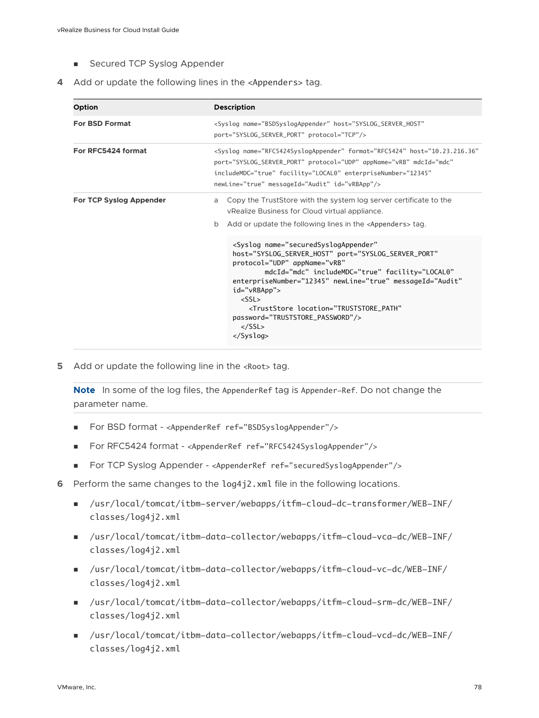- Secured TCP Syslog Appender
- **4** Add or update the following lines in the <Appenders> tag.

| <b>Option</b>                  | <b>Description</b>                                                                                                                                                                                                                                                                                                                                                                                                                                                      |  |  |
|--------------------------------|-------------------------------------------------------------------------------------------------------------------------------------------------------------------------------------------------------------------------------------------------------------------------------------------------------------------------------------------------------------------------------------------------------------------------------------------------------------------------|--|--|
| <b>For BSD Format</b>          | <syslog <br="" host="SYSLOG_SERVER_HOST" name="BSDSyslogAppender">port="SYSLOG_SERVER_PORT" protocol="TCP"/&gt;</syslog>                                                                                                                                                                                                                                                                                                                                                |  |  |
| For RFC5424 format             | <syslog <br="" format="RFC5424" host="10.23.216.36" name="RFC5424SyslogAppender">port="SYSLOG_SERVER_PORT" protocol="UDP" appName="vRB" mdcId="mdc"<br/>includeMDC="true" facility="LOCAL0" enterpriseNumber="12345"<br/>newLine="true" messageId="Audit" id="vRBApp"/&gt;</syslog>                                                                                                                                                                                     |  |  |
| <b>For TCP Syslog Appender</b> | Copy the TrustStore with the system log server certificate to the<br>a<br>vRealize Business for Cloud virtual appliance.<br>Add or update the following lines in the <appenders> tag.<br/>b<br/><syslog <br="" name="securedSyslogAppender">host="SYSLOG_SERVER_HOST" port="SYSLOG_SERVER_PORT"<br/>protocol="UDP" appName="vRB"<br/>mdcId="mdc" includeMDC="true" facility="LOCAL0"<br/>enterpriseNumber="12345" newLine="true" messageId="Audit"</syslog></appenders> |  |  |
|                                | id="vRBApp"><br>$<$ SSL $>$<br><truststore <br="" location="TRUSTSTORE PATH">password="TRUSTSTORE_PASSWORD"/&gt;<br/><math>&lt;</math>/SSL&gt;<br/><math>\langle</math>Syslog&gt;</truststore>                                                                                                                                                                                                                                                                          |  |  |

**5** Add or update the following line in the <Root> tag.

**Note** In some of the log files, the AppenderRef tag is Appender-Ref. Do not change the parameter name.

- <sup>n</sup> For BSD format <AppenderRef ref="BSDSyslogAppender"/>
- <sup>n</sup> For RFC5424 format <AppenderRef ref="RFC5424SyslogAppender"/>
- <sup>n</sup> For TCP Syslog Appender <AppenderRef ref="securedSyslogAppender"/>
- **6** Perform the same changes to the log4j2.xml file in the following locations.
	- <sup>n</sup> /usr/local/tomcat/itbm-server/webapps/itfm-cloud-dc-transformer/WEB-INF/ classes/log4j2.xml
	- <sup>n</sup> /usr/local/tomcat/itbm-data-collector/webapps/itfm-cloud-vca-dc/WEB-INF/ classes/log4j2.xml
	- <sup>n</sup> /usr/local/tomcat/itbm-data-collector/webapps/itfm-cloud-vc-dc/WEB-INF/ classes/log4j2.xml
	- <sup>n</sup> /usr/local/tomcat/itbm-data-collector/webapps/itfm-cloud-srm-dc/WEB-INF/ classes/log4j2.xml
	- <sup>n</sup> /usr/local/tomcat/itbm-data-collector/webapps/itfm-cloud-vcd-dc/WEB-INF/ classes/log4j2.xml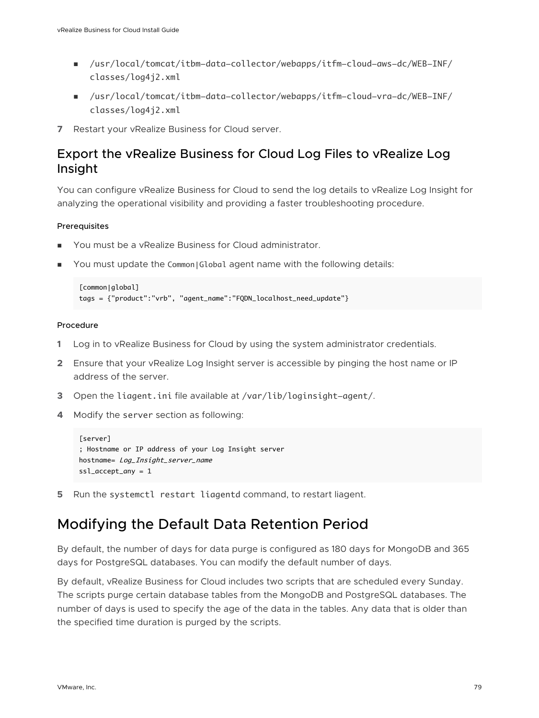- <sup>n</sup> /usr/local/tomcat/itbm-data-collector/webapps/itfm-cloud-aws-dc/WEB-INF/ classes/log4j2.xml
- <sup>n</sup> /usr/local/tomcat/itbm-data-collector/webapps/itfm-cloud-vra-dc/WEB-INF/ classes/log4j2.xml
- **7** Restart your vRealize Business for Cloud server.

## Export the vRealize Business for Cloud Log Files to vRealize Log Insight

You can configure vRealize Business for Cloud to send the log details to vRealize Log Insight for analyzing the operational visibility and providing a faster troubleshooting procedure.

#### Prerequisites

- You must be a vRealize Business for Cloud administrator.
- You must update the Common|Global agent name with the following details:

```
[common|global]
tags = {"product":"vrb", "agent_name":"FQDN_localhost_need_update"}
```
#### Procedure

- **1** Log in to vRealize Business for Cloud by using the system administrator credentials.
- **2** Ensure that your vRealize Log Insight server is accessible by pinging the host name or IP address of the server.
- **3** Open the liagent.ini file available at /var/lib/loginsight-agent/.
- **4** Modify the server section as following:

```
[server]
; Hostname or IP address of your Log Insight server 
hostname= Log_Insight_server_name
ssl_accept_any = 1
```
**5** Run the systemctl restart liagentd command, to restart liagent.

## Modifying the Default Data Retention Period

By default, the number of days for data purge is configured as 180 days for MongoDB and 365 days for PostgreSQL databases. You can modify the default number of days.

By default, vRealize Business for Cloud includes two scripts that are scheduled every Sunday. The scripts purge certain database tables from the MongoDB and PostgreSQL databases. The number of days is used to specify the age of the data in the tables. Any data that is older than the specified time duration is purged by the scripts.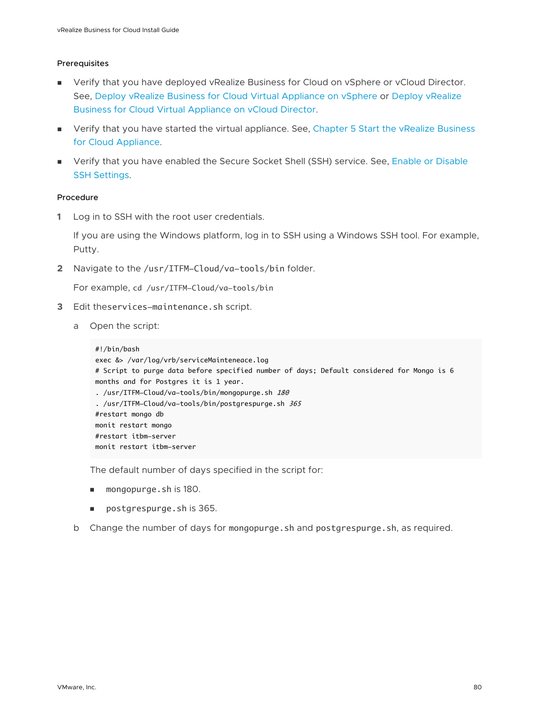#### Prerequisites

- <sup>n</sup> Verify that you have deployed vRealize Business for Cloud on vSphere or vCloud Director. See, [Deploy vRealize Business for Cloud Virtual Appliance on vSphere](#page-21-0) or [Deploy vRealize](#page-23-0)  [Business for Cloud Virtual Appliance on vCloud Director](#page-23-0).
- **n** Verify that you have started the virtual appliance. See, Chapter 5 Start the vRealize Business [for Cloud Appliance](#page-30-0).
- **n** Verify that you have enabled the Secure Socket Shell (SSH) service. See, Enable or Disable [SSH Settings](#page-74-0).

#### Procedure

**1** Log in to SSH with the root user credentials.

If you are using the Windows platform, log in to SSH using a Windows SSH tool. For example, Putty.

**2** Navigate to the /usr/ITFM-Cloud/va-tools/bin folder.

For example, cd /usr/ITFM-Cloud/va-tools/bin

- **3** Edit theservices-maintenance.sh script.
	- a Open the script:

```
#!/bin/bash
exec &> /var/log/vrb/serviceMainteneace.log
# Script to purge data before specified number of days; Default considered for Mongo is 6 
months and for Postgres it is 1 year.
. /usr/ITFM-Cloud/va-tools/bin/mongopurge.sh 180
. /usr/ITFM-Cloud/va-tools/bin/postgrespurge.sh 365
#restart mongo db
monit restart mongo
#restart itbm-server
monit restart itbm-server
```
The default number of days specified in the script for:

- mongopurge.sh is 180.
- n postgrespurge.sh is 365.
- b Change the number of days for mongopurge.sh and postgrespurge.sh, as required.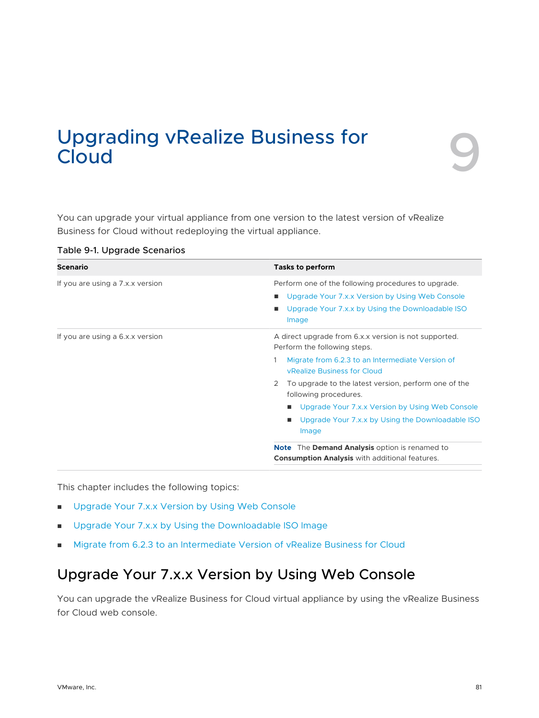# Upgrading vRealize Business for **1998**<br>Cloud

You can upgrade your virtual appliance from one version to the latest version of vRealize Business for Cloud without redeploying the virtual appliance.

| Scenario                         | <b>Tasks to perform</b>                                                                                                                                                                                              |  |  |
|----------------------------------|----------------------------------------------------------------------------------------------------------------------------------------------------------------------------------------------------------------------|--|--|
| If you are using a 7.x.x version | Perform one of the following procedures to upgrade.<br>Upgrade Your 7.x.x Version by Using Web Console<br>ш<br>Upgrade Your 7.x.x by Using the Downloadable ISO<br>ш<br>Image                                        |  |  |
| If you are using a 6.x.x version | A direct upgrade from 6.x.x version is not supported.<br>Perform the following steps.<br>Migrate from 6.2.3 to an Intermediate Version of<br><b>vRealize Business for Cloud</b>                                      |  |  |
|                                  | To upgrade to the latest version, perform one of the<br>2<br>following procedures.<br>Upgrade Your 7.x.x Version by Using Web Console<br>$\blacksquare$<br>Upgrade Your 7.x.x by Using the Downloadable ISO<br>Image |  |  |
|                                  | <b>Note</b> The <b>Demand Analysis</b> option is renamed to<br><b>Consumption Analysis with additional features.</b>                                                                                                 |  |  |

Table 9-1. Upgrade Scenarios

This chapter includes the following topics:

- Upgrade Your 7.x.x Version by Using Web Console
- **n** [Upgrade Your 7.x.x by Using the Downloadable ISO Image](#page-82-0)
- <sup>n</sup> [Migrate from 6.2.3 to an Intermediate Version of vRealize Business for Cloud](#page-83-0)

## Upgrade Your 7.x.x Version by Using Web Console

You can upgrade the vRealize Business for Cloud virtual appliance by using the vRealize Business for Cloud web console.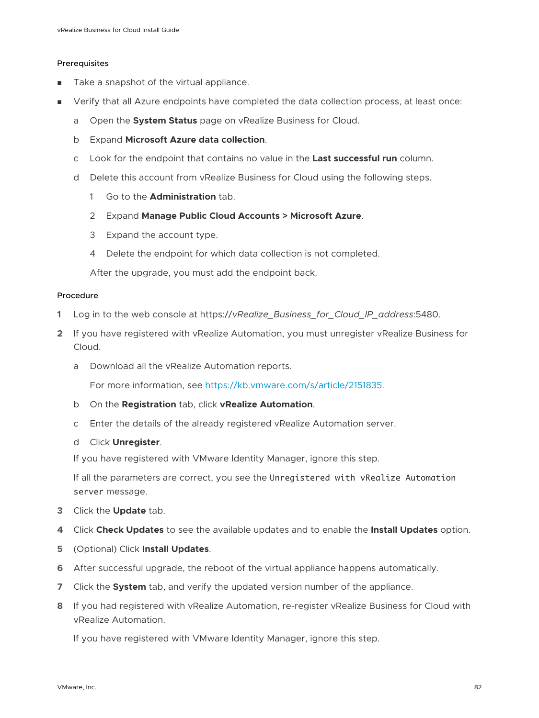#### **Prerequisites**

- Take a snapshot of the virtual appliance.
- **n** Verify that all Azure endpoints have completed the data collection process, at least once:
	- a Open the **System Status** page on vRealize Business for Cloud.
	- b Expand **Microsoft Azure data collection**.
	- c Look for the endpoint that contains no value in the **Last successful run** column.
	- d Delete this account from vRealize Business for Cloud using the following steps.
		- 1 Go to the **Administration** tab.
		- 2 Expand **Manage Public Cloud Accounts > Microsoft Azure**.
		- 3 Expand the account type.
		- 4 Delete the endpoint for which data collection is not completed.

After the upgrade, you must add the endpoint back.

#### Procedure

- **1** Log in to the web console at https://*vRealize\_Business\_for\_Cloud\_IP\_address*:5480.
- **2** If you have registered with vRealize Automation, you must unregister vRealize Business for Cloud.
	- a Download all the vRealize Automation reports.

For more information, see<https://kb.vmware.com/s/article/2151835>.

- b On the **Registration** tab, click **vRealize Automation**.
- c Enter the details of the already registered vRealize Automation server.
- d Click **Unregister**.

If you have registered with VMware Identity Manager, ignore this step.

If all the parameters are correct, you see the Unregistered with vRealize Automation server message.

- **3** Click the **Update** tab.
- **4** Click **Check Updates** to see the available updates and to enable the **Install Updates** option.
- **5** (Optional) Click **Install Updates**.
- **6** After successful upgrade, the reboot of the virtual appliance happens automatically.
- **7** Click the **System** tab, and verify the updated version number of the appliance.
- **8** If you had registered with vRealize Automation, re-register vRealize Business for Cloud with vRealize Automation.

If you have registered with VMware Identity Manager, ignore this step.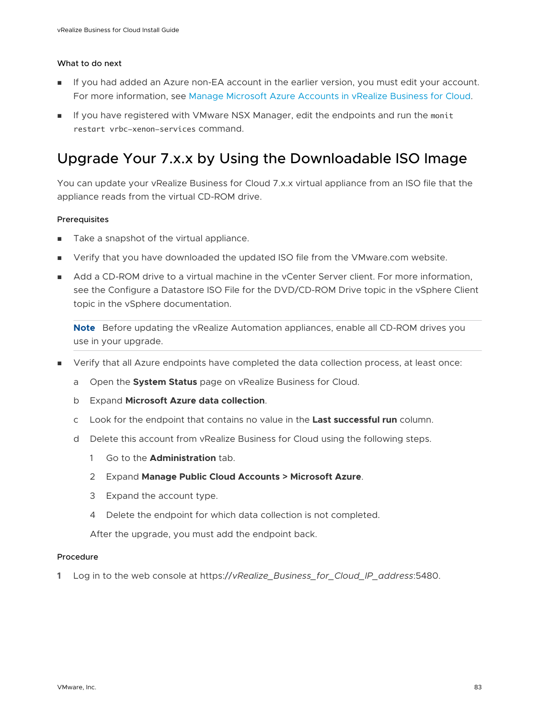#### <span id="page-82-0"></span>What to do next

- <sup>n</sup> If you had added an Azure non-EA account in the earlier version, you must edit your account. For more information, see [Manage Microsoft Azure Accounts in vRealize Business for Cloud.](#page-48-0)
- **n** If you have registered with VMware NSX Manager, edit the endpoints and run the monit restart vrbc-xenon-services command.

# Upgrade Your 7.x.x by Using the Downloadable ISO Image

You can update your vRealize Business for Cloud 7.x.x virtual appliance from an ISO file that the appliance reads from the virtual CD-ROM drive.

#### Prerequisites

- Take a snapshot of the virtual appliance.
- <sup>n</sup> Verify that you have downloaded the updated ISO file from the VMware.com website.
- $\blacksquare$  Add a CD-ROM drive to a virtual machine in the vCenter Server client. For more information, see the Configure a Datastore ISO File for the DVD/CD-ROM Drive topic in the vSphere Client topic in the vSphere documentation.

**Note** Before updating the vRealize Automation appliances, enable all CD-ROM drives you use in your upgrade.

- Verify that all Azure endpoints have completed the data collection process, at least once:
	- a Open the **System Status** page on vRealize Business for Cloud.
	- b Expand **Microsoft Azure data collection**.
	- c Look for the endpoint that contains no value in the **Last successful run** column.
	- d Delete this account from vRealize Business for Cloud using the following steps.
		- 1 Go to the **Administration** tab.
		- 2 Expand **Manage Public Cloud Accounts > Microsoft Azure**.
		- 3 Expand the account type.
		- 4 Delete the endpoint for which data collection is not completed.

After the upgrade, you must add the endpoint back.

#### Procedure

**1** Log in to the web console at https://*vRealize\_Business\_for\_Cloud\_IP\_address*:5480.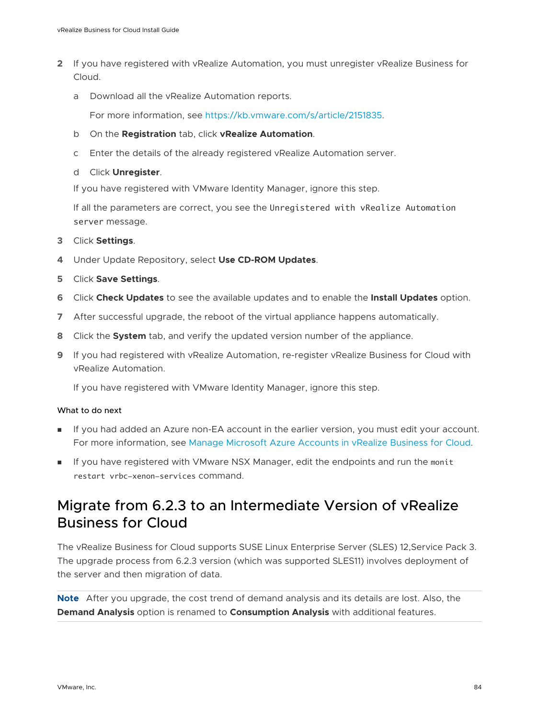- <span id="page-83-0"></span>**2** If you have registered with vRealize Automation, you must unregister vRealize Business for Cloud.
	- a Download all the vRealize Automation reports.

For more information, see<https://kb.vmware.com/s/article/2151835>.

- b On the **Registration** tab, click **vRealize Automation**.
- c Enter the details of the already registered vRealize Automation server.
- d Click **Unregister**.

If you have registered with VMware Identity Manager, ignore this step.

If all the parameters are correct, you see the Unregistered with vRealize Automation server message.

- **3** Click **Settings**.
- **4** Under Update Repository, select **Use CD-ROM Updates**.
- **5** Click **Save Settings**.
- **6** Click **Check Updates** to see the available updates and to enable the **Install Updates** option.
- **7** After successful upgrade, the reboot of the virtual appliance happens automatically.
- **8** Click the **System** tab, and verify the updated version number of the appliance.
- **9** If you had registered with vRealize Automation, re-register vRealize Business for Cloud with vRealize Automation.

If you have registered with VMware Identity Manager, ignore this step.

#### What to do next

- <sup>n</sup> If you had added an Azure non-EA account in the earlier version, you must edit your account. For more information, see [Manage Microsoft Azure Accounts in vRealize Business for Cloud.](#page-48-0)
- **n** If you have registered with VMware NSX Manager, edit the endpoints and run the monit restart vrbc-xenon-services command.

# Migrate from 6.2.3 to an Intermediate Version of vRealize Business for Cloud

The vRealize Business for Cloud supports SUSE Linux Enterprise Server (SLES) 12,Service Pack 3. The upgrade process from 6.2.3 version (which was supported SLES11) involves deployment of the server and then migration of data.

**Note** After you upgrade, the cost trend of demand analysis and its details are lost. Also, the **Demand Analysis** option is renamed to **Consumption Analysis** with additional features.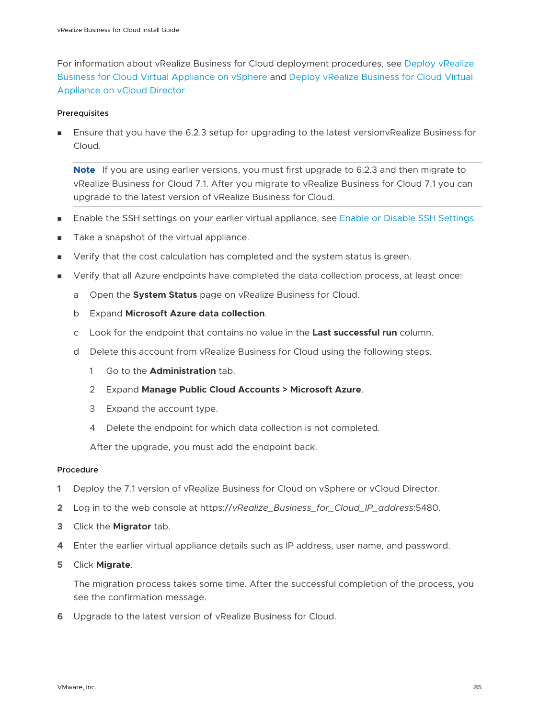For information about vRealize Business for Cloud deployment procedures, see [Deploy vRealize](#page-21-0)  [Business for Cloud Virtual Appliance on vSphere](#page-21-0) and [Deploy vRealize Business for Cloud Virtual](#page-23-0) [Appliance on vCloud Director](#page-23-0)

#### Prerequisites

**n** Ensure that you have the 6.2.3 setup for upgrading to the latest versiony Realize Business for Cloud.

**Note** If you are using earlier versions, you must first upgrade to 6.2.3 and then migrate to vRealize Business for Cloud 7.1. After you migrate to vRealize Business for Cloud 7.1 you can upgrade to the latest version of vRealize Business for Cloud.

- **n** Enable the SSH settings on your earlier virtual appliance, see [Enable or Disable SSH Settings](#page-74-0).
- Take a snapshot of the virtual appliance.
- **n** Verify that the cost calculation has completed and the system status is green.
- Verify that all Azure endpoints have completed the data collection process, at least once:
	- a Open the **System Status** page on vRealize Business for Cloud.
	- b Expand **Microsoft Azure data collection**.
	- c Look for the endpoint that contains no value in the **Last successful run** column.
	- d Delete this account from vRealize Business for Cloud using the following steps.
		- 1 Go to the **Administration** tab.
		- 2 Expand **Manage Public Cloud Accounts > Microsoft Azure**.
		- 3 Expand the account type.
		- 4 Delete the endpoint for which data collection is not completed.

After the upgrade, you must add the endpoint back.

#### Procedure

- **1** Deploy the 7.1 version of vRealize Business for Cloud on vSphere or vCloud Director.
- **2** Log in to the web console at https://*vRealize\_Business\_for\_Cloud\_IP\_address*:5480.
- **3** Click the **Migrator** tab.
- **4** Enter the earlier virtual appliance details such as IP address, user name, and password.
- **5** Click **Migrate**.

The migration process takes some time. After the successful completion of the process, you see the confirmation message.

**6** Upgrade to the latest version of vRealize Business for Cloud.